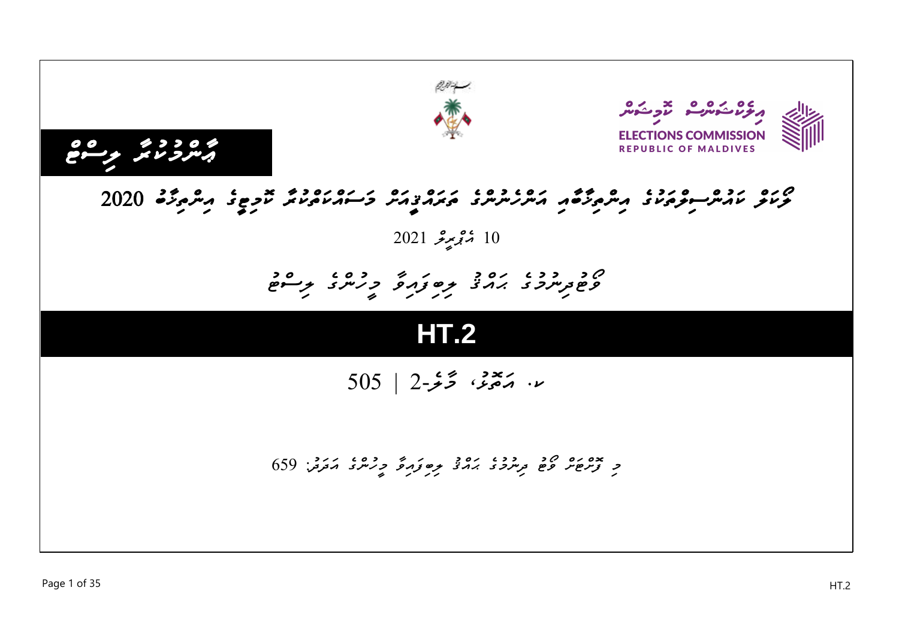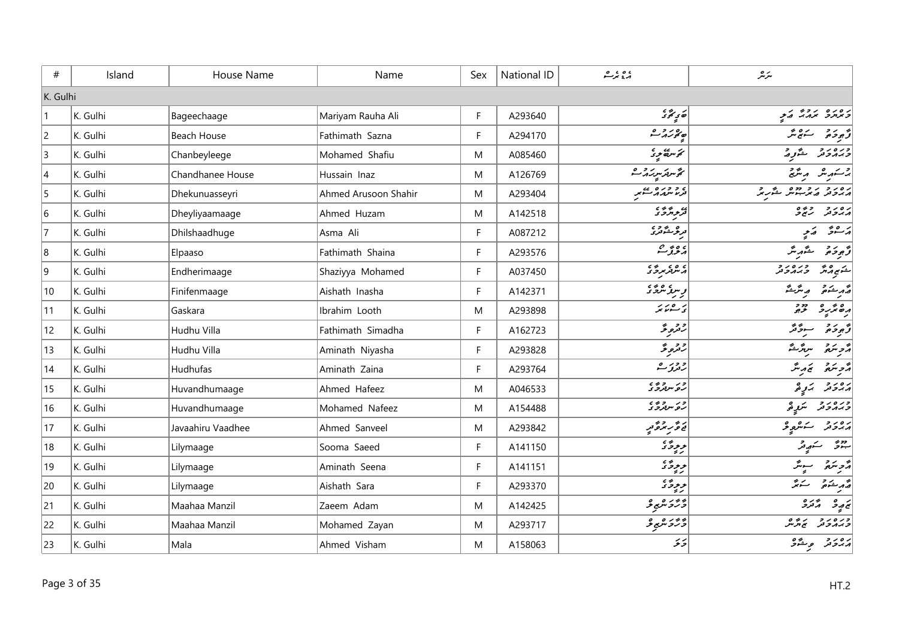| #               | Island   | House Name         | Name                 | Sex         | National ID | ، ه ، ره<br>مر، مرگ                     | ىئرىتر                          |
|-----------------|----------|--------------------|----------------------|-------------|-------------|-----------------------------------------|---------------------------------|
| K. Gulhi        |          |                    |                      |             |             |                                         |                                 |
|                 | K. Gulhi | Bageechaage        | Mariyam Rauha Ali    | F.          | A293640     | ے پہنچوی                                | - 2010 1010                     |
| $ 2\rangle$     | K. Gulhi | <b>Beach House</b> | Fathimath Sazna      | F           | A294170     | ە ئەجرىر ئە                             | توجدة سنفاش                     |
| $\vert$ 3       | K. Gulhi | Chanbeyleege       | Mohamed Shafiu       | M           | A085460     | كوس تقوي                                | ورەرو ئەرو                      |
| $\vert 4$       | K. Gulhi | Chandhanee House   | Hussain Inaz         | M           | A126769     | ڭۇس <sub>ل</sub> ىرىكەرگەن<br>مۇسىرىكەر |                                 |
| $\overline{5}$  | K. Gulhi | Dhekunuasseyri     | Ahmed Arusoon Shahir | M           | A293404     | ، د دره ،،<br>تر را سرد د کشمیر         | رەرو روپەر شرح                  |
| $6\overline{6}$ | K. Gulhi | Dheyliyaamaage     | Ahmed Huzam          | ${\sf M}$   | A142518     | ه و د د و و<br>تر د تر د د              | ره رو و وه                      |
| $\vert$ 7       | K. Gulhi | Dhilshaadhuge      | Asma Ali             | $\mathsf F$ | A087212     | و و شگور و <sup>ج</sup><br>تر و شگوری   | أراشانخ أركمني                  |
| $\overline{8}$  | K. Gulhi | Elpaaso            | Fathimath Shaina     | F           | A293576     | ا پروگ <sup>م</sup> ش                   | أقهوحكم المشرشر                 |
| 9               | K. Gulhi | Endherimaage       | Shaziyya Mohamed     | F           | A037450     | ې ه پر پر پر په<br>مرغو پر پر پر        | شويده وره دو                    |
| $ 10\rangle$    | K. Gulhi | Finifenmaage       | Aishath Inasha       | $\mathsf F$ | A142371     | ار سرو عدد ته<br>م                      | أمام شكافته المرسكة             |
| 11              | K. Gulhi | Gaskara            | Ibrahim Looth        | ${\sf M}$   | A293898     | ر 2 مەكتە                               | دە پەرە دوە                     |
| 12              | K. Gulhi | Hudhu Villa        | Fathimath Simadha    | $\mathsf F$ | A162723     | 2 ترو و گ                               | توجوخو سوچمنگر                  |
| 13              | K. Gulhi | Hudhu Villa        | Aminath Niyasha      | F           | A293828     | 3 قر <sub>ج ق</sub> ر                   | أأروبتكم بتراكيب                |
| 14              | K. Gulhi | Hudhufas           | Aminath Zaina        | F           | A293764     | <sub>حروب</sub> ر ص                     | أأروبتكم بمريتر                 |
| 15              | K. Gulhi | Huvandhumaage      | Ahmed Hafeez         | ${\sf M}$   | A046533     | و رحس و پر پر<br>مرحو موجود ی           | أرواد بالملح والملحقة والمحافظة |
| 16              | K. Gulhi | Huvandhumaage      | Mohamed Nafeez       | ${\sf M}$   | A154488     | و ر په ده ده<br>رو سربرو د              | ورەر دېم تروپى                  |
| 17              | K. Gulhi | Javaahiru Vaadhee  | Ahmed Sanveel        | M           | A293842     | <br>  نے قریر ترقی می <sub>ر</sub>      | أرەر دىس كەن ئور                |
| 18              | K. Gulhi | Lilymaage          | Sooma Saeed          | F           | A141150     | و و دی<br>ری                            | پیړو مستقری                     |
| 19              | K. Gulhi | Lilymaage          | Aminath Seena        | F           | A141151     | ووژگی<br>ر <sub>ئ</sub>                 | أزوينهم سبتر                    |
| 20              | K. Gulhi | Lilymaage          | Aishath Sara         | $\mathsf F$ | A293370     | و و دی<br>ری                            | ۇرمىسىم سىر                     |
| 21              | K. Gulhi | Maahaa Manzil      | Zaeem Adam           | M           | A142425     | ورمحنة معالج فر                         | كي مديره و بر دره               |
| 22              | K. Gulhi | Maahaa Manzil      | Mohamed Zayan        | M           | A293717     | <i>ۇ ئەخ ئىرى بى</i>                    | כנסנכ נפס                       |
| 23              | K. Gulhi | Mala               | Ahmed Visham         | M           | A158063     | رىز                                     | أررور وحدو                      |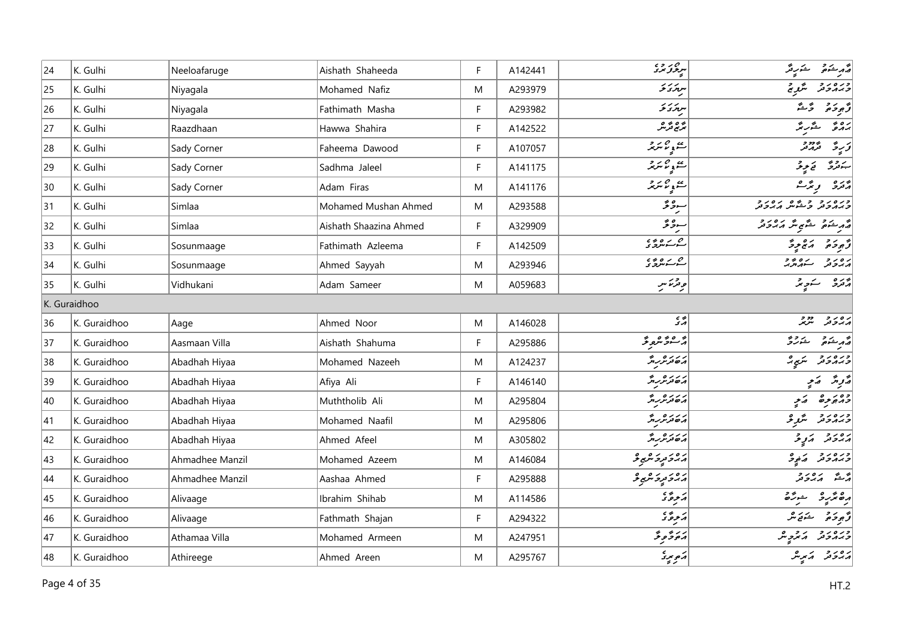| 24 | K. Gulhi     | Neeloafaruge    | Aishath Shaheeda       | F         | A142441 | ەر 25 دە<br>پېرىۋۇ ئىرى                          | و ديده شريعٌ<br>مسر                             |
|----|--------------|-----------------|------------------------|-----------|---------|--------------------------------------------------|-------------------------------------------------|
| 25 | K. Gulhi     | Niyagala        | Mohamed Nafiz          | M         | A293979 | سرترىخە                                          | ورەر د شرق                                      |
| 26 | K. Gulhi     | Niyagala        | Fathimath Masha        | F         | A293982 | سردر                                             | توجوخوا المحاشة                                 |
| 27 | K. Gulhi     | Raazdhaan       | Hawwa Shahira          | F         | A142522 | پره پر ه<br>مربع تر مر                           | ر ه پ<br>برگ<br>ىشتىرىتىر                       |
| 28 | K. Gulhi     | Sady Corner     | Faheema Dawood         | F         | A107057 | مىسى ئەرىرى<br>سىرىپە                            | پر دو و<br>تو پر تو<br>ا توري <sup>ي</sup><br>ا |
| 29 | K. Gulhi     | Sady Corner     | Sadhma Jaleel          | F         | A141175 | سى <sub>ۋىد</sub> ىرىر<br>سى <sub>ۋى</sub> تىتىر | ىبەتەرگ<br>تع و و ثر                            |
| 30 | K. Gulhi     | Sady Corner     | Adam Firas             | M         | A141176 | يمو په <i>مه مرکز</i>                            | ړنده ویژگ                                       |
| 31 | K. Gulhi     | Simlaa          | Mohamed Mushan Ahmed   | M         | A293588 | -د گر                                            | ورەر د د بەھ رەر د<br>دىرمەتر ۋىشەر مەرتىر      |
| 32 | K. Gulhi     | Simlaa          | Aishath Shaazina Ahmed | F         | A329909 | سەۋىۋ                                            | د.<br>د گرمشوهی سنگوینگر مربر <del>د</del> تر   |
| 33 | K. Gulhi     | Sosunmaage      | Fathimath Azleema      | F         | A142509 | <u>م ئەيۋې ئ</u>                                 | أزّودَه روءٍ و                                  |
| 34 | K. Gulhi     | Sosunmaage      | Ahmed Sayyah           | M         | A293946 | <u>م ئەيۋې ئ</u>                                 | גפיב הפיב                                       |
| 35 | K. Gulhi     | Vidhukani       | Adam Sameer            | M         | A059683 | عرفتر مأسبب                                      | أړوره سکوپر                                     |
|    | K. Guraidhoo |                 |                        |           |         |                                                  |                                                 |
| 36 | K. Guraidhoo | Aage            | Ahmed Noor             | ${\sf M}$ | A146028 | پو ء<br>مر                                       |                                                 |
| 37 | K. Guraidhoo | Aasmaan Villa   | Aishath Shahuma        | F         | A295886 | ۇ س <sup>ە</sup> ئەر ئەر                         | وكرم شكوم الشروع                                |
| 38 | K. Guraidhoo | Abadhah Hiyaa   | Mohamed Nazeeh         | M         | A124237 | رے تر شریر تر                                    | ورەرو ئىرى                                      |
| 39 | K. Guraidhoo | Abadhah Hiyaa   | Afiya Ali              | F         | A146140 | پر پر ہ<br>  پر صور سر ہڑ                        | ړې دي                                           |
| 40 | K. Guraidhoo | Abadhah Hiyaa   | Muththolib Ali         | M         | A295804 | پر پر ه<br>  پر ځو تر پر پر                      | وه ده کړ                                        |
| 41 | K. Guraidhoo | Abadhah Hiyaa   | Mohamed Naafil         | M         | A295806 | پر پر ه<br>  پر کافر مر مر                       | و ر ه ر د<br>تر <i>پر پ</i> ر تر                |
| 42 | K. Guraidhoo | Abadhah Hiyaa   | Ahmed Afeel            | M         | A305802 | پر پر ه<br>  پر خوبر برگر                        | رەرو كەرگ                                       |
| 43 | K. Guraidhoo | Ahmadhee Manzil | Mohamed Azeem          | M         | A146084 | ئەجرىر ئەشرىخ                                    | ورەر د ر.                                       |
| 44 | K. Guraidhoo | Ahmadhee Manzil | Aashaa Ahmed           | F         | A295888 | ر و بر بر عربو څر                                | أثر ستش المركز وراد                             |
| 45 | K. Guraidhoo | Alivaage        | Ibrahim Shihab         | M         | A114586 | پر پر پر پر<br>پر تورگ                           | د ۱۳۵۵ مخکړه کله د ده<br>اراد کله د مورگ        |
| 46 | K. Guraidhoo | Alivaage        | Fathmath Shajan        | F         | A294322 | ر<br>پرنوری                                      | تورد شده                                        |
| 47 | K. Guraidhoo | Athamaa Villa   | Mohamed Armeen         | M         | A247951 | درونوژ                                           | כממני היכש                                      |
| 48 | K. Guraidhoo | Athireege       | Ahmed Areen            | M         | A295767 | ړ<br>مرموسو                                      | أرەر ئەرش                                       |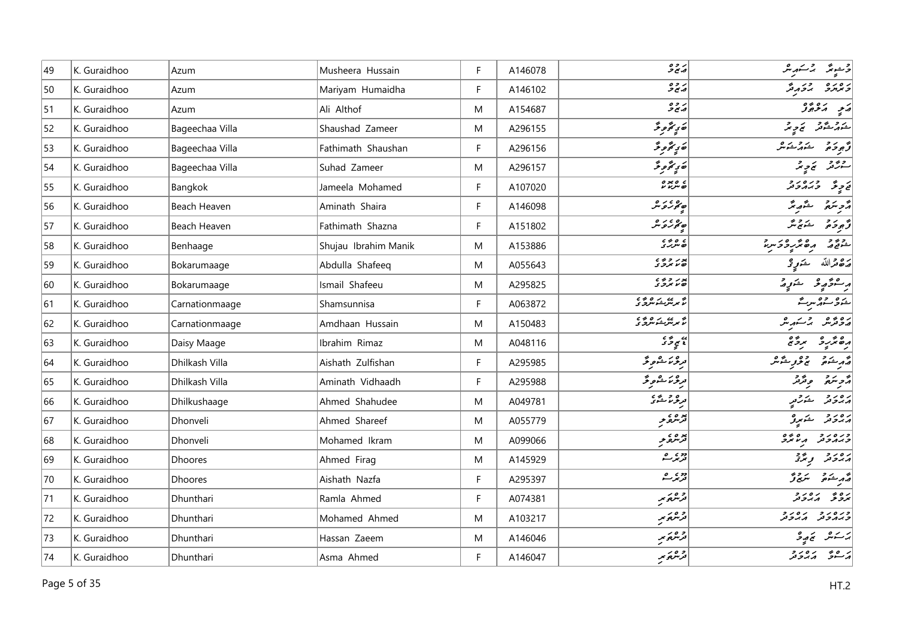| 49 | K. Guraidhoo | Azum                | Musheera Hussain     | F  | A146078 | ەبەر                                                                   | جەھىيە ئەسكەر بىر                                                                                 |
|----|--------------|---------------------|----------------------|----|---------|------------------------------------------------------------------------|---------------------------------------------------------------------------------------------------|
| 50 | K. Guraidhoo | Azum                | Mariyam Humaidha     | F. | A146102 | بر و ه<br>د پن و                                                       | وبروره ودرقه                                                                                      |
| 51 | K. Guraidhoo | Azum                | Ali Althof           | M  | A154687 | پر ج و                                                                 | أە ئە ئەھمى                                                                                       |
| 52 | K. Guraidhoo | Bageechaa Villa     | Shaushad Zameer      | M  | A296155 | لئ <i>ه بي پوه</i> و مگر                                               | شەرشۇر بوير                                                                                       |
| 53 | K. Guraidhoo | Bageechaa Villa     | Fathimath Shaushan   | F  | A296156 | نه د پخ د ژگر                                                          | أو دو شهر شهر                                                                                     |
| 54 | K. Guraidhoo | Bageechaa Villa     | Suhad Zameer         | M  | A296157 | ر<br>ئەيرىم ئورگ                                                       | الشركر بالمحمد بالمحمد التي تأثير المحمد المستركز<br>السناد الكرامج المحمد المحمد المحمد المستركز |
| 55 | K. Guraidhoo | Bangkok             | Jameela Mohamed      | F  | A107020 | ې ۵ پر ه<br>حاسرتن <i>ا</i> ن                                          | موتى درەرد                                                                                        |
| 56 | K. Guraidhoo | <b>Beach Heaven</b> | Aminath Shaira       | F  | A146098 | ھەممەر ئەر                                                             | أزويتهم يحمر                                                                                      |
| 57 | K. Guraidhoo | Beach Heaven        | Fathimath Shazna     | F  | A151802 | پەنزىر مىر                                                             | أراموخام المستوسر                                                                                 |
| 58 | K. Guraidhoo | Benhaage            | Shujau Ibrahim Manik | M  | A153886 | ې ۵ پرې<br>ح <i>ه مرگ</i> ي                                            |                                                                                                   |
| 59 | K. Guraidhoo | Bokarumaage         | Abdulla Shafeeq      | M  | A055643 | پر د و و و<br><i>ه تا پر و</i> د                                       | د ه ترالله شم <i>ورٍ ب</i> ح                                                                      |
| 60 | K. Guraidhoo | Bokarumaage         | Ismail Shafeeu       | M  | A295825 | پر روپر<br><i>هند</i> و د                                              | بر شۇم ئى ھەر ئە                                                                                  |
| 61 | K. Guraidhoo | Carnationmaage      | Shamsunnisa          | F. | A063872 | ر<br>ئەبرىتزىشەنلەر <i>ى</i>                                           | المشرور مارسية المستورثية<br>المشرور مستورث                                                       |
| 62 | K. Guraidhoo | Carnationmaage      | Amdhaan Hussain      | M  | A150483 | رم پیوسته شرح د <sup>ی</sup><br>ما <sub>محر</sub> متر شرح <sub>ک</sub> | رەپ ئەسىر                                                                                         |
| 63 | K. Guraidhoo | Daisy Maage         | Ibrahim Rimaz        | M  | A048116 | پی پیچ دی<br>  پائی پیچ تر <sub>ک</sub>                                | תפתוב תלת                                                                                         |
| 64 | K. Guraidhoo | Dhilkash Villa      | Aishath Zulfishan    | F  | A295985 | مرثر مَدْ مَصْرِ مَحْرِ                                                | ە<br>مەرسىم ئىم ئورىشى                                                                            |
| 65 | K. Guraidhoo | Dhilkash Villa      | Aminath Vidhaadh     | F. | A295988 | مرىز كەشقىمۇ ئىگە                                                      | أأوسكة وترتر                                                                                      |
| 66 | K. Guraidhoo | Dhilkushaage        | Ahmed Shahudee       | M  | A049781 | ورور ژويج                                                              | پره پر در پرومبر                                                                                  |
| 67 | K. Guraidhoo | Dhonveli            | Ahmed Shareef        | M  | A055779 | پره ۽<br> قرينرچو م                                                    | پرورو شهرو                                                                                        |
| 68 | K. Guraidhoo | Dhonveli            | Mohamed Ikram        | M  | A099066 | قريرة مج                                                               | ەر ئەرە<br>و رە ر د<br><i>د بر</i> گەر تر                                                         |
| 69 | K. Guraidhoo | <b>Dhoores</b>      | Ahmed Firag          | M  | A145929 | ود ۽ ه                                                                 | برەر دىگە                                                                                         |
| 70 | K. Guraidhoo | <b>Dhoores</b>      | Aishath Nazfa        | F  | A295397 | دد ۽ ه                                                                 |                                                                                                   |
| 71 | K. Guraidhoo | Dhunthari           | Ramla Ahmed          | F  | A074381 | وهرمر                                                                  | رەپە رەرد<br>برونۇ مەر <i>و</i> تر                                                                |
| 72 | K. Guraidhoo | Dhunthari           | Mohamed Ahmed        | M  | A103217 | وقرعهم مبر                                                             | כנסנכ נסנכ<br>כגמכת הגבת                                                                          |
| 73 | K. Guraidhoo | Dhunthari           | Hassan Zaeem         | M  | A146046 | رهم بر                                                                 | پرسترس ہے پر و                                                                                    |
| 74 | K. Guraidhoo | Dhunthari           | Asma Ahmed           | F. | A146047 | و همر<br>مرسرهو س                                                      | ړ ه په پره د د                                                                                    |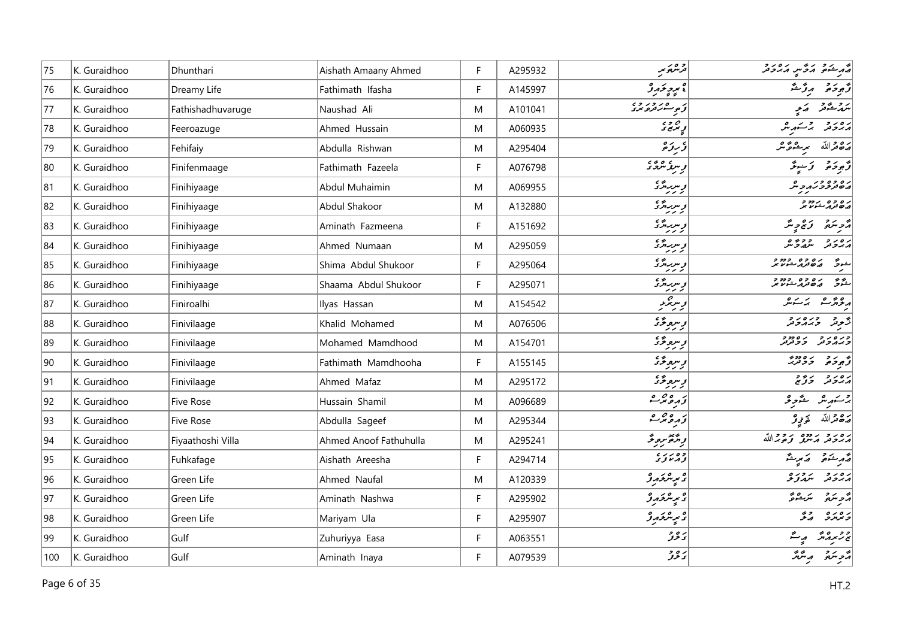| 75  | K. Guraidhoo | Dhunthari         | Aishath Amaany Ahmed   | F         | A295932 | ترىرى ئىر                                    | הת בים גלית גם גם                                     |
|-----|--------------|-------------------|------------------------|-----------|---------|----------------------------------------------|-------------------------------------------------------|
| 76  | K. Guraidhoo | Dreamy Life       | Fathimath Ifasha       | F         | A145997 | ۽ <sub>موج</sub> و پرو                       | أزُودَهُ رِزَّتْ                                      |
| 77  | K. Guraidhoo | Fathishadhuvaruge | Naushad Ali            | ${\sf M}$ | A101041 | ن موسور ور و ،<br> نومو سور ترويخ            | بروية وكمع                                            |
| 78  | K. Guraidhoo | Feeroazuge        | Ahmed Hussain          | M         | A060935 | وپرې                                         | رەرو جەسىر ش                                          |
| 79  | K. Guraidhoo | Fehifaiy          | Abdulla Rishwan        | M         | A295404 | د کرونه                                      | رە قراللە مەشۇر                                       |
| 80  | K. Guraidhoo | Finifenmaage      | Fathimath Fazeela      | F         | A076798 | و سرو مرچ د                                  | أوَّتِوَى وَسَوَّدَّ                                  |
| 81  | K. Guraidhoo | Finihiyaage       | Abdul Muhaimin         | M         | A069955 | و سربر پر <sup>ی</sup><br>بر بر بر           | ره ده در<br>مەمدىرى <i>ر</i> ىرىد                     |
| 82  | K. Guraidhoo | Finihiyaage       | Abdul Shakoor          | ${\sf M}$ | A132880 | و سربر پر <sup>ی</sup><br>بر بر بر           | ر ٥ ۶ ٥ ٥ ر <del>٥</del> ۶<br>پرڪ تربر شو <i>٧ بر</i> |
| 83  | K. Guraidhoo | Finihiyaage       | Aminath Fazmeena       | F         | A151692 | و سربر پر د<br>تر سربرگری                    | أأدينه زءويثر                                         |
| 84  | K. Guraidhoo | Finihiyaage       | Ahmed Numaan           | ${\sf M}$ | A295059 | او مدر پرچ<br>او مدر پرچ                     | גפני הרבית                                            |
| 85  | K. Guraidhoo | Finihiyaage       | Shima Abdul Shukoor    | F         | A295064 | و سربر پژی<br>بر بر بر                       | شونز ده و د و د و د<br>شونز در ه تعرير شوم تو         |
| 86  | K. Guraidhoo | Finihiyaage       | Shaama Abdul Shukoor   | F         | A295071 | او مدر دي.<br><u>اب</u>                      | شه ده وه و دو د<br>شوگر می هرم شوم مر                 |
| 87  | K. Guraidhoo | Finiroalhi        | Ilyas Hassan           | M         | A154542 | وسرچر <sub>یں</sub>                          | مەمەر ئەسكەنلەر                                       |
| 88  | K. Guraidhoo | Finivilaage       | Khalid Mohamed         | ${\sf M}$ | A076506 | ار سره وځو<br><u>کسب</u>                     | دحمقر المحددة والمحمد                                 |
| 89  | K. Guraidhoo | Finivilaage       | Mohamed Mamdhood       | ${\sf M}$ | A154701 | ر سره م <sup>و ی</sup><br><u>سرسر</u>        | ور ه ر و بر د وو و<br>تربر بر بر د تر تر تر           |
| 90  | K. Guraidhoo | Finivilaage       | Fathimath Mamdhooha    | F         | A155145 | ر سره د د ؟<br>ر بر بر                       | أو د د دوره<br>او دور                                 |
| 91  | K. Guraidhoo | Finivilaage       | Ahmed Mafaz            | M         | A295172 | او مره و ځ<br><u>کري</u> ر                   | رەر دىر                                               |
| 92  | K. Guraidhoo | <b>Five Rose</b>  | Hussain Shamil         | M         | A096689 | ى مەھ بىر<br>تەمرىكى شە                      | يز سەر شەھ بەر ئە                                     |
| 93  | K. Guraidhoo | <b>Five Rose</b>  | Abdulla Sageef         | M         | A295344 | أقرمره جرعه                                  | بره والله خرنوم                                       |
| 94  | K. Guraidhoo | Fiyaathoshi Villa | Ahmed Anoof Fathuhulla | M         | A295241 | و پژ <sub>نتخ مرعه</sub> څه                  | ره رو بردوه بروج الله                                 |
| 95  | K. Guraidhoo | Fuhkafage         | Aishath Areesha        | F         | A294714 | و ە ر ر ،<br>ز پر ر تى                       | أقرم شكافه الكامير مشكر                               |
| 96  | K. Guraidhoo | Green Life        | Ahmed Naufal           | ${\sf M}$ | A120339 | <sup>ە</sup> بې <sup>ت</sup> رى <i>خەر</i> ۋ | ره رو بروره<br>پرېدن شمرنونو                          |
| 97  | K. Guraidhoo | Green Life        | Aminath Nashwa         | F         | A295902 | م پېښو <i>پېرو</i> گر                        | أأترجم تتراشي                                         |
| 98  | K. Guraidhoo | Green Life        | Mariyam Ula            | F         | A295907 | ە <sub>مو</sub> يۇر بۇ                       | و ده دو و                                             |
| 99  | K. Guraidhoo | Gulf              | Zuhuriyya Easa         | F         | A063551 | ر ه و<br>ى ترو                               | ج رحم مرکز<br>  سی سر مرکز<br>رپه                     |
| 100 | K. Guraidhoo | Gulf              | Aminath Inaya          | F         | A079539 | ىز بۇ تە                                     | أأترسم ويتمر                                          |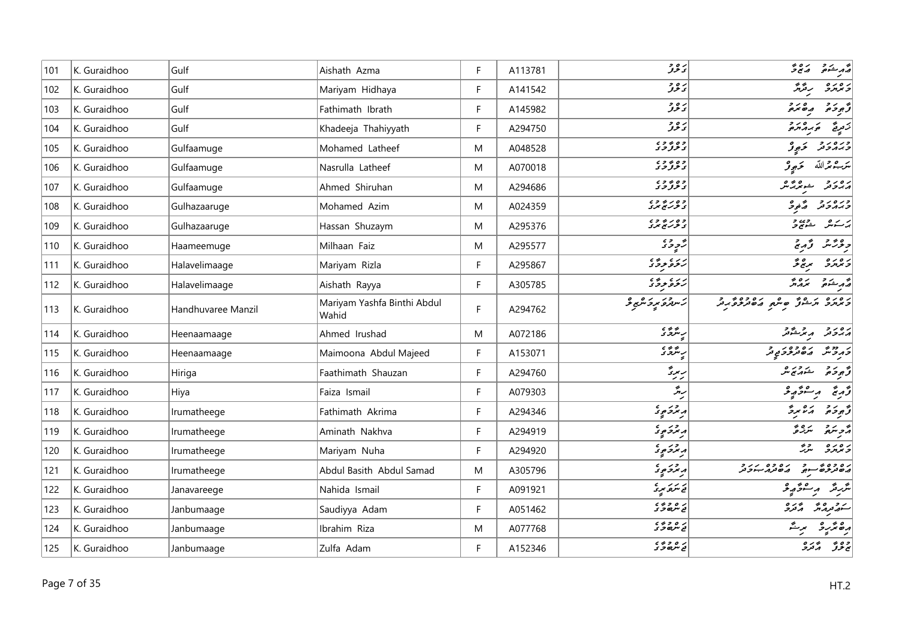| 101 | K. Guraidhoo | Gulf               | Aishath Azma                         | F         | A113781 | ره و                             | ەسىمى<br>لمجمر ينكوهم                               |
|-----|--------------|--------------------|--------------------------------------|-----------|---------|----------------------------------|-----------------------------------------------------|
| 102 | K. Guraidhoo | Gulf               | Mariyam Hidhaya                      | F         | A141542 | ر ه د<br>ک نون                   | ر ه ر ه<br><del>و</del> بربرو<br>ردگردگر            |
| 103 | K. Guraidhoo | Gulf               | Fathimath Ibrath                     | F         | A145982 | ىز وژ                            | ە 2 مەرج<br>ەرھە بىرى<br>و مرد د<br>اقرامو حام      |
| 104 | K. Guraidhoo | Gulf               | Khadeeja Thahiyyath                  | F         | A294750 | ر ه د<br>ار نرو                  | ترمرچٌ<br>ر مرد د<br>محمد مردم                      |
| 105 | K. Guraidhoo | Gulfaamuge         | Mohamed Latheef                      | M         | A048528 | د ه و و ء<br>د ترتو د د          | و ره ر د<br><i>و پر</i> پر تر<br>ځږوگ               |
| 106 | K. Guraidhoo | Gulfaamuge         | Nasrulla Latheef                     | M         | A070018 | د ه و و ،<br>د ترتو تر د         | بتربيع ترالله                                       |
| 107 | K. Guraidhoo | Gulfaamuge         | Ahmed Shiruhan                       | M         | A294686 | وه ۶ و ۲<br>کاموگر <i>و</i> ک    | ے <i>پر بڑ</i> س<br>ر ەر د<br>م.روتر                |
| 108 | K. Guraidhoo | Gulhazaaruge       | Mohamed Azim                         | M         | A024359 | و ه ر پر و ء<br>  د څرنرنځ بنړۍ  | د څو ژ<br>و ره ر و<br><i>د بر</i> د تر              |
| 109 | K. Guraidhoo | Gulhazaaruge       | Hassan Shuzaym                       | M         | A295376 | و ه ر په و ،<br>  د څرن پم پور   | ير کے مگر مقام دی ج                                 |
| 110 | K. Guraidhoo | Haameemuge         | Milhaan Faiz                         | M         | A295577 | ژ <sub>حو</sub> حری<br>م         | د و ژنگر<br>تر د بر                                 |
| 111 | K. Guraidhoo | Halavelimaage      | Mariyam Rizla                        | F         | A295867 | ر ري په دي.<br>مرکزه کر          | ر ه ر ه<br><del>د</del> بربرگ<br>ىرىج ئۇ            |
| 112 | K. Guraidhoo | Halavelimaage      | Aishath Rayya                        | F         | A305785 | ر د ه د و د                      | و ده ده ده و                                        |
| 113 | K. Guraidhoo | Handhuvaree Manzil | Mariyam Yashfa Binthi Abdul<br>Wahid | F         | A294762 | ئەسترى <i>مىرى شى</i> رى         | ג סגם גם משת הסינית בי<br>המתב תשינ" שיתו הסינית בי |
| 114 | K. Guraidhoo | Heenaamaage        | Ahmed Irushad                        | M         | A072186 | ر پوځ د<br>بر متر <del>و</del> د | رەرو مەشقى                                          |
| 115 | K. Guraidhoo | Heenaamaage        | Maimoona Abdul Majeed                | F         | A153071 | ر پژو <sup>ي</sup><br>په مرد د   | בתכית הסינת בית                                     |
| 116 | K. Guraidhoo | Hiriga             | Faathimath Shauzan                   | F         | A294760 | ىرىپرىگە<br>مەم                  | و د د شهری ش                                        |
| 117 | K. Guraidhoo | Hiya               | Faiza Ismail                         | F         | A079303 | رپڙ                              | قرمريح<br>برىشۇپەيى                                 |
| 118 | K. Guraidhoo | Irumatheege        | Fathimath Akrima                     | F         | A294346 | <br>  بر بر د ځو د               | ۇ ب <sub>و</sub> ر د<br>ىر ئەسرىتى                  |
| 119 | K. Guraidhoo | Irumatheege        | Aminath Nakhva                       | F         | A294919 | د بر در پ<br>د بر د نو           | أرمز يتزه<br>سرەپچ                                  |
| 120 | K. Guraidhoo | Irumatheege        | Mariyam Nuha                         | F         | A294920 | ېر تر <i>ځ</i> رې د              | ر ه بر ه<br><del>د</del> بربرگر<br>سرجر             |
| 121 | K. Guraidhoo | Irumatheege        | Abdul Basith Abdul Samad             | ${\sf M}$ | A305796 | <br> پرېږد <sub>مو</sub> د       | נסכם מה כן נסכם נגב<br>גיסט <i>בס מה הסט</i> ג הפט  |
| 122 | K. Guraidhoo | Janavareege        | Nahida Ismail                        | F         | A091921 | ئے مترکھ سریحہ                   | لتربينه وبشؤوعه                                     |
| 123 | K. Guraidhoo | Janbumaage         | Saudiyya Adam                        | F         | A051462 | ر ه د و و ،<br>تع سرچ تر د       | سەر تىرەر ش<br>پر ہ<br>مرکز                         |
| 124 | K. Guraidhoo | Janbumaage         | Ibrahim Riza                         | M         | A077768 | ر ه د و و ،<br>تع سرچ تر د       | ە ھەترىر <sup>ە</sup>                               |
| 125 | K. Guraidhoo | Janbumaage         | Zulfa Adam                           | F         | A152346 | ر ه د و و ،<br>قع سره تر د       | دە بە<br>ئاخرىق<br>پور ہ<br>مرکز ژ                  |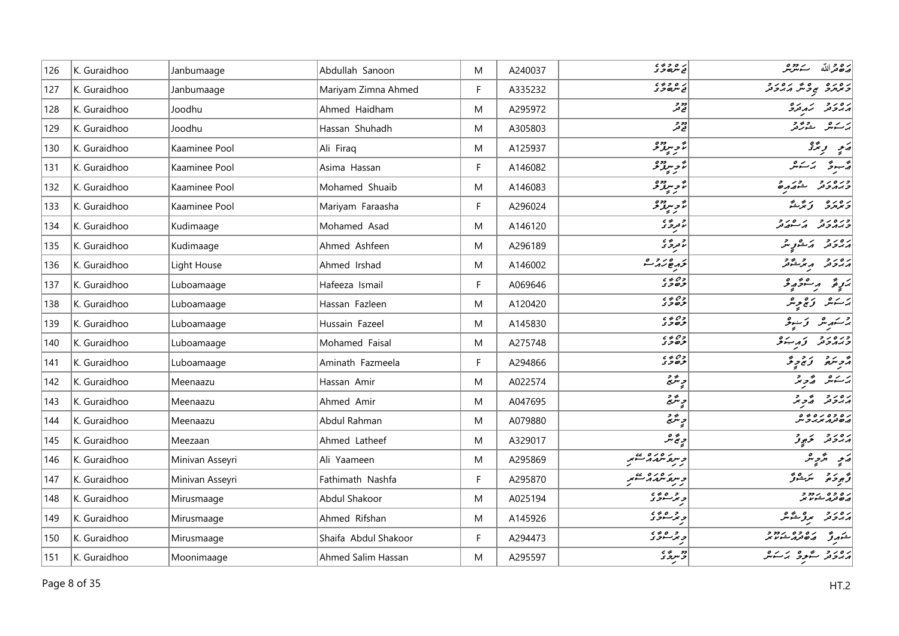| 126 | K. Guraidhoo | Janbumaage      | Abdullah Sanoon      | M  | A240037 | ر ه د و و<br>تع سرحه تر د                        | رەقراللە كەددە                                  |
|-----|--------------|-----------------|----------------------|----|---------|--------------------------------------------------|-------------------------------------------------|
| 127 | K. Guraidhoo | Janbumaage      | Mariyam Zimna Ahmed  | F. | A335232 | ر ه د و و ،<br>قع سرحه تر د                      | ر وره هو رورد                                   |
| 128 | K. Guraidhoo | Joodhu          | Ahmed Haidham        | M  | A295972 | وو و<br>قع قر                                    | أرورو كهرمرة                                    |
| 129 | K. Guraidhoo | Joodhu          | Hassan Shuhadh       | M  | A305803 | وو و<br>فع فر                                    | يز ستانتر المستقبل الم                          |
| 130 | K. Guraidhoo | Kaaminee Pool   | Ali Firaq            | M  | A125937 | ر<br>ئىر سرىر تى                                 | ړې ویژه                                         |
| 131 | K. Guraidhoo | Kaaminee Pool   | Asima Hassan         | F. | A146082 | ر<br>ئۈچ سربىر بىر                               | ۇجۇ ئەسكىر                                      |
| 132 | K. Guraidhoo | Kaaminee Pool   | Mohamed Shuaib       | M  | A146083 | ئ <sup>ۇ</sup> جەمىرىي تە                        | כנסנכ ברגב<br>בגתכת המהם                        |
| 133 | K. Guraidhoo | Kaaminee Pool   | Mariyam Faraasha     | F  | A296024 | ر<br>ئىر سرىر تى                                 | رەرە زېرىش                                      |
| 134 | K. Guraidhoo | Kudimaage       | Mohamed Asad         | M  | A146120 | و<br>مەنزىرى                                     | כנסנכ הפניכ<br><i>כה</i> תכנ <sub>י</sub> ה-המנ |
| 135 | K. Guraidhoo | Kudimaage       | Ahmed Ashfeen        | M  | A296189 | د و »<br>ما تورد د                               | أمهاد والمشرور المستعمر                         |
| 136 | K. Guraidhoo | Light House     | Ahmed Irshad         | M  | A146002 | ىخ بەھ <i>شەرق</i>                               | أرور وتمشقر                                     |
| 137 | K. Guraidhoo | Luboamaage      | Hafeeza Ismail       | F  | A069646 | و <i>0 ه</i> ی<br>مو <b>ره</b> و ک               | يَرُونُجُ لِمُ مِسْتَرْمُ مِنْ وَ               |
| 138 | K. Guraidhoo | Luboamaage      | Hassan Fazleen       | M  | A120420 | و <i>0 پ</i> ه ع<br>مو <b>ن</b> ه <del>و</del> ک | برسەش ئەمچ چەر                                  |
| 139 | K. Guraidhoo | Luboamaage      | Hussain Fazeel       | M  | A145830 | و <i>0 ہ</i> ے ج<br>موضو ت                       | وستهرش تخاشوها                                  |
| 140 | K. Guraidhoo | Luboamaage      | Mohamed Faisal       | M  | A275748 | و <i>0 ه</i> ء<br>موھ <del>و</del> ي             | ورەرو تەرىبو                                    |
| 141 | K. Guraidhoo | Luboamaage      | Aminath Fazmeela     | F. | A294866 | و <i>0 ه</i> ی<br>مو <b>ن</b> ه و ی              | أزويتم وتاويح                                   |
| 142 | K. Guraidhoo | Meenaazu        | Hassan Amir          | M  | A022574 | حريثرج                                           | يرسكانكر الأقرانكر                              |
| 143 | K. Guraidhoo | Meenaazu        | Ahmed Amir           | M  | A047695 | حريثرج                                           | رەر ئەرىر                                       |
| 144 | K. Guraidhoo | Meenaazu        | Abdul Rahman         | M  | A079880 | حريثرج                                           | ر ه و ه ر ه د ه<br>پره تربر تر س                |
| 145 | K. Guraidhoo | Meezaan         | Ahmed Latheef        | M  | A329017 | <br>دېڅ مګر                                      | أرور وبوق                                       |
| 146 | K. Guraidhoo | Minivan Asseyri | Ali Yaameen          | M  | A295869 | حەسى ھەرەر مەسىر<br>مەسىر ھەممەدىكى مەسىر        | ړنې پرېژ                                        |
| 147 | K. Guraidhoo | Minivan Asseyri | Fathimath Nashfa     | F  | A295870 | קיינג' מגם שי<br>קיינג' יינג'ה                   | أوَّجْوَةَ مَرْشُوَّرٌ                          |
| 148 | K. Guraidhoo | Mirusmaage      | Abdul Shakoor        | M  | A025194 | و بر ه و و ،                                     | ره وه پر دو و<br>پره توپر شور مر                |
| 149 | K. Guraidhoo | Mirusmaage      | Ahmed Rifshan        | M  | A145926 | ج بر شوی                                         | رەرد بروشگر                                     |
| 150 | K. Guraidhoo | Mirusmaage      | Shaifa Abdul Shakoor | F. | A294473 | أوبر فقعة                                        | شهرق ده وه ردود<br>شهرق مان هرمشون مر           |
| 151 | K. Guraidhoo | Moonimaage      | Ahmed Salim Hassan   | M  | A295597 | ود پرځ ی<br>د سرچ <sub>ک</sub>                   | ړه د په کروی ټرکنه                              |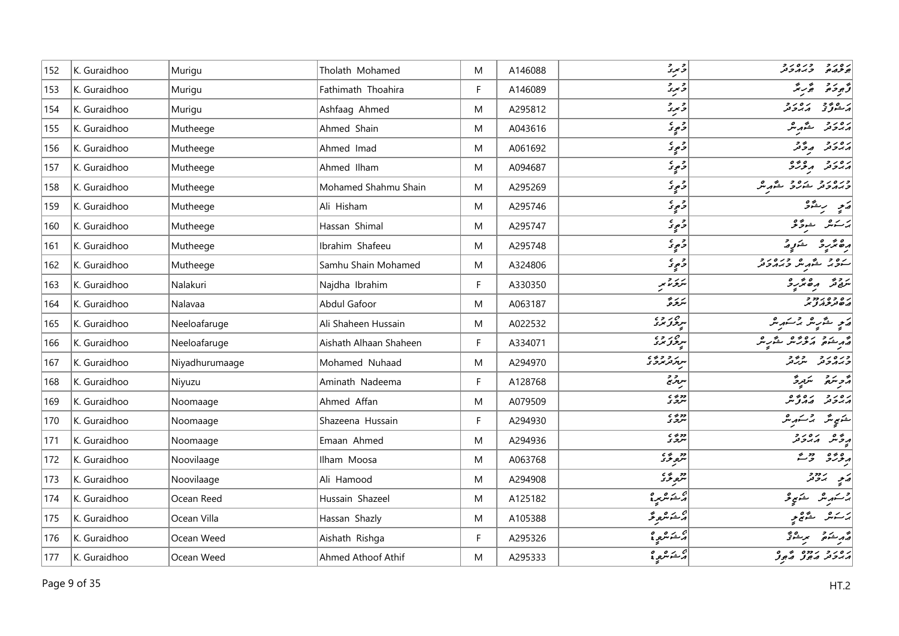| 152 | K. Guraidhoo | Murigu         | Tholath Mohamed        | M         | A146088 | و برد<br>و برد                                                                                                                                                                                                                                                                                                                                 | ן סיי כי סייכ                     |
|-----|--------------|----------------|------------------------|-----------|---------|------------------------------------------------------------------------------------------------------------------------------------------------------------------------------------------------------------------------------------------------------------------------------------------------------------------------------------------------|-----------------------------------|
| 153 | K. Guraidhoo | Muriqu         | Fathimath Thoahira     | F         | A146089 | و برد<br>و برد                                                                                                                                                                                                                                                                                                                                 | و مر د<br>اگرېږ خو<br>ىقى سەتتىر  |
| 154 | K. Guraidhoo | Murigu         | Ashfaag Ahmed          | M         | A295812 | ومرد                                                                                                                                                                                                                                                                                                                                           | ر ەم دەر دەر<br>مەشۇق مەردىر      |
| 155 | K. Guraidhoo | Mutheege       | Ahmed Shain            | M         | A043616 | و<br>حرمونه                                                                                                                                                                                                                                                                                                                                    | رەرد شەر                          |
| 156 | K. Guraidhoo | Mutheege       | Ahmed Imad             | M         | A061692 | و<br>ترمړنو                                                                                                                                                                                                                                                                                                                                    | برەر د پروتر                      |
| 157 | K. Guraidhoo | Mutheege       | Ahmed Ilham            | M         | A094687 | و<br>حوړ                                                                                                                                                                                                                                                                                                                                       | رەرد مەدە                         |
| 158 | K. Guraidhoo | Mutheege       | Mohamed Shahmu Shain   | M         | A295269 | و<br>حوړ                                                                                                                                                                                                                                                                                                                                       | ورەرو دەرە ئەرش                   |
| 159 | K. Guraidhoo | Mutheege       | Ali Hisham             | ${\sf M}$ | A295746 | د<br>ترمړنو                                                                                                                                                                                                                                                                                                                                    | ړې رخه د<br>دې رخه د              |
| 160 | K. Guraidhoo | Mutheege       | Hassan Shimal          | M         | A295747 | و<br>حوي                                                                                                                                                                                                                                                                                                                                       |                                   |
| 161 | K. Guraidhoo | Mutheege       | Ibrahim Shafeeu        | M         | A295748 | و<br>حوي                                                                                                                                                                                                                                                                                                                                       | رەپرىر شۆر                        |
| 162 | K. Guraidhoo | Mutheege       | Samhu Shain Mohamed    | M         | A324806 | و<br>حوړ                                                                                                                                                                                                                                                                                                                                       | سودر شهر مده دده                  |
| 163 | K. Guraidhoo | Nalakuri       | Najdha Ibrahim         | F         | A330350 | يرؤرم                                                                                                                                                                                                                                                                                                                                          | يروير مره بر بر د                 |
| 164 | K. Guraidhoo | Nalavaa        | Abdul Gafoor           | M         | A063187 | سرترى                                                                                                                                                                                                                                                                                                                                          | ر ه د ه د دد د<br>پره تر پر تر بر |
| 165 | K. Guraidhoo | Neeloafaruge   | Ali Shaheen Hussain    | M         | A022532 | سرچونو پر د<br>پیرچونو مر <sub>کب</sub>                                                                                                                                                                                                                                                                                                        | أرَمِ حَدَّرٍ مَرْ سَنَ مِرْ مَرْ |
| 166 | K. Guraidhoo | Neeloafaruge   | Aishath Alhaan Shaheen | F         | A334071 | ەر دې<br>سرچونرىرى                                                                                                                                                                                                                                                                                                                             | أورشن المورش شريش                 |
| 167 | K. Guraidhoo | Niyadhurumaage | Mohamed Nuhaad         | M         | A294970 | سر د و و و و<br>سرتر پرو د                                                                                                                                                                                                                                                                                                                     | ور ہ ر د و و د<br>تربر پر سرگرفتر |
| 168 | K. Guraidhoo | Niyuzu         | Aminath Nadeema        | F         | A128768 | سردج                                                                                                                                                                                                                                                                                                                                           | أأترجم للتعريج                    |
| 169 | K. Guraidhoo | Noomaage       | Ahmed Affan            | M         | A079509 | ود پر پر<br>سرچ پ                                                                                                                                                                                                                                                                                                                              | גפניק גפשים                       |
| 170 | K. Guraidhoo | Noomaage       | Shazeena Hussain       | F         | A294930 | وو پر پر<br>سرچ ک                                                                                                                                                                                                                                                                                                                              | شەيپ ئىر - ئەسەر ئىر              |
| 171 | K. Guraidhoo | Noomaage       | Emaan Ahmed            | M         | A294936 | وو پر پر<br>سرچ <sub>ک</sub>                                                                                                                                                                                                                                                                                                                   | ړو پره دو                         |
| 172 | K. Guraidhoo | Noovilaage     | Ilham Moosa            | M         | A063768 | دد په په<br>سرعو تر د                                                                                                                                                                                                                                                                                                                          | أرور والمستعمد                    |
| 173 | K. Guraidhoo | Noovilaage     | Ali Hamood             | M         | A294908 | دد<br>متر <sub>جو</sub> بحری                                                                                                                                                                                                                                                                                                                   | أەيم بردود                        |
| 174 | K. Guraidhoo | Ocean Reed     | Hussain Shazeel        | M         | A125182 | لرشته مربوع                                                                                                                                                                                                                                                                                                                                    | 2 سەر شەر ئىس كىلىن ئىس ئىس ئىس   |
| 175 | K. Guraidhoo | Ocean Villa    | Hassan Shazly          | M         | A105388 | مەسىئە مىسى <i>م</i> ىر                                                                                                                                                                                                                                                                                                                        | برستماش الشقيمي                   |
| 176 | K. Guraidhoo | Ocean Weed     | Aishath Rishga         | F         | A295326 | $\sqrt[3]{\sum_{i=1}^{n} \sum_{j=1}^{n} \sum_{j=1}^{n} \sum_{j=1}^{n} \sum_{j=1}^{n} \sum_{j=1}^{n} \sum_{j=1}^{n} \sum_{j=1}^{n} \sum_{j=1}^{n} \sum_{j=1}^{n} \sum_{j=1}^{n} \sum_{j=1}^{n} \sum_{j=1}^{n} \sum_{j=1}^{n} \sum_{j=1}^{n} \sum_{j=1}^{n} \sum_{j=1}^{n} \sum_{j=1}^{n} \sum_{j=1}^{n} \sum_{j=1}^{n} \sum_{j=1}^{n} \sum_{j=$ | م المستكفر المستحقة               |
| 177 | K. Guraidhoo | Ocean Weed     | Ahmed Athoof Athif     | M         | A295333 | لمشتر معروبي                                                                                                                                                                                                                                                                                                                                   | ر ور د ردده د به و                |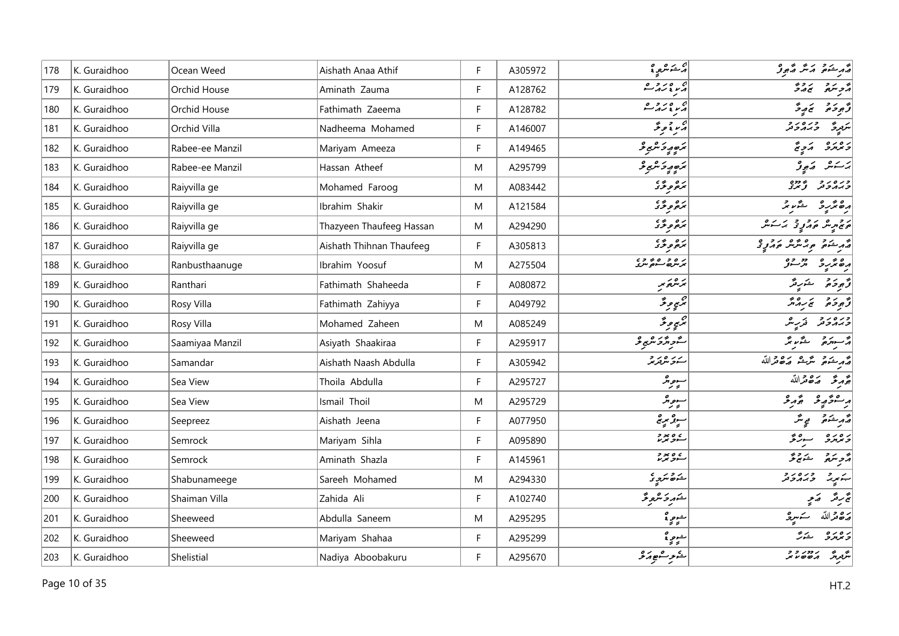| 178 | K. Guraidhoo | Ocean Weed      | Aishath Anaa Athif       | F           | A305972 | پر <u>مئرمرم</u> ؟<br>                  | و مشاه در و در و د                                  |
|-----|--------------|-----------------|--------------------------|-------------|---------|-----------------------------------------|-----------------------------------------------------|
| 179 | K. Guraidhoo | Orchid House    | Aminath Zauma            | F           | A128762 | ەر بەر جەم<br>مەنبەر بەر                | ے پر بڑ<br>سی مرکز<br>أرمز                          |
| 180 | K. Guraidhoo | Orchid House    | Fathimath Zaeema         | F           | A128782 |                                         | توجوخته تمرجة                                       |
| 181 | K. Guraidhoo | Orchid Villa    | Nadheema Mohamed         | F           | A146007 | ەر بە ئەرگە<br>مەر بەر                  | و ر ه ر د<br>تر پر ژ تر<br>سرمرگر                   |
| 182 | K. Guraidhoo | Rabee-ee Manzil | Mariyam Ameeza           | F           | A149465 | ائەھەر ئەممىي قە                        | د ورو ردي                                           |
| 183 | K. Guraidhoo | Rabee-ee Manzil | Hassan Atheef            | M           | A295799 | لىئەردىمبوقە                            | پرستمبر اړېږو                                       |
| 184 | K. Guraidhoo | Raiyvilla ge    | Mohamed Faroog           | M           | A083442 | بره و پر ،<br>مر <sub>حو</sub> لونځ     | و ره ر د<br><i>د ب</i> رگرفر<br>یږ ده ه<br>تر نمرنۍ |
| 185 | K. Guraidhoo | Raiyvilla ge    | Ibrahim Shakir           | M           | A121584 | ر ه<br>بر <sub>گ</sub> ور و د           | وە ئەر ئىسىم                                        |
| 186 | K. Guraidhoo | Raiyvilla ge    | Thazyeen Thaufeeg Hassan | M           | A294290 | ىرە ھەتىي<br>ئىرقۇمۇتى                  | وتمرير وأرقم والمستقر                               |
| 187 | K. Guraidhoo | Raiyvilla ge    | Aishath Thihnan Thaufeeg | $\mathsf F$ | A305813 | ىرە جەيجە<br>ئىرقۇمۇتى                  | و المستوفى و مرهور و دوره و د                       |
| 188 | K. Guraidhoo | Ranbusthaanuge  | Ibrahim Yoosuf           | M           | A275504 | ر و د و پر د ،<br>برس ه سوه سرد         | ופת כי ת-ני                                         |
| 189 | K. Guraidhoo | Ranthari        | Fathimath Shaheeda       | F           | A080872 | ابرتقهمر                                | قَهْ وَجَعْدَ مُسَارِقَهِ                           |
| 190 | K. Guraidhoo | Rosy Villa      | Fathimath Zahiyya        | $\mathsf F$ | A049792 | ترىپەرگە                                | توجوختم تمرمه                                       |
| 191 | K. Guraidhoo | Rosy Villa      | Mohamed Zaheen           | M           | A085249 | ترىپەرگە                                | ورەرو ترىپ                                          |
| 192 | K. Guraidhoo | Saamiyaa Manzil | Asiyath Shaakiraa        | F           | A295917 | گ <sub>ىر</sub> بۇر ئى <sub>رى</sub> گە | ۇسىزۇ شىر                                           |
| 193 | K. Guraidhoo | Samandar        | Aishath Naash Abdulla    | F           | A305942 | ے پر 2 پر 2<br>سکوٹ سرفرنز              | صَّمَ شَوْمٍ سَرَّتْ صَرَّةٌ مِنْ اللَّهِ           |
| 194 | K. Guraidhoo | Sea View        | Thoila Abdulla           | $\mathsf F$ | A295727 | سوە<br>ئ                                | أجموع ضقاطته                                        |
| 195 | K. Guraidhoo | Sea View        | Ismail Thoil             | M           | A295729 | سوەپر                                   |                                                     |
| 196 | K. Guraidhoo | Seepreez        | Aishath Jeena            | F           | A077950 | سوژىيە                                  |                                                     |
| 197 | K. Guraidhoo | Semrock         | Mariyam Sihla            | F           | A095890 | ے ہ یو و<br>سوو تبریہ                   | ويوبره<br>سەرىخە                                    |
| 198 | K. Guraidhoo | Semrock         | Aminath Shazla           | $\mathsf F$ | A145961 | ے ویو و<br>سعو محرما                    | ړٌ پر شرح د                                         |
| 199 | K. Guraidhoo | Shabunameege    | Sareeh Mohamed           | M           | A294330 | ے ک <i>ے مر<sub>کب</sub>ے</i>           | بەئىرچ<br>و رە ر د<br>تر پر تر تر                   |
| 200 | K. Guraidhoo | Shaiman Villa   | Zahida Ali               | F.          | A102740 | ىشەر <i>خى</i> ر ھ <sub>و</sub> مۇ      | تج په تمني                                          |
| 201 | K. Guraidhoo | Sheeweed        | Abdulla Saneem           | M           | A295295 | شوم ؟<br>پر پر                          | <mark>برە ت</mark> راللە<br>سەسرى                   |
| 202 | K. Guraidhoo | Sheeweed        | Mariyam Shahaa           | F           | A295299 | شوم ؟<br>خونو ؟                         | ر ه ر ه<br><del>ر</del> بربرو<br>ے تر               |
| 203 | K. Guraidhoo | Shelistial      | Nadiya Aboobakuru        | F           | A295670 | يحويه ويرثر                             | 77/77/<br>سۇپرىژ                                    |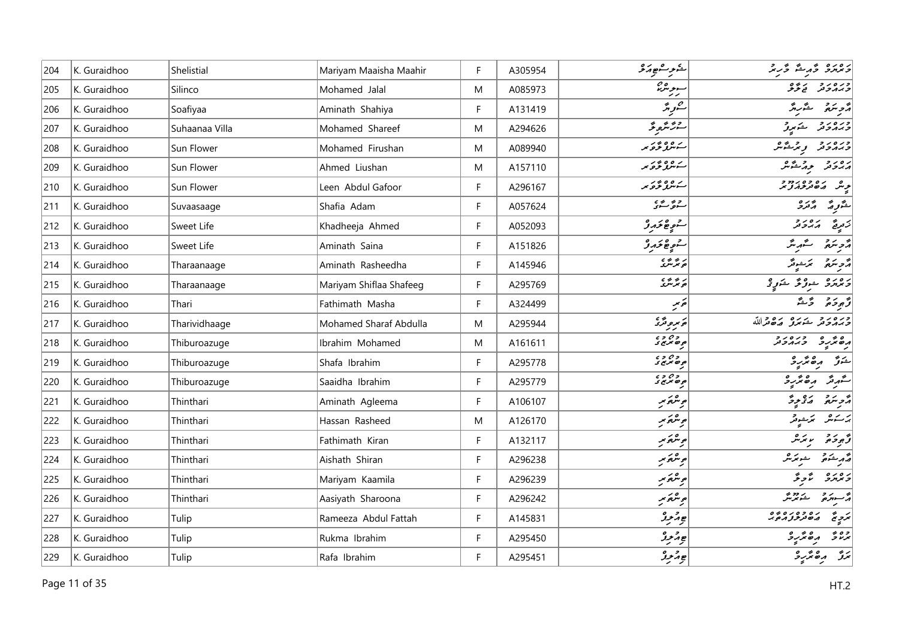| 204 | K. Guraidhoo | Shelistial     | Mariyam Maaisha Maahir  | F.          | A305954 | شور ش <sub>ا</sub> ھ رکھ           | د برمرد و مرید و دید                        |
|-----|--------------|----------------|-------------------------|-------------|---------|------------------------------------|---------------------------------------------|
| 205 | K. Guraidhoo | Silinco        | Mohamed Jalal           | M           | A085973 | سوپرتا<br>مر                       | ورەر دىر دە                                 |
| 206 | K. Guraidhoo | Soafiyaa       | Aminath Shahiya         | F           | A131419 | سكوبر                              | ومحر ستور المحر وتر                         |
| 207 | K. Guraidhoo | Suhaanaa Villa | Mohamed Shareef         | M           | A294626 | ر دېږي ځه ک                        | ورەرو شەرو                                  |
| 208 | K. Guraidhoo | Sun Flower     | Mohamed Firushan        | M           | A089940 | سەش ۋۇ ئىر                         | ورەرو پەرشەر                                |
| 209 | K. Guraidhoo | Sun Flower     | Ahmed Liushan           | M           | A157110 | ر پەرە بەر<br>سەئىلەنلەر بىر       | رەرە بورىشىر                                |
| 210 | K. Guraidhoo | Sun Flower     | Leen Abdul Gafoor       | F           | A296167 | ر 2006 كەنگە                       | د ۱۵۶۵۶ ورود د<br>  د سر می می در محمد و سر |
| 211 | K. Guraidhoo | Suvaasaage     | Shafia Adam             | F           | A057624 | <u>ر ژه په پ</u>                   | شَورة " ارتوره                              |
| 212 | K. Guraidhoo | Sweet Life     | Khadheeja Ahmed         | F.          | A052093 | شموٍ ع ځرمر ژ                      | تزمريح أأزروج                               |
| 213 | K. Guraidhoo | Sweet Life     | Aminath Saina           | F           | A151826 | ش <sub>مو</sub> ءِ <sub>تومر</sub> | وحريتكم الشمرين                             |
| 214 | K. Guraidhoo | Tharaanaage    | Aminath Rasheedha       | F           | A145946 | ر پر پر ۽<br>حو مگرمنزي            | أأدمره أأرشوقه                              |
| 215 | K. Guraidhoo | Tharaanaage    | Mariyam Shiflaa Shafeeg | F.          | A295769 | ر پر پر پر<br>حو مرس               | رەرە جاۋۇ خ <i>ۇ</i> رۇ                     |
| 216 | K. Guraidhoo | Thari          | Fathimath Masha         | F.          | A324499 | ځومبر                              | أَوْجِعَ حَمْدَ أَيْسَمُ                    |
| 217 | K. Guraidhoo | Tharividhaage  | Mohamed Sharaf Abdulla  | M           | A295944 | ئە مر <sub>ى</sub> ر قرى<br>م      | وره رو بربره بره والله                      |
| 218 | K. Guraidhoo | Thiburoazuge   | Ibrahim Mohamed         | M           | A161611 | ده ده<br>وه پرې د                  | دە ئەرەردە                                  |
| 219 | K. Guraidhoo | Thiburoazuge   | Shafa Ibrahim           | $\mathsf F$ | A295778 | ده د ،<br>وه پرې د                 | لمنوش مرە ترىرو                             |
| 220 | K. Guraidhoo | Thiburoazuge   | Saaidha Ibrahim         | $\mathsf F$ | A295779 | د ۲ و ۲<br>موځ تر تار              | گرېگر رەغرىر                                |
| 221 | K. Guraidhoo | Thinthari      | Aminath Agleema         | F           | A106107 | موسفوكمبر                          | أأدبتكم الأوالحي                            |
| 222 | K. Guraidhoo | Thinthari      | Hassan Rasheed          | M           | A126170 | موسفوكمبر                          | ىر<br>بركسىش مىرش <sub>و</sub> ش            |
| 223 | K. Guraidhoo | Thinthari      | Fathimath Kiran         | F           | A132117 | موشهوسر                            | ۋە ئەھ بىر ئىر                              |
| 224 | K. Guraidhoo | Thinthari      | Aishath Shiran          | F           | A296238 | مومثنغوسر                          | أقهر مشترقه المستوندر                       |
| 225 | K. Guraidhoo | Thinthari      | Mariyam Kaamila         | F.          | A296239 | موشهوسر                            | ر ه ر ه<br>د بربرگ<br>ر گە بە               |
| 226 | K. Guraidhoo | Thinthari      | Aasiyath Sharoona       | $\mathsf F$ | A296242 | مومثنعوسر                          | أوالمستركو المستوريس                        |
| 227 | K. Guraidhoo | Tulip          | Rameeza Abdul Fattah    | F.          | A145831 | ھ م <sup>ر</sup> مر پر             | ر و ده ده ده وه<br>در فق مان در در و د      |
| 228 | K. Guraidhoo | Tulip          | Rukma Ibrahim           | F           | A295450 | جوړېږ                              | برره پح<br>ەرھەترىر <sup>ى</sup>            |
| 229 | K. Guraidhoo | Tulip          | Rafa Ibrahim            | F           | A295451 | جوړېږو                             | أبرؤ مقتررة                                 |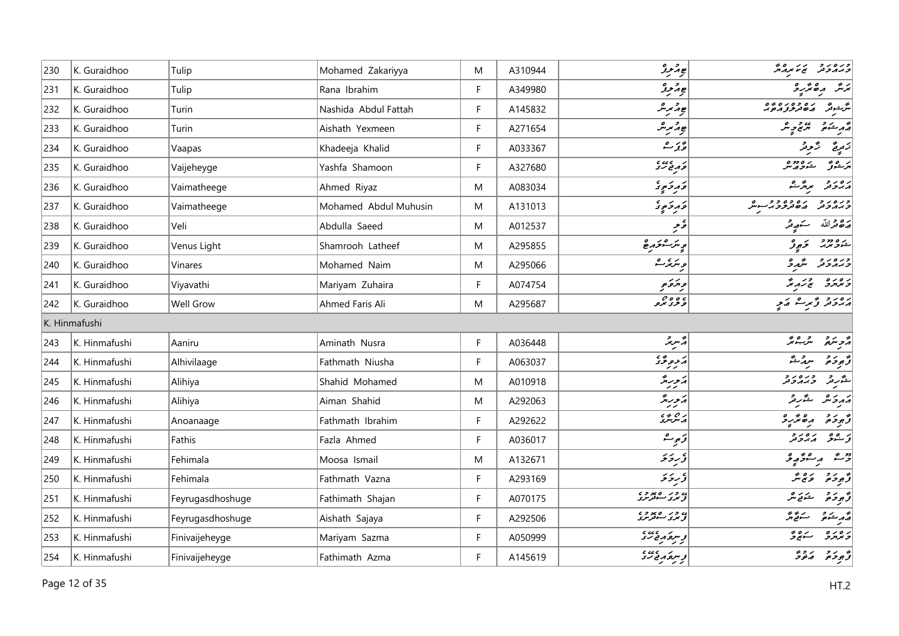| 230 | K. Guraidhoo  | Tulip            | Mohamed Zakariyya     | ${\sf M}$ | A310944 | جوړېږ                                  | כממכני הממחה                                             |
|-----|---------------|------------------|-----------------------|-----------|---------|----------------------------------------|----------------------------------------------------------|
| 231 | K. Guraidhoo  | Tulip            | Rana Ibrahim          | F         | A349980 | جوړېږ                                  | بَرْبَرُ وِ صَبَرْرِ وَ                                  |
| 232 | K. Guraidhoo  | Turin            | Nashida Abdul Fattah  | F         | A145832 | ھ م <sup>ق</sup> برىگر                 | ره ده <i>ده وه</i><br>پره تروز دره بر<br>ر<br>سرگ وگر    |
| 233 | K. Guraidhoo  | Turin            | Aishath Yexmeen       | F         | A271654 | ھ <sub>و</sub> تر <sub>مر</sub> مگر    |                                                          |
| 234 | K. Guraidhoo  | Vaapas           | Khadeeja Khalid       | F         | A033367 | ۇ بۇ شە                                | زَمِيعٌ زُمِيرٌ                                          |
| 235 | K. Guraidhoo  | Vaijeheyge       | Yashfa Shamoon        | F         | A327680 | ر<br>تو در ج ر د                       | بر ويژ شوده ور<br>پرېشو شوده س                           |
| 236 | K. Guraidhoo  | Vaimatheege      | Ahmed Riyaz           | ${\sf M}$ | A083034 | <br>  عدمر حرمو ح                      | גםגב תוציי                                               |
| 237 | K. Guraidhoo  | Vaimatheege      | Mohamed Abdul Muhusin | ${\sf M}$ | A131013 | ر<br>قەر خ <sup>ە</sup> ئ <sup>ە</sup> | ورەر دەرە دەرەر بەر<br><i>دىد</i> ەرىر مەمر <i>ورى</i> ب |
| 238 | K. Guraidhoo  | Veli             | Abdulla Saeed         | ${\sf M}$ | A012537 | غرمز                                   | أرەقراللە سەرتىر                                         |
| 239 | K. Guraidhoo  | Venus Light      | Shamrooh Latheef      | M         | A295855 | <sub>ج</sub> سر متوريج                 | پەرەدور كەيدۇ                                            |
| 240 | K. Guraidhoo  | Vinares          | Mohamed Naim          | M         | A295066 | ە ئىرىزىشە                             | سمەر ۋ<br>و ر ه ر و<br>تر پر ژ تر                        |
| 241 | K. Guraidhoo  | Viyavathi        | Mariyam Zuhaira       | F         | A074754 | وبزؤم                                  | ويوره وزرع                                               |
| 242 | K. Guraidhoo  | <b>Well Grow</b> | Ahmed Faris Ali       | ${\sf M}$ | A295687 | ه وه <i>ه</i><br>ونژونو                | رەرد ۋىرے مەر                                            |
|     | K. Hinmafushi |                  |                       |           |         |                                        |                                                          |
| 243 | K. Hinmafushi | Aaniru           | Aminath Nusra         | F         | A036448 | ومحسر بحمه                             | سرب محر<br> أرمح سرح                                     |
| 244 | K. Hinmafushi | Alhivilaage      | Fathmath Niusha       | F         | A063037 | ر<br>د عره څري                         | توالله والمتحفظ والمتعبر                                 |
| 245 | K. Hinmafushi | Alihiya          | Shahid Mohamed        | ${\sf M}$ | A010918 | وكمعرمر                                | شگرو وره دو<br>شگروگر وبرابروتر                          |
| 246 | K. Hinmafushi | Alihiya          | Aiman Shahid          | M         | A292063 | بروردٌ                                 | أترمر خدم المشرور                                        |
| 247 | K. Hinmafushi | Anoanaage        | Fathmath Ibrahim      | F         | A292622 | رہ دی                                  | ەھ ترىر ۋ<br>ۇ بور د                                     |
| 248 | K. Hinmafushi | Fathis           | Fazla Ahmed           | F         | A036017 | ا تومو <sup>م</sup>                    | بر 2 ر ح<br>م <i>ر</i> بر <del>د</del> تر<br>ترشقر       |
| 249 | K. Hinmafushi | Fehimala         | Moosa Ismail          | ${\sf M}$ | A132671 | ۇرۇئۇ                                  | وژئے پر عائر پوتو                                        |
| 250 | K. Hinmafushi | Fehimala         | Fathmath Vazna        | F         | A293169 | ۇرۇئە                                  | وٌمِ وَحَقَّ وَنَجْ مَرَّ                                |
| 251 | K. Hinmafushi | Feyrugasdhoshuge | Fathimath Shajan      | F         | A070175 | ده و ر ره پو و د<br>تو بود سوتربود     | وَّجوحَ حَ<br>ستسكن مثر                                  |
| 252 | K. Hinmafushi | Feyrugasdhoshuge | Aishath Sajaya        | F         | A292506 | دے ور ے یو و ی<br>قریمری سسومریوی      | وگەر شكەن سىكتى بىر                                      |
| 253 | K. Hinmafushi | Finivaijeheyge   | Mariyam Sazma         | F         | A050999 | و سره دره ۲۷۵<br>مر                    | ر ه ر ه<br><del>ر</del> بربرگ<br>سەپى                    |
| 254 | K. Hinmafushi | Finivaijeheyge   | Fathimath Azma        | F         | A145619 | و سره دره ۲۰۰<br>مرس                   | قر بر در برور                                            |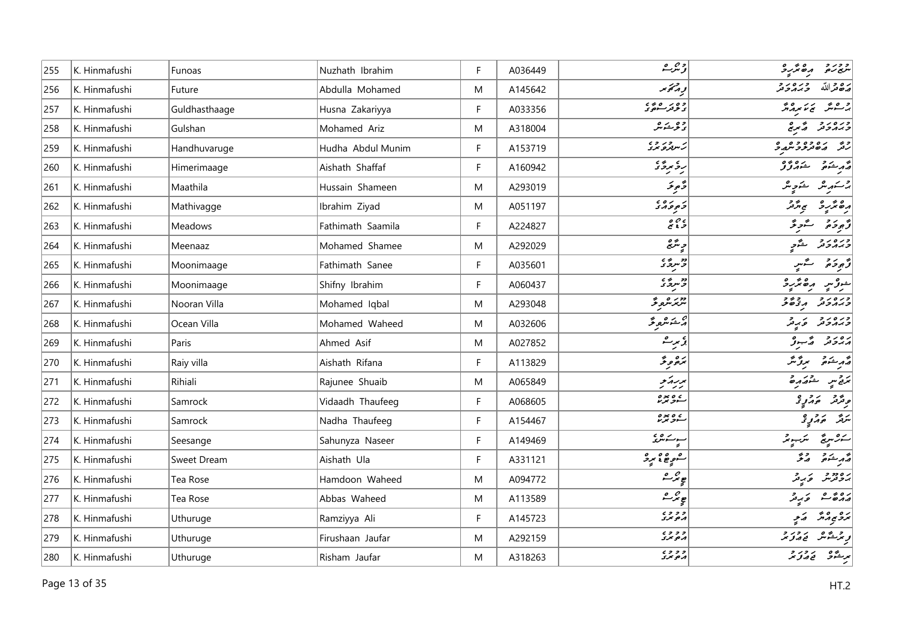| 255 | K. Hinmafushi | Funoas        | Nuzhath Ibrahim   | F         | A036449 | د مر م                                                                        | وە ئۆرۈ<br>پر چ <sub>ر چر</sub>                                    |
|-----|---------------|---------------|-------------------|-----------|---------|-------------------------------------------------------------------------------|--------------------------------------------------------------------|
| 256 | K. Hinmafushi | Future        | Abdulla Mohamed   | M         | A145642 | ودحمير                                                                        | و ر ه ر و<br>تر پروتر<br>ەھىراللە                                  |
| 257 | K. Hinmafushi | Guldhasthaage | Husna Zakariyya   | F         | A033356 | و ه بر ره پو ،<br>د <del>ن</del> وتر شعبی                                     | ر مشر سی محمد محمد می                                              |
| 258 | K. Hinmafushi | Gulshan       | Mohamed Ariz      | M         | A318004 | 3 مىيە ئىش                                                                    | כנסנכ בינס                                                         |
| 259 | K. Hinmafushi | Handhuvaruge  | Hudha Abdul Munim | F         | A153719 | ر سرور و ،<br>رسربره برد                                                      | و ده ده وه ده و                                                    |
| 260 | K. Hinmafushi | Himerimaage   | Aishath Shaffaf   | F         | A160942 | ر ځ بر دی<br>ر                                                                | ه دره وره وه<br><i>م</i> د شورو و                                  |
| 261 | K. Hinmafushi | Maathila      | Hussain Shameen   | ${\sf M}$ | A293019 | قرموخر                                                                        | يزخيريش الحكويش                                                    |
| 262 | K. Hinmafushi | Mathivagge    | Ibrahim Ziyad     | ${\sf M}$ | A051197 | ر مره ،<br><del>د</del> مومړ                                                  | ה לה בי היית.<br>המה הבי היית                                      |
| 263 | K. Hinmafushi | Meadows       | Fathimath Saamila | F         | A224827 | $\overset{o}{\phantom{}}\,\overset{o}{\phantom{}}\,\overset{o}{\phantom{}}\,$ | توجدة ستوتر                                                        |
| 264 | K. Hinmafushi | Meenaaz       | Mohamed Shamee    | M         | A292029 | حريثره                                                                        | و ر ه ر د<br>تر پر ژنر<br>مشرو                                     |
| 265 | K. Hinmafushi | Moonimaage    | Fathimath Sanee   | F         | A035601 | ادو په په<br>د سرچنې                                                          | قيمبر<br>پخ<br>و مر د<br>تر مور می                                 |
| 266 | K. Hinmafushi | Moonimaage    | Shifny Ibrahim    | F         | A060437 | دو په په<br>تر سرچنۍ                                                          | ەھ ترىرى<br>ے وگ <sub>ا س</sub> و<br>سر                            |
| 267 | K. Hinmafushi | Nooran Villa  | Mohamed Iqbal     | ${\sf M}$ | A293048 | ترىر مىمو ئە                                                                  | و ره ر و<br><i>و پر</i> و کر<br>ەرتى ئىتى                          |
| 268 | K. Hinmafushi | Ocean Villa   | Mohamed Waheed    | M         | A032606 | ە ئەئىدىگە ئە                                                                 | ورەر د كەرد                                                        |
| 269 | K. Hinmafushi | Paris         | Ahmed Asif        | M         | A027852 | اؤىرم<br>_                                                                    | رەرد شەر                                                           |
| 270 | K. Hinmafushi | Raiy villa    | Aishath Rifana    | F         | A113829 | برە وېڅه                                                                      | ۇرىشى بىر <i>ۇنى</i> گە                                            |
| 271 | K. Hinmafushi | Rihiali       | Rajunee Shuaib    | ${\sf M}$ | A065849 | ىرىر تەر<br>س                                                                 | بروس خوره                                                          |
| 272 | K. Hinmafushi | Samrock       | Vidaadh Thaufeeg  | F         | A068605 | ے ویو و<br>سعو محرما                                                          | <br>  <i>و</i> ترتر   م <sub>و</sub> ترت <sub>و</sub> تر           |
| 273 | K. Hinmafushi | Samrock       | Nadha Thaufeeg    | F         | A154467 | ے ویو ہ<br>سوچ برنا                                                           | <br>  سرگر   مرکز کرد کرد کرد                                      |
| 274 | K. Hinmafushi | Seesange      | Sahunyza Naseer   | F         | A149469 | اب مەنگەندى<br>ئ                                                              | سەر س <sub>ىرى</sub> چ<br>ىئرسونر                                  |
| 275 | K. Hinmafushi | Sweet Dream   | Aishath Ula       | F         | A331121 | م و و و و پر د<br>مشروع و مړ                                                  | $\overline{\begin{array}{ccc} 2 & 2 & 5 \\ 2 & 3 & 5 \end{array}}$ |
| 276 | K. Hinmafushi | Tea Rose      | Hamdoon Waheed    | ${\sf M}$ | A094772 | ھ <sub>ی</sub> پر م                                                           | ره دو د ه<br>  بر د ترس کو بر تر                                   |
| 277 | K. Hinmafushi | Tea Rose      | Abbas Waheed      | ${\sf M}$ | A113589 | <br>موسمر م                                                                   | 250/<br>ءَ ٻه تر                                                   |
| 278 | K. Hinmafushi | Uthuruge      | Ramziyya Ali      | F         | A145723 | د د د د<br>پره پرې                                                            | بروبرمرمز المتعبة                                                  |
| 279 | K. Hinmafushi | Uthuruge      | Firushaan Jaufar  | M         | A292159 | د د د د<br>پره پرې                                                            | و پرېش په در د                                                     |
| 280 | K. Hinmafushi | Uthuruge      | Risham Jaufar     | ${\sf M}$ | A318263 | د د د پ<br>پره مرد                                                            | برشگاه کارور و                                                     |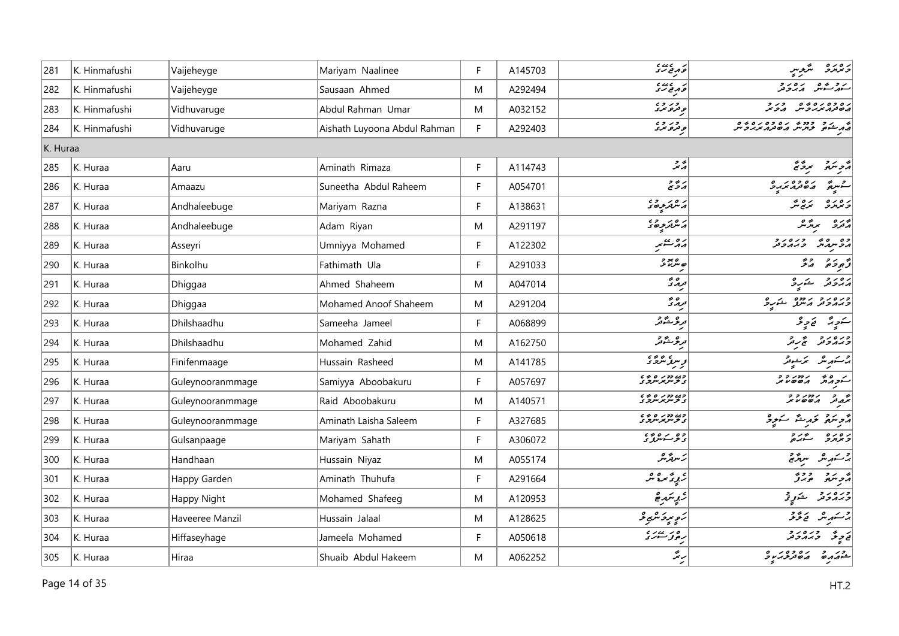| 281      | K. Hinmafushi | Vaijeheyge         | Mariyam Naalinee             | F         | A145703 | ر<br>تو در ج ر د                              | ر ه ر ه<br>تر برگر<br>بترويير                                |
|----------|---------------|--------------------|------------------------------|-----------|---------|-----------------------------------------------|--------------------------------------------------------------|
| 282      | K. Hinmafushi | Vaijeheyge         | Sausaan Ahmed                | M         | A292494 | ر<br>ح د قع ر د                               | سەر شەھر بەر دەر د                                           |
| 283      | K. Hinmafushi | Vidhuvaruge        | Abdul Rahman Umar            | M         | A032152 | و د و ،<br>وترو برد                           | נסכסנסטים כנכ<br>גםנגוגבית גביג                              |
| 284      | K. Hinmafushi | Vidhuvaruge        | Aishath Luyoona Abdul Rahman | F         | A292403 | ه ور و ،<br>جا تر <i>و بر</i> د               | ه در درد به ده ده ده به ه<br>په شوه و درس پره در مرد س       |
| K. Huraa |               |                    |                              |           |         |                                               |                                                              |
| 285      | K. Huraa      | Aaru               | Aminath Rimaza               | F         | A114743 | چمنر                                          | أأرمز المراكبة                                               |
| 286      | K. Huraa      | Amaazu             | Suneetha Abdul Raheem        | F         | A054701 | ەردى                                          | سميري رەدەبرە                                                |
| 287      | K. Huraa      | Andhaleebuge       | Mariyam Razna                | F         | A138631 | ر مرکز ده د<br>مرکز ک                         | ر ه ر ه<br><del>ر</del> بربر ژ<br>ىر ەيۇ.<br>ئىرى مىگە       |
| 288      | K. Huraa      | Andhaleebuge       | Adam Riyan                   | ${\sf M}$ | A291197 | پر شرتمرچ د                                   | ىروژىتر<br>پەرە<br>مەنىرى                                    |
| 289      | K. Huraa      | Asseyri            | Umniyya Mohamed              | F         | A122302 | لئەھرىيىمىر                                   | و ره ر و<br><i>و ټ</i> ه و تر<br>د و <sub>سرم</sub> ر<br>مرگ |
| 290      | K. Huraa      | Binkolhu           | Fathimath Ula                | F         | A291033 | ە يىر د<br>ھەسرىر ئى                          | توجوحو المتو                                                 |
| 291      | K. Huraa      | Dhiggaa            | Ahmed Shaheem                | ${\sf M}$ | A047014 | و ۵<br>توپر <sup>ی</sup>                      | رەرو خىرو                                                    |
| 292      | K. Huraa      | Dhiggaa            | Mohamed Anoof Shaheem        | ${\sf M}$ | A291204 | وره گ                                         | ورەر د دردە بەيرو                                            |
| 293      | K. Huraa      | Dhilshaadhu        | Sameeha Jameel               | F         | A068899 | ىرگرىشەتر                                     | سَمَرٍ پَرَ یَک وَ یِ                                        |
| 294      | K. Huraa      | Dhilshaadhu        | Mohamed Zahid                | M         | A162750 | ىر ئۇ شەتر                                    | ورەر دېر                                                     |
| 295      | K. Huraa      | Finifenmaage       | Hussain Rasheed              | ${\sf M}$ | A141785 | و سرو مرد <sup>ء</sup>                        | رحم مسكر مترجورهم                                            |
| 296      | K. Huraa      | Guleynooranmmage   | Samiyya Aboobakuru           | F         | A057697 | و در و د و د و د<br>د نوسرپرسرچ د             | ב כפי נכני ב                                                 |
| 297      | K. Huraa      | Guleynooranmmage   | Raid Aboobakuru              | ${\sf M}$ | A140571 | وړ، دور ه په ،<br>د نوسرپوسرو د               | 221321 24                                                    |
| 298      | K. Huraa      | Guleynooranmmage   | Aminath Laisha Saleem        | F         | A327685 | وړ، دور ه په ،<br>د نوسرپوسرو د               | أزويتم قرار المستور                                          |
| 299      | K. Huraa      | Gulsanpaage        | Mariyam Sahath               | F         | A306072 | د ه پره وي<br>د ترسه مرکز د                   | سە بەر ج<br>ر ه ر ه<br>د بربر د                              |
| 300      | K. Huraa      | Handhaan           | Hussain Niyaz                | M         | A055174 | ئەس <i>ەرگەن</i> گە                           | جرستمریش سرمزنج                                              |
| 301      | K. Huraa      | Happy Garden       | Aminath Thuhufa              | F         | A291664 | ئەرپە ئەرە بىر                                |                                                              |
| 302      | K. Huraa      | <b>Happy Night</b> | Mohamed Shafeeg              | ${\sf M}$ | A120953 | <sup>ى</sup> بويىئەرىقى                       | دره در در در پای                                             |
| 303      | K. Huraa      | Haveeree Manzil    | Hussain Jalaal               | ${\sf M}$ | A128625 | ر <sub>َموٍ برِ دَ تَرْ<sub>مَ</sub> وْ</sub> | يزحكم متمركز والمحمو                                         |
| 304      | K. Huraa      | Hiffaseyhage       | Jameela Mohamed              | F         | A050618 | رە بەيدى<br>بەھ ئۈسىسىرى                      | خرچ در در د                                                  |
| 305      | K. Huraa      | Hiraa              | Shuaib Abdul Hakeem          | ${\sf M}$ | A062252 | رىچە                                          | شهده ده ده در و                                              |
|          |               |                    |                              |           |         |                                               |                                                              |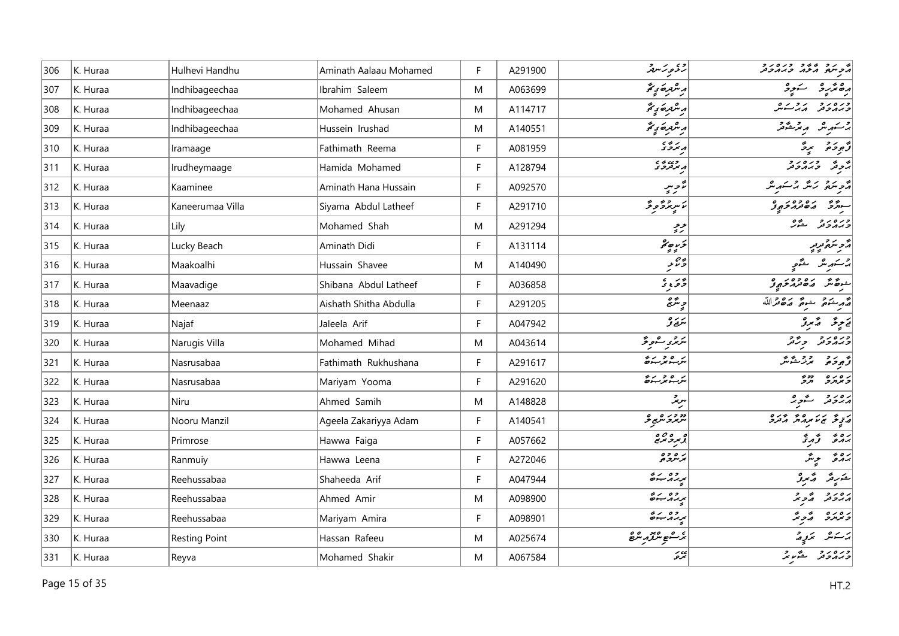| 306 | K. Huraa | Hulhevi Handhu       | Aminath Aalaau Mohamed | F  | A291900 | رحمه عرسور                                                                                                           | أدمر ومحمد وره دو                                  |
|-----|----------|----------------------|------------------------|----|---------|----------------------------------------------------------------------------------------------------------------------|----------------------------------------------------|
| 307 | K. Huraa | Indhibageechaa       | Ibrahim Saleem         | M  | A063699 | بر مثر پر پیچ گا                                                                                                     | رە ئەر ئىن ئىن                                     |
| 308 | K. Huraa | Indhibageechaa       | Mohamed Ahusan         | M  | A114717 | بر مثر پر چونجو کم                                                                                                   |                                                    |
| 309 | K. Huraa | Indhibageechaa       | Hussein Irushad        | M  | A140551 | و متربرځ <sub>کم</sub> گر                                                                                            | جر شور شهر مر بر مشور                              |
| 310 | K. Huraa | Iramaage             | Fathimath Reema        | F  | A081959 | د بوره د<br>د بورو د                                                                                                 | توجوحو برقم                                        |
| 311 | K. Huraa | Irudheymaage         | Hamida Mohamed         | F  | A128794 | <br>  مرمرفری                                                                                                        | <i>ج</i> جد دره در                                 |
| 312 | K. Huraa | Kaaminee             | Aminath Hana Hussain   | F  | A092570 | مہموسہ<br>سریہ                                                                                                       | ړٌ د سره د سر پر شور سر                            |
| 313 | K. Huraa | Kaneerumaa Villa     | Siyama Abdul Latheef   | F  | A291710 | ئە <sub>س</sub> رىز ئ <sup>ې</sup> رىز                                                                               | ديو ده ده ده د و                                   |
| 314 | K. Huraa | Lily                 | Mohamed Shah           | M  | A291294 | مومو<br>ريخ                                                                                                          | ورەر دەر                                           |
| 315 | K. Huraa | Lucky Beach          | Aminath Didi           | F  | A131114 | ئەرەپە<br>ئ                                                                                                          | ړٌ د سَرُه ورِ ور                                  |
| 316 | K. Huraa | Maakoalhi            | Hussain Shavee         | M  | A140490 | وم<br>قرندې                                                                                                          | ر<br>پرڪريس ڪو <sub>ي</sub>                        |
| 317 | K. Huraa | Maavadige            | Shibana Abdul Latheef  | F  | A036858 | پر دي.<br>حرم دي                                                                                                     |                                                    |
| 318 | K. Huraa | Meenaaz              | Aishath Shitha Abdulla | F  | A291205 | جريثره                                                                                                               | محمد شوم شوم مصرالله                               |
| 319 | K. Huraa | Najaf                | Jaleela Arif           | F  | A047942 | سرة و                                                                                                                | لَمَ وِمَّدُ الْمُبَارِزُ                          |
| 320 | K. Huraa | Narugis Villa        | Mohamed Mihad          | M  | A043614 | ىئر <i>پرېم</i> سىن ئىستىدىگىيەت ئىستادىكى ئىستادەت كىلگان ئىستادىكى ئىستادىكى ئىستادەت كىلگان ئىستادىكى ئىستادىكى ب | دره در در در در                                    |
| 321 | K. Huraa | Nasrusabaa           | Fathimath Rukhushana   | F  | A291617 | ىر بە جەم بەر<br>سۇپ ئىرىب ئەن                                                                                       | أقرموح محرز مشتر                                   |
| 322 | K. Huraa | Nasrusabaa           | Mariyam Yooma          | F. | A291620 | ىر بە جەم بەر<br>سۇپ ئەرىبەدە                                                                                        | ر ه بر ه<br>تر <del>ب</del> ر بر<br>پرسمبر<br>مربر |
| 323 | K. Huraa | Niru                 | Ahmed Samih            | M  | A148828 | سرچر                                                                                                                 | أرەر ئەمرىر                                        |
| 324 | K. Huraa | Nooru Manzil         | Ageela Zakariyya Adam  | F  | A140541 | يزدر عربو و                                                                                                          | ג' כַ בָּ בֹ בִי דְי פְּ                           |
| 325 | K. Huraa | Primrose             | Hawwa Faiga            | F  | A057662 | إهرج وحيح                                                                                                            | برەپچ<br>ترمرتخ                                    |
| 326 | K. Huraa | Ranmuiy              | Hawwa Leena            | F  | A272046 | ر ه ده<br>پرس                                                                                                        | برەپچ<br>حريثر                                     |
| 327 | K. Huraa | Reehussabaa          | Shaheeda Arif          | F  | A047944 | برره شده                                                                                                             | خىرىگە كەيرۇ                                       |
| 328 | K. Huraa | Reehussabaa          | Ahmed Amir             | M  | A098900 | بربر و ه برهٔ                                                                                                        | ر ە ر د<br>م <i>.ئ</i> رى تىر<br>ەرىر              |
| 329 | K. Huraa | Reehussabaa          | Mariyam Amira          | F. | A098901 | بربر و ه بر پر                                                                                                       | ر ه ر ه<br>د بربرگ<br>ەرىمە                        |
| 330 | K. Huraa | <b>Resting Point</b> | Hassan Rafeeu          | M  | A025674 | ى مەھ مېزىر مى <i>ڭ</i>                                                                                              | برسەيىتە<br>ىخە بور                                |
| 331 | K. Huraa | Reyva                | Mohamed Shakir         | M  | A067584 | یے ر<br>بحری                                                                                                         | ورەرو شەرو                                         |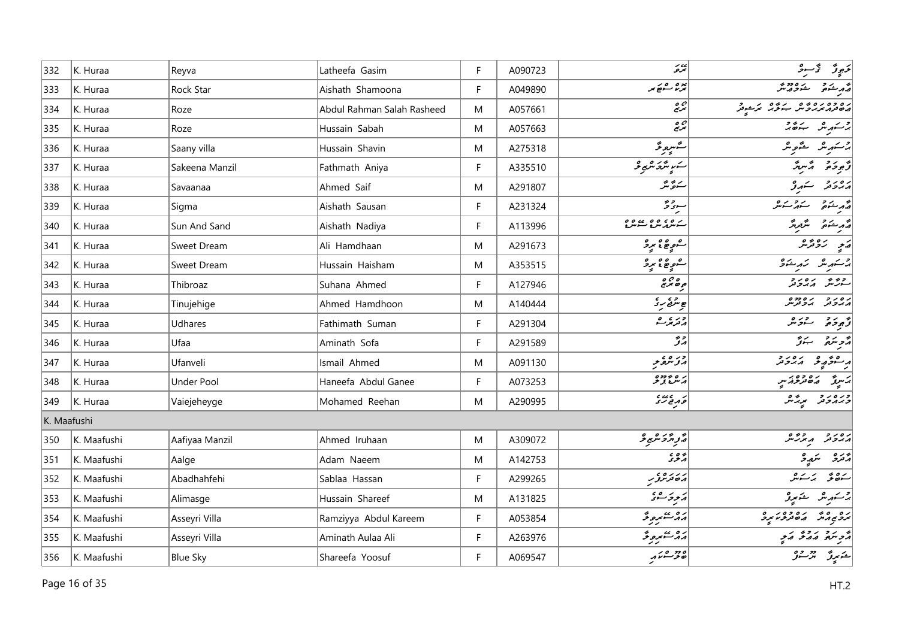| یر<br>محرض<br>F<br>A090723<br>K. Huraa<br>Latheefa Gasim<br>332<br>Reyva<br>بره ره بر<br>برنا سوچ بر<br>K. Huraa<br><b>Rock Star</b><br>Aishath Shamoona<br>F<br>A049890<br>333<br>جرمج<br>A057661<br>334<br>K. Huraa<br>Abdul Rahman Salah Rasheed<br>Roze<br>M<br>جرج<br>K. Huraa<br>Hussain Sabah<br>A057663<br>335<br>M<br>Roze<br>سەمب <sub>و</sub> ئە<br>K. Huraa<br>Hussain Shavin<br>A275318<br>336<br>Saany villa<br>M<br>سەر ئەتتە ئىرىمى قى<br>F<br>A335510<br>337<br>K. Huraa<br>Sakeena Manzil<br>Fathmath Aniya<br>ئەۋىتر<br>338<br>K. Huraa<br>Ahmed Saif<br>A291807<br>M<br>Savaanaa<br>رومي<br>Aishath Sausan<br>F<br>K. Huraa<br>A231324<br>339<br>Sigma<br>يەم بەرە يەم ە<br>K. Huraa<br>Sun And Sand<br>Aishath Nadiya<br>F<br>A113996<br>340<br>ڪ <sub>مو</sub> ءِ ۽ <sub>مر</sub> و<br>Ali Hamdhaan<br>A291673<br>341<br>K. Huraa<br>Sweet Dream<br>${\sf M}$<br>م و و و و <sub>و و</sub><br>سو <sub>و</sub> ه ؟ مرد<br>K. Huraa<br>Sweet Dream<br>Hussain Haisham<br>A353515<br>342<br>M<br>ه ۵ ۵ ه<br>موه مربح<br>Suhana Ahmed<br>F<br>A127946<br>343<br>K. Huraa<br>Thibroaz<br> جو يتمو تحريحه<br>K. Huraa<br>Ahmed Hamdhoon<br>A140444<br>344<br>Tinujehige<br>M<br>د ر ، م<br>مرمرسه<br>F<br>Fathimath Suman<br>A291304<br>345<br>K. Huraa<br>Udhares<br>پۇ<br>Aminath Sofa<br>K. Huraa<br>Ufaa<br>F<br>A291589<br>346<br>رى بىر ئىگە بىر<br>مەنزىلىرى<br>Ufanveli<br>A091130<br>347<br>K. Huraa<br>Ismail Ahmed<br>${\sf M}$<br>ر ۵۶۶۵ و<br>مرس بو مر<br><b>Under Pool</b><br>Haneefa Abdul Ganee<br>F<br>A073253<br>348<br>K. Huraa<br>  پر دې پر د<br>349<br>K. Huraa<br>Mohamed Reehan<br>${\sf M}$<br>A290995<br>Vaiejeheyge<br>K. Maafushi<br>  ئۇ بۇ ئەشمىر بى<br>Ahmed Iruhaan<br>A309072<br>K. Maafushi<br>Aafiyaa Manzil<br>M<br>350<br>ږه ،<br>د و د<br>K. Maafushi<br>Adam Naeem<br>A142753<br>351<br>Aalge<br>M<br>بر کا تر ه ع ب<br>Sablaa Hassan<br>F<br>Abadhahfehi<br>A299265<br>352<br>K. Maafushi<br>لأمرخ سفر<br>A131825<br>353<br>K. Maafushi<br>Hussain Shareef<br>${\sf M}$<br>Alimasge<br>رە مەسىرە ئ <sup>ى</sup> ر<br>Ramziyya Abdul Kareem<br>F<br>A053854<br>354<br>K. Maafushi<br>Asseyri Villa<br> <br>  رومسمبرو څ<br>F<br>355<br>K. Maafushi<br>Aminath Aulaa Ali<br>A263976<br>Asseyri Villa<br>  2000 مئ <sub>ر</sub><br>Shareefa Yoosuf<br>F<br>A069547<br>356<br>K. Maafushi<br><b>Blue Sky</b> |  |  |  |                                                             |
|-----------------------------------------------------------------------------------------------------------------------------------------------------------------------------------------------------------------------------------------------------------------------------------------------------------------------------------------------------------------------------------------------------------------------------------------------------------------------------------------------------------------------------------------------------------------------------------------------------------------------------------------------------------------------------------------------------------------------------------------------------------------------------------------------------------------------------------------------------------------------------------------------------------------------------------------------------------------------------------------------------------------------------------------------------------------------------------------------------------------------------------------------------------------------------------------------------------------------------------------------------------------------------------------------------------------------------------------------------------------------------------------------------------------------------------------------------------------------------------------------------------------------------------------------------------------------------------------------------------------------------------------------------------------------------------------------------------------------------------------------------------------------------------------------------------------------------------------------------------------------------------------------------------------------------------------------------------------------------------------------------------------------------------------------------------------------------------------------------------------------------------------------------------------------------------------------------------------------------------------------------------------------------------------------------------------------------------------------------------------|--|--|--|-------------------------------------------------------------|
|                                                                                                                                                                                                                                                                                                                                                                                                                                                                                                                                                                                                                                                                                                                                                                                                                                                                                                                                                                                                                                                                                                                                                                                                                                                                                                                                                                                                                                                                                                                                                                                                                                                                                                                                                                                                                                                                                                                                                                                                                                                                                                                                                                                                                                                                                                                                                                 |  |  |  | ى <i>ز بورۇ قۇسى</i> ر<br>مۇسىمىسى                          |
|                                                                                                                                                                                                                                                                                                                                                                                                                                                                                                                                                                                                                                                                                                                                                                                                                                                                                                                                                                                                                                                                                                                                                                                                                                                                                                                                                                                                                                                                                                                                                                                                                                                                                                                                                                                                                                                                                                                                                                                                                                                                                                                                                                                                                                                                                                                                                                 |  |  |  | د د د د ده ده.<br>د کم شور د سر                             |
|                                                                                                                                                                                                                                                                                                                                                                                                                                                                                                                                                                                                                                                                                                                                                                                                                                                                                                                                                                                                                                                                                                                                                                                                                                                                                                                                                                                                                                                                                                                                                                                                                                                                                                                                                                                                                                                                                                                                                                                                                                                                                                                                                                                                                                                                                                                                                                 |  |  |  | رە دەرەپە مەرەپەر<br>مەھەرمەيدۇش جۇڭرا برىش <sub>ۇ</sub> تر |
|                                                                                                                                                                                                                                                                                                                                                                                                                                                                                                                                                                                                                                                                                                                                                                                                                                                                                                                                                                                                                                                                                                                                                                                                                                                                                                                                                                                                                                                                                                                                                                                                                                                                                                                                                                                                                                                                                                                                                                                                                                                                                                                                                                                                                                                                                                                                                                 |  |  |  | جر شهر مدور                                                 |
|                                                                                                                                                                                                                                                                                                                                                                                                                                                                                                                                                                                                                                                                                                                                                                                                                                                                                                                                                                                                                                                                                                                                                                                                                                                                                                                                                                                                                                                                                                                                                                                                                                                                                                                                                                                                                                                                                                                                                                                                                                                                                                                                                                                                                                                                                                                                                                 |  |  |  | برسكريش الحكويش                                             |
|                                                                                                                                                                                                                                                                                                                                                                                                                                                                                                                                                                                                                                                                                                                                                                                                                                                                                                                                                                                                                                                                                                                                                                                                                                                                                                                                                                                                                                                                                                                                                                                                                                                                                                                                                                                                                                                                                                                                                                                                                                                                                                                                                                                                                                                                                                                                                                 |  |  |  | و دو و مر                                                   |
|                                                                                                                                                                                                                                                                                                                                                                                                                                                                                                                                                                                                                                                                                                                                                                                                                                                                                                                                                                                                                                                                                                                                                                                                                                                                                                                                                                                                                                                                                                                                                                                                                                                                                                                                                                                                                                                                                                                                                                                                                                                                                                                                                                                                                                                                                                                                                                 |  |  |  | پره د د ستهري                                               |
|                                                                                                                                                                                                                                                                                                                                                                                                                                                                                                                                                                                                                                                                                                                                                                                                                                                                                                                                                                                                                                                                                                                                                                                                                                                                                                                                                                                                                                                                                                                                                                                                                                                                                                                                                                                                                                                                                                                                                                                                                                                                                                                                                                                                                                                                                                                                                                 |  |  |  | ە ئەيدىنى ئىستىر ئىككى                                      |
|                                                                                                                                                                                                                                                                                                                                                                                                                                                                                                                                                                                                                                                                                                                                                                                                                                                                                                                                                                                                                                                                                                                                                                                                                                                                                                                                                                                                                                                                                                                                                                                                                                                                                                                                                                                                                                                                                                                                                                                                                                                                                                                                                                                                                                                                                                                                                                 |  |  |  | و ديده شورد.<br>م                                           |
|                                                                                                                                                                                                                                                                                                                                                                                                                                                                                                                                                                                                                                                                                                                                                                                                                                                                                                                                                                                                                                                                                                                                                                                                                                                                                                                                                                                                                                                                                                                                                                                                                                                                                                                                                                                                                                                                                                                                                                                                                                                                                                                                                                                                                                                                                                                                                                 |  |  |  | ړي ره پره ک                                                 |
|                                                                                                                                                                                                                                                                                                                                                                                                                                                                                                                                                                                                                                                                                                                                                                                                                                                                                                                                                                                                                                                                                                                                                                                                                                                                                                                                                                                                                                                                                                                                                                                                                                                                                                                                                                                                                                                                                                                                                                                                                                                                                                                                                                                                                                                                                                                                                                 |  |  |  | برسكر مركز المراكب                                          |
|                                                                                                                                                                                                                                                                                                                                                                                                                                                                                                                                                                                                                                                                                                                                                                                                                                                                                                                                                                                                                                                                                                                                                                                                                                                                                                                                                                                                                                                                                                                                                                                                                                                                                                                                                                                                                                                                                                                                                                                                                                                                                                                                                                                                                                                                                                                                                                 |  |  |  | روم پر در د                                                 |
|                                                                                                                                                                                                                                                                                                                                                                                                                                                                                                                                                                                                                                                                                                                                                                                                                                                                                                                                                                                                                                                                                                                                                                                                                                                                                                                                                                                                                                                                                                                                                                                                                                                                                                                                                                                                                                                                                                                                                                                                                                                                                                                                                                                                                                                                                                                                                                 |  |  |  | גפגל גפנ <i>יפ</i><br>גגלט, גלטע                            |
|                                                                                                                                                                                                                                                                                                                                                                                                                                                                                                                                                                                                                                                                                                                                                                                                                                                                                                                                                                                                                                                                                                                                                                                                                                                                                                                                                                                                                                                                                                                                                                                                                                                                                                                                                                                                                                                                                                                                                                                                                                                                                                                                                                                                                                                                                                                                                                 |  |  |  | أزُوجو مشرار المعند                                         |
|                                                                                                                                                                                                                                                                                                                                                                                                                                                                                                                                                                                                                                                                                                                                                                                                                                                                                                                                                                                                                                                                                                                                                                                                                                                                                                                                                                                                                                                                                                                                                                                                                                                                                                                                                                                                                                                                                                                                                                                                                                                                                                                                                                                                                                                                                                                                                                 |  |  |  | أأروبتهم سكرمج                                              |
|                                                                                                                                                                                                                                                                                                                                                                                                                                                                                                                                                                                                                                                                                                                                                                                                                                                                                                                                                                                                                                                                                                                                                                                                                                                                                                                                                                                                                                                                                                                                                                                                                                                                                                                                                                                                                                                                                                                                                                                                                                                                                                                                                                                                                                                                                                                                                                 |  |  |  | وصفره وبردر                                                 |
|                                                                                                                                                                                                                                                                                                                                                                                                                                                                                                                                                                                                                                                                                                                                                                                                                                                                                                                                                                                                                                                                                                                                                                                                                                                                                                                                                                                                                                                                                                                                                                                                                                                                                                                                                                                                                                                                                                                                                                                                                                                                                                                                                                                                                                                                                                                                                                 |  |  |  | پَسِرِدٌ   دَەقْرُقْرُ سِرِ                                 |
|                                                                                                                                                                                                                                                                                                                                                                                                                                                                                                                                                                                                                                                                                                                                                                                                                                                                                                                                                                                                                                                                                                                                                                                                                                                                                                                                                                                                                                                                                                                                                                                                                                                                                                                                                                                                                                                                                                                                                                                                                                                                                                                                                                                                                                                                                                                                                                 |  |  |  | ورەرو برگە                                                  |
|                                                                                                                                                                                                                                                                                                                                                                                                                                                                                                                                                                                                                                                                                                                                                                                                                                                                                                                                                                                                                                                                                                                                                                                                                                                                                                                                                                                                                                                                                                                                                                                                                                                                                                                                                                                                                                                                                                                                                                                                                                                                                                                                                                                                                                                                                                                                                                 |  |  |  |                                                             |
|                                                                                                                                                                                                                                                                                                                                                                                                                                                                                                                                                                                                                                                                                                                                                                                                                                                                                                                                                                                                                                                                                                                                                                                                                                                                                                                                                                                                                                                                                                                                                                                                                                                                                                                                                                                                                                                                                                                                                                                                                                                                                                                                                                                                                                                                                                                                                                 |  |  |  | גפיב גיבים                                                  |
|                                                                                                                                                                                                                                                                                                                                                                                                                                                                                                                                                                                                                                                                                                                                                                                                                                                                                                                                                                                                                                                                                                                                                                                                                                                                                                                                                                                                                                                                                                                                                                                                                                                                                                                                                                                                                                                                                                                                                                                                                                                                                                                                                                                                                                                                                                                                                                 |  |  |  | أرادو التمدي                                                |
|                                                                                                                                                                                                                                                                                                                                                                                                                                                                                                                                                                                                                                                                                                                                                                                                                                                                                                                                                                                                                                                                                                                                                                                                                                                                                                                                                                                                                                                                                                                                                                                                                                                                                                                                                                                                                                                                                                                                                                                                                                                                                                                                                                                                                                                                                                                                                                 |  |  |  | شۇڭ بۇشكىر                                                  |
|                                                                                                                                                                                                                                                                                                                                                                                                                                                                                                                                                                                                                                                                                                                                                                                                                                                                                                                                                                                                                                                                                                                                                                                                                                                                                                                                                                                                                                                                                                                                                                                                                                                                                                                                                                                                                                                                                                                                                                                                                                                                                                                                                                                                                                                                                                                                                                 |  |  |  | 2 سەمەش ھەمبەر<br>م                                         |
|                                                                                                                                                                                                                                                                                                                                                                                                                                                                                                                                                                                                                                                                                                                                                                                                                                                                                                                                                                                                                                                                                                                                                                                                                                                                                                                                                                                                                                                                                                                                                                                                                                                                                                                                                                                                                                                                                                                                                                                                                                                                                                                                                                                                                                                                                                                                                                 |  |  |  | גם כל גם כפני <sub>אב</sub> פ                               |
|                                                                                                                                                                                                                                                                                                                                                                                                                                                                                                                                                                                                                                                                                                                                                                                                                                                                                                                                                                                                                                                                                                                                                                                                                                                                                                                                                                                                                                                                                                                                                                                                                                                                                                                                                                                                                                                                                                                                                                                                                                                                                                                                                                                                                                                                                                                                                                 |  |  |  | أزويتم أأمدق أيامي                                          |
|                                                                                                                                                                                                                                                                                                                                                                                                                                                                                                                                                                                                                                                                                                                                                                                                                                                                                                                                                                                                                                                                                                                                                                                                                                                                                                                                                                                                                                                                                                                                                                                                                                                                                                                                                                                                                                                                                                                                                                                                                                                                                                                                                                                                                                                                                                                                                                 |  |  |  | ڪيور <i>گا جڏجو</i>                                         |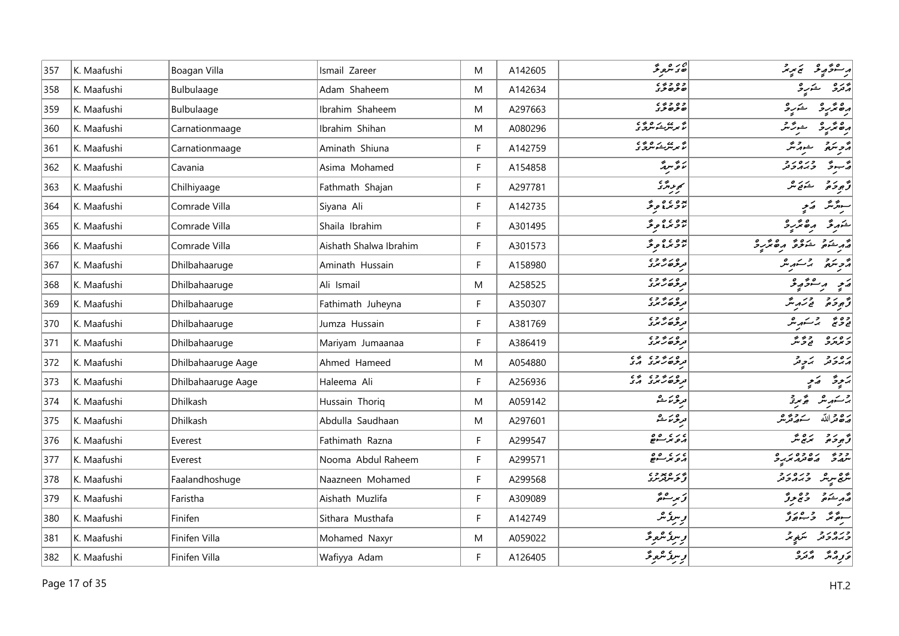| 357 | K. Maafushi | Boagan Villa       | Ismail Zareer          | M         | A142605 | 2 كەنبە ئە                                    | رەشۇر ئىمىد                                               |
|-----|-------------|--------------------|------------------------|-----------|---------|-----------------------------------------------|-----------------------------------------------------------|
| 358 | K. Maafushi | Bulbulaage         | Adam Shaheem           | ${\sf M}$ | A142634 | و ه و و »<br><b>ن</b> ه مونو <sub>ک</sub>     | پور ہ<br>پر تر تر<br>شەر ۋ                                |
| 359 | K. Maafushi | Bulbulaage         | Ibrahim Shaheem        | ${\sf M}$ | A297663 | د ه د و و ،<br>م <i>ه نو</i> نو د             | دەندىر<br>شەر ۋ                                           |
| 360 | K. Maafushi | Carnationmaage     | Ibrahim Shihan         | M         | A080296 | ر<br>ئا بىرىتزىشەنلەردى                       | دە ئەرد<br>ىشەر <i>گەن</i> گە                             |
| 361 | K. Maafushi | Carnationmaage     | Aminath Shiuna         | F         | A142759 | ر میں بھی دیا ہے<br>مائیں بھی بھی توجہ ی      | أثرم شرد<br>شەرقرىتر                                      |
| 362 | K. Maafushi | Cavania            | Asima Mohamed          | F         | A154858 | ر په په په                                    | وَيْسِيرةَ<br>و رە ر د<br><i>د بر</i> گرىز                |
| 363 | K. Maafushi | Chilhiyaage        | Fathmath Shajan        | F         | A297781 | ى<br>كىمى مۇجرى<br>كىمىر                      | و مر د<br>اقرامو خانو<br>ستذقع مثر                        |
| 364 | K. Maafushi | Comrade Villa      | Siyana Ali             | F         | A142735 | پره بره موځه                                  | سوژنٹر ارکی                                               |
| 365 | K. Maafushi | Comrade Villa      | Shaila Ibrahim         | F         | A301495 | پوه نوموځه                                    | شركر رەمزر                                                |
| 366 | K. Maafushi | Comrade Villa      | Aishath Shalwa Ibrahim | F         | A301573 | پوه ی ه و ځه                                  | $\frac{1}{2}$                                             |
| 367 | K. Maafushi | Dhilbahaaruge      | Aminath Hussain        | F         | A158980 | ه در و د د<br>درمون تر بر د                   | و سره در سره                                              |
| 368 | K. Maafushi | Dhilbahaaruge      | Ali Ismail             | ${\sf M}$ | A258525 | ه در ۶ و ۷<br>درمر <i>ه ر</i> بر <sub>ک</sub> | ړې رېږېږ                                                  |
| 369 | K. Maafushi | Dhilbahaaruge      | Fathimath Juheyna      | F         | A350307 | ه در ۶ و ۷<br>درمر <i>ه ر</i> بر د            | وتموختم فيحترش                                            |
| 370 | K. Maafushi | Dhilbahaaruge      | Jumza Hussain          | F         | A381769 | ه در ۶ و ۷<br>درگر <i>ه ر</i> برو             | وەپ پر شہر ش                                              |
| 371 | K. Maafushi | Dhilbahaaruge      | Mariyam Jumaanaa       | F         | A386419 | ه در ۶ و ۷<br>درمر <i>ه ر</i> بر <sub>ک</sub> | و پر برگر<br>ایع نر متر<br>ر ه ر ه<br><del>ر</del> بربر ژ |
| 372 | K. Maafushi | Dhilbahaaruge Aage | Ahmed Hameed           | ${\sf M}$ | A054880 | ەر پەر دە<br>ترى <i>ۋەر بىر</i> كەر           | د د د د د په د                                            |
| 373 | K. Maafushi | Dhilbahaaruge Aage | Haleema Ali            | F         | A256936 | ور پر د د د د د<br>در ژه ر بر د ار            | پَنځِ تَرٌ = دَرِ حِ                                      |
| 374 | K. Maafushi | Dhilkash           | Hussain Thoriq         | M         | A059142 | ىر بۇ ئە شە                                   | جر سەر شەھ بۇ بىر ج                                       |
| 375 | K. Maafushi | Dhilkash           | Abdulla Saudhaan       | M         | A297601 | ورثو را شه                                    | ے ویو ہ<br>برە تراللە                                     |
| 376 | K. Maafushi | Everest            | Fathimath Razna        | F         | A299547 | ې په په ه ه<br>پرې مرسو                       | أزاوة وأناس المتحامين                                     |
| 377 | K. Maafushi | Everest            | Nooma Abdul Raheem     | F         | A299571 | ې په په ده ه<br>مرکز سرچ                      | ככב נסכסנים<br>יינגל גם <i>נגדי</i> גל                    |
| 378 | K. Maafushi | Faalandhoshuge     | Naazneen Mohamed       | F         | A299568 | ء ر ه پر و ،<br>تو <del>و</del> سرتر ر        | شگاه دیگر در در د                                         |
| 379 | K. Maafushi | Faristha           | Aishath Muzlifa        | F         | A309089 | ۇ بىر شەھۇ                                    | ومرشن ومحرز                                               |
| 380 | K. Maafushi | Finifen            | Sithara Musthafa       | F         | A142749 | وببوتمثر                                      | سوپڅ پټر<br>ح مەم بولۇ<br>ت                               |
| 381 | K. Maafushi | Finifen Villa      | Mohamed Naxyr          | M         | A059022 | و سرڈ ش <sub>عر</sub> مح                      | و ره ر د<br>تر پر ژنگر<br>سكنجو بتر                       |
| 382 | K. Maafushi | Finifen Villa      | Wafiyya Adam           | F         | A126405 | اربىرۇشوۋ                                     | פְנָחה הינכ                                               |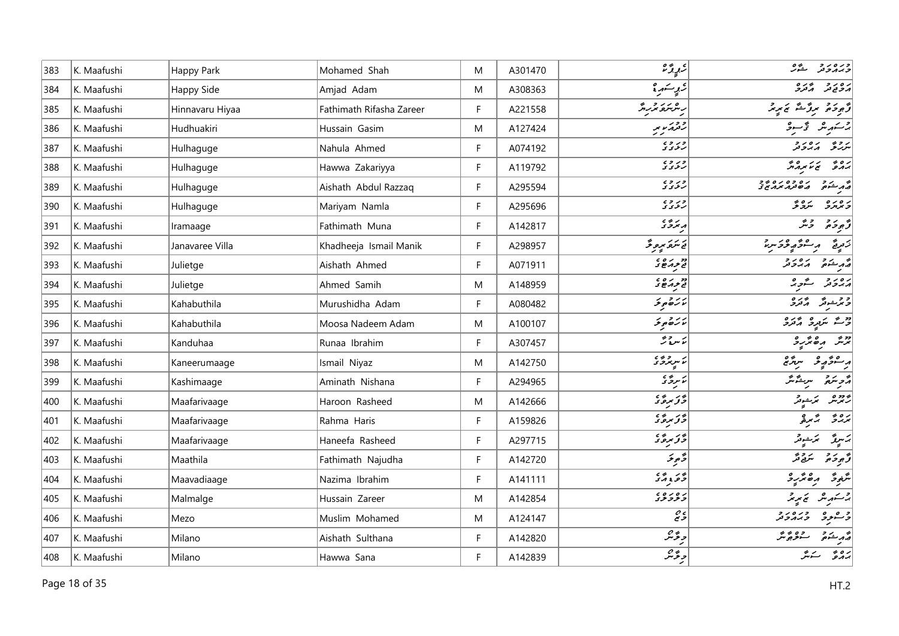| 383 | K. Maafushi | <b>Happy Park</b> | Mohamed Shah             | M  | A301470 | ع پو پ <sup>و</sup> م           | ورەر دەر                                         |
|-----|-------------|-------------------|--------------------------|----|---------|---------------------------------|--------------------------------------------------|
| 384 | K. Maafushi | <b>Happy Side</b> | Amjad Adam               | M  | A308363 | توپە سىمبر <sup>ە</sup>         | ره رح وره<br>در حادثه مرکز                       |
| 385 | K. Maafushi | Hinnavaru Hiyaa   | Fathimath Rifasha Zareer | F. | A221558 | ر عر سر دیگر                    | توجودة برزشة لابرتر                              |
| 386 | K. Maafushi | Hudhuakiri        | Hussain Gasim            | M  | A127424 | رقم در<br>  رقم در مرب          | 2سىرىدىن ئۇسوۋ                                   |
| 387 | K. Maafushi | Hulhaguge         | Nahula Ahmed             | F  | A074192 | و ر و ،<br>رنگ ی                | ر وي ده رو<br>سربرنځی اړ پر څه                   |
| 388 | K. Maafushi | Hulhaguge         | Hawwa Zakariyya          | F  | A119792 | و ر و ،<br>رى ى                 | LOS SIKAR                                        |
| 389 | K. Maafushi | Hulhaguge         | Aishath Abdul Razzaq     | F  | A295594 | و ر و ،<br>ری ی                 | د دره ده ده ده ده.<br>د کرد شوی در ه تر در برد م |
| 390 | K. Maafushi | Hulhaguge         | Mariyam Namla            | F  | A295696 | و ر و ،<br>رى ى                 | ر ه ر ه<br><del>د</del> بربر د<br>سروبۇ          |
| 391 | K. Maafushi | Iramaage          | Fathimath Muna           | F. | A142817 | ەر بىرى                         | وٌ و ده د و شر                                   |
| 392 | K. Maafushi | Janavaree Villa   | Khadheeja Ismail Manik   | F  | A298957 | ئے مترکھ سرعر محر               | تربرة وسرة ويوتر                                 |
| 393 | K. Maafushi | Julietge          | Aishath Ahmed            | F. | A071911 | ود بره ء<br>  في مردم و ع       | م الشوق المركز و                                 |
| 394 | K. Maafushi | Julietge          | Ahmed Samih              | M  | A148959 | ود بره ء<br>  في مردم و ع       | ړه رو گرور                                       |
| 395 | K. Maafushi | Kahabuthila       | Murushidha Adam          | F  | A080482 | ئەزەھ بۇ                        | و پر شونگر   در در و<br>  د بر شونگر   در آزادگر |
| 396 | K. Maafushi | Kahabuthila       | Moosa Nadeem Adam        | M  | A100107 | برزة هرځه                       | دحمشه المعروم المحدد                             |
| 397 | K. Maafushi | Kanduhaa          | Runaa Ibrahim            | F  | A307457 | ئەسەمجەمحە                      | أترش مرەتمرىرد                                   |
| 398 | K. Maafushi | Kaneerumaage      | Ismail Niyaz             | M  | A142750 | ر<br>مأسو پر چ <sup>ر</sup> ی   | وكوكوفي سركوم                                    |
| 399 | K. Maafushi | Kashimaage        | Aminath Nishana          | F. | A294965 | ر<br>مأمرچۍ                     | أثر حرمتهم<br>سرىشەتكە<br>سە                     |
| 400 | K. Maafushi | Maafarivaage      | Haroon Rasheed           | M  | A142666 | د توسره بر                      | یو دو ه<br>رنجرس<br>ىمەسىيەتىر                   |
| 401 | K. Maafushi | Maafarivaage      | Rahma Haris              | F  | A159826 | ۇ ئەسرەتى<br>مەس                | رەپ پەرە                                         |
| 402 | K. Maafushi | Maafarivaage      | Haneefa Rasheed          | F  | A297715 | د تو <sub>مو</sub> ځ د          | ي <sup>س</sup> وڻ گرڪوڻر                         |
| 403 | K. Maafushi | Maathila          | Fathimath Najudha        | F  | A142720 | څ حوځه                          | و د د دره<br>ترود د سرد تر                       |
| 404 | K. Maafushi | Maavadiaage       | Nazima Ibrahim           | F  | A141111 | پر په<br>د کار                  | شموش مره مربرد                                   |
| 405 | K. Maafushi | Malmalge          | Hussain Zareer           | M  | A142854 | ر ه ر ه ،<br><del>ر و ر</del> و | يمسكريش كالمريثر                                 |
| 406 | K. Maafushi | Mezo              | Muslim Mohamed           | M  | A124147 | ویج                             | وصوو ورەرو                                       |
| 407 | K. Maafushi | Milano            | Aishath Sulthana         | F  | A142820 | ارقيقه                          | و مر شو د<br>مر<br>سەۋە ئەيۇ                     |
| 408 | K. Maafushi | Milano            | Hawwa Sana               | F. | A142839 | جرځنگر                          | برە ئەسىر                                        |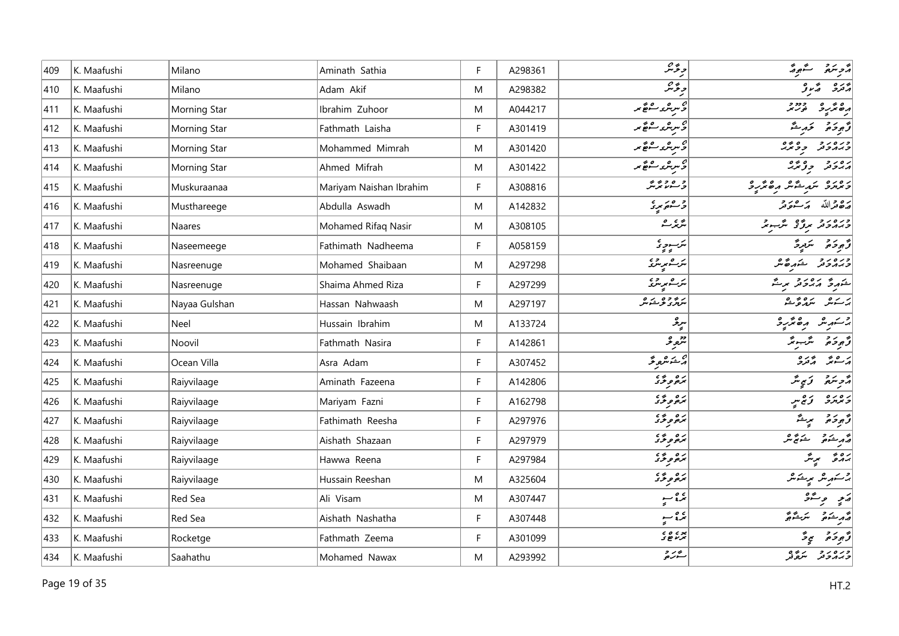| 409 | K. Maafushi | Milano              | Aminath Sathia          | F         | A298361 | جەنگىر                                    | ستصجير<br>أأرد مترة                                                                                                                                                                                                              |
|-----|-------------|---------------------|-------------------------|-----------|---------|-------------------------------------------|----------------------------------------------------------------------------------------------------------------------------------------------------------------------------------------------------------------------------------|
| 410 | K. Maafushi | Milano              | Adam Akif               | M         | A298382 | جە ئىتىر                                  | پور ہ<br>م <i>ر</i> فرو<br>ەر بو                                                                                                                                                                                                 |
| 411 | K. Maafushi | Morning Star        | Ibrahim Zuhoor          | ${\sf M}$ | A044217 | ە بىر ش <sub>ەر</sub> مەھق <sup>ى</sup> ر | ە ھەترىرى<br>رەھىرىرى<br>و دو و<br>نو ر بر                                                                                                                                                                                       |
| 412 | K. Maafushi | Morning Star        | Fathmath Laisha         | F         | A301419 | <sup>9</sup> سربٹر <sub>ی م</sub> صفح سر  | وٌوِدَةٌ وَرِيَّةٌ                                                                                                                                                                                                               |
| 413 | K. Maafushi | Morning Star        | Mohammed Mimrah         | ${\sf M}$ | A301420 | ا ئۇ مېرى <i>شى تەقق</i> ىر               | כנסנכ סיפס<br><i>כג</i> מכ <mark>ט ככ</mark> י <i>ג</i>                                                                                                                                                                          |
| 414 | K. Maafushi | <b>Morning Star</b> | Ahmed Mifrah            | M         | A301422 | ئۈس <sub>رىقىم</sub> ئىقم                 | ره روح و ده.                                                                                                                                                                                                                     |
| 415 | K. Maafushi | Muskuraanaa         | Mariyam Naishan Ibrahim | F         | A308816 | د ۱۶۶۵ پر                                 | رەرە شرىشىر رەيزىر                                                                                                                                                                                                               |
| 416 | K. Maafushi | Musthareege         | Abdulla Aswadh          | ${\sf M}$ | A142832 | د صمر مرد<br>مشخص مرد                     | مَصْعَرَاللّهِ مَرْ مُومَّر                                                                                                                                                                                                      |
| 417 | K. Maafushi | Naares              | Mohamed Rifaq Nasir     | ${\sf M}$ | A308105 | پڑ پر ہ                                   | ورەرد بروژ شبرتر                                                                                                                                                                                                                 |
| 418 | K. Maafushi | Naseemeege          | Fathimath Nadheema      | F         | A058159 | ىئرسوچە ئە<br>ئەس                         | رَّمِ دَمَ تَ سَعِرِدَّ                                                                                                                                                                                                          |
| 419 | K. Maafushi | Nasreenuge          | Mohamed Shaibaan        | M         | A297298 | ىئرىش <sub>مىرى</sub> ترىگە               | ورەرو شەرھىر                                                                                                                                                                                                                     |
| 420 | K. Maafushi | Nasreenuge          | Shaima Ahmed Riza       | F         | A297299 | ىر مەمبەر <i>دى</i>                       | أشهرة أرورد بربة                                                                                                                                                                                                                 |
| 421 | K. Maafushi | Nayaa Gulshan       | Hassan Nahwaash         | M         | A297197 | ىر ئەم بىر بىر<br>سىرگە ئىرىشەنلە         | برَسَكَسَ سَهْرَةَ فِي                                                                                                                                                                                                           |
| 422 | K. Maafushi | Neel                | Hussain Ibrahim         | ${\sf M}$ | A133724 | سرچر                                      | بر سکر شهر مره تر برد                                                                                                                                                                                                            |
| 423 | K. Maafushi | Noovil              | Fathmath Nasira         | F         | A142861 | يتر <sub>عر</sub> و                       | أؤجر فتحرج الترسوند                                                                                                                                                                                                              |
| 424 | K. Maafushi | Ocean Villa         | Asra Adam               | F         | A307452 | م مصند معرضة<br>مصنعة السياسية            | برعيش بزوره                                                                                                                                                                                                                      |
| 425 | K. Maafushi | Raiyvilaage         | Aminath Fazeena         | F         | A142806 | ىرە ھەتىي<br>ئىرقۇمۇتى                    | أثر حريحهم<br>توسچ متر                                                                                                                                                                                                           |
| 426 | K. Maafushi | Raiyvilaage         | Mariyam Fazni           | F         | A162798 | ره<br>مر <sub>حوم</sub> مرگ               | ر ہ ر ہ<br>تر بربر<br>ۇ ئى سېر                                                                                                                                                                                                   |
| 427 | K. Maafushi | Raiyvilaage         | Fathimath Reesha        | F         | A297976 | ره<br>مر <sub>حو</sub> مونور              | قەردە بېش                                                                                                                                                                                                                        |
| 428 | K. Maafushi | Raiyvilaage         | Aishath Shazaan         | F         | A297979 | ر ه<br>بر <sub>گ</sub> ورځ د              | و<br>وگرېشو ځونځ مر                                                                                                                                                                                                              |
| 429 | K. Maafushi | Raiyvilaage         | Hawwa Reena             | F         | A297984 | ره<br>مر <sub>حو</sub> موگر               | يەھ يېتى                                                                                                                                                                                                                         |
| 430 | K. Maafushi | Raiyvilaage         | Hussain Reeshan         | ${\sf M}$ | A325604 | ره<br>مر <sub>حو</sub> موگر               |                                                                                                                                                                                                                                  |
| 431 | K. Maafushi | Red Sea             | Ali Visam               | M         | A307447 | برہ ہے                                    | أرشم وستهى                                                                                                                                                                                                                       |
| 432 | K. Maafushi | Red Sea             | Aishath Nashatha        | F         | A307448 | برہ ہے                                    | د د در د در داده کار در داده کار داده کار در داده کار در داده کار در داده کار در داده کار در داد کار در داد کا<br>در داده کار داده کار داده کار داده کار داده کار داده کار داده کار داده کار داده کار داده کار داده کار داده کار |
| 433 | K. Maafushi | Rocketge            | Fathmath Zeema          | F         | A301099 | پر رہ رہ<br>  پر رہ ہے ی                  | توجوجو بإيح                                                                                                                                                                                                                      |
| 434 | K. Maafushi | Saahathu            | Mohamed Nawax           | ${\sf M}$ | A293992 | شر ژه                                     | ورەرو رەە<br><i>פە</i> مەدىر سھ                                                                                                                                                                                                  |
|     |             |                     |                         |           |         |                                           |                                                                                                                                                                                                                                  |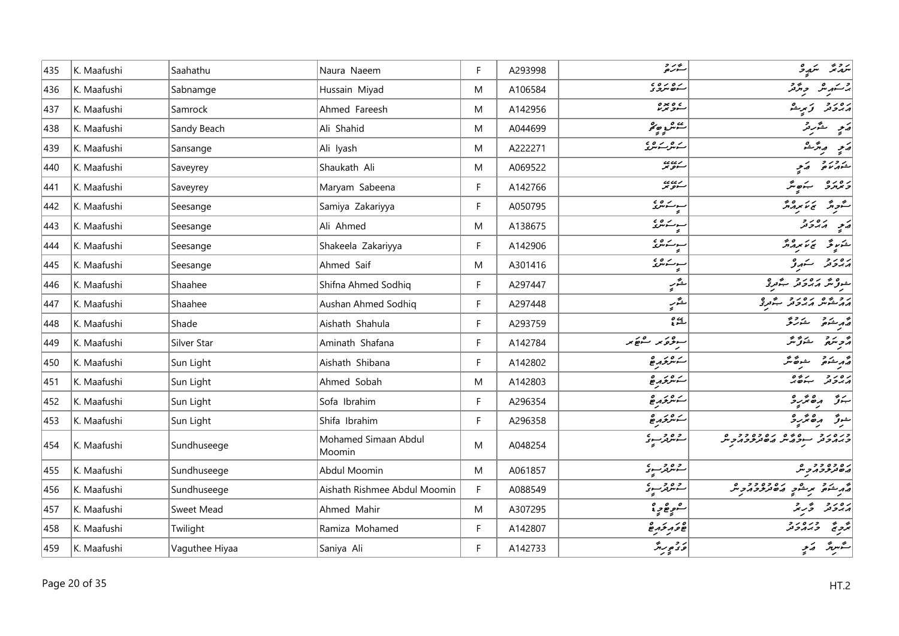| 435 | K. Maafushi | Saahathu       | Naura Naeem                    | F         | A293998 | شۇر ج                                  | بتمثر بتمده                                                         |
|-----|-------------|----------------|--------------------------------|-----------|---------|----------------------------------------|---------------------------------------------------------------------|
| 436 | K. Maafushi | Sabnamge       | Hussain Miyad                  | ${\sf M}$ | A106584 | ره ره و                                | جر شهر شهر در مرد در میبرد.<br>مرد شهر مرد بر                       |
| 437 | K. Maafushi | Samrock        | Ahmed Fareesh                  | M         | A142956 | ے ویو و<br>سعو محرما                   | رەرو زىرى                                                           |
| 438 | K. Maafushi | Sandy Beach    | Ali Shahid                     | M         | A044699 | يحبشوه كالحج                           | ەكىيە سەرىتى<br>مەس                                                 |
| 439 | K. Maafushi | Sansange       | Ali Iyash                      | M         | A222271 | ىر ھ <sub>ە</sub> ر يەھ ي              | ړې پر شم                                                            |
| 440 | K. Maafushi | Saveyrey       | Shaukath Ali                   | M         | A069522 | ر پر پر پر<br>سوچ بو                   | $\begin{bmatrix} 1 & 1 & 1 \\ 1 & 1 & 1 \\ 1 & 1 & 1 \end{bmatrix}$ |
| 441 | K. Maafushi | Saveyrey       | Maryam Sabeena                 | F         | A142766 | ر ،،،،،<br>سوء بو                      | دەرە بەھىگە                                                         |
| 442 | K. Maafushi | Seesange       | Samiya Zakariyya               | F         | A050795 | اب مەنتەتلەر<br>ئ                      | ستوش تمايروش                                                        |
| 443 | K. Maafushi | Seesange       | Ali Ahmed                      | M         | A138675 | اب مەنتەپىر<br>ئ                       |                                                                     |
| 444 | K. Maafushi | Seesange       | Shakeela Zakariyya             | F         | A142906 | لسوستعفي                               | شَرِيعٌ نَمْ مَرْكَبَرٌ                                             |
| 445 | K. Maafushi | Seesange       | Ahmed Saif                     | ${\sf M}$ | A301416 | بەيە ئەيىر                             | پرورو سے مرو                                                        |
| 446 | K. Maafushi | Shaahee        | Shifna Ahmed Sodhiq            | F         | A297447 | اڪرب<br>ا                              | جوړ کړې ده په شوره                                                  |
| 447 | K. Maafushi | Shaahee        | Aushan Ahmed Sodhiq            | F         | A297448 | ىشترىيە                                | ر د شوه ره ر د په عربي<br>ممر شوش مربر د کر                         |
| 448 | K. Maafushi | Shade          | Aishath Shahula                | F         | A293759 | ूद्ध                                   | أقهر شور و مرونج                                                    |
| 449 | K. Maafushi | Silver Star    | Aminath Shafana                | F         | A142784 | سوثونه رقيقهمه                         | ۇ جەمئە ئىسى ئىس                                                    |
| 450 | K. Maafushi | Sun Light      | Aishath Shibana                | F         | A142802 | سەمىر ئىر ھ                            | ۇرىشكى سىۋىگر                                                       |
| 451 | K. Maafushi | Sun Light      | Ahmed Sobah                    | M         | A142803 | سىشرىخەرغ                              | ره رو بروه                                                          |
| 452 | K. Maafushi | Sun Light      | Sofa Ibrahim                   | F         | A296354 | سىشرىخەرغ                              | بزۇ رەھرىر                                                          |
| 453 | K. Maafushi | Sun Light      | Shifa Ibrahim                  | F         | A296358 | استقرقه فح                             | شوتر برەتمرىرد                                                      |
| 454 | K. Maafushi | Sundhuseege    | Mohamed Simaan Abdul<br>Moomin | ${\sf M}$ | A048254 | 2. شرور سور<br>پ                       | כנסני - סשם נספספים<br>במגבת ייכגית גםתיבבגבית                      |
| 455 | K. Maafushi | Sundhuseege    | Abdul Moomin                   | ${\sf M}$ | A061857 | ر ج <sub>ى</sub> ھەترىس <sub>ى</sub> ئ | ره وه و و و<br>پرېفرمرمرم                                           |
| 456 | K. Maafushi | Sundhuseege    | Aishath Rishmee Abdul Moomin   | F         | A088549 | سىقىدىكى يەتكە                         | و د شوه بر شوه د ۱۵۶۵۶ و مر<br>د د شوه بر شوه د ه مرد د د د د       |
| 457 | K. Maafushi | Sweet Mead     | Ahmed Mahir                    | M         | A307295 | والمعالج والمحمد                       | رەرو ۋرىژ                                                           |
| 458 | K. Maafushi | Twilight       | Ramiza Mohamed                 | F         | A142807 | $rac{2}{\sqrt{2}}$                     | و رە ر د<br><i>د بە</i> مەر<br>ترْدِعٌ                              |
| 459 | K. Maafushi | Vaguthee Hiyaa | Saniya Ali                     | F         | A142733 | ر ج موسر پر<br>حرکت سر پر              | سەمبەر كەير                                                         |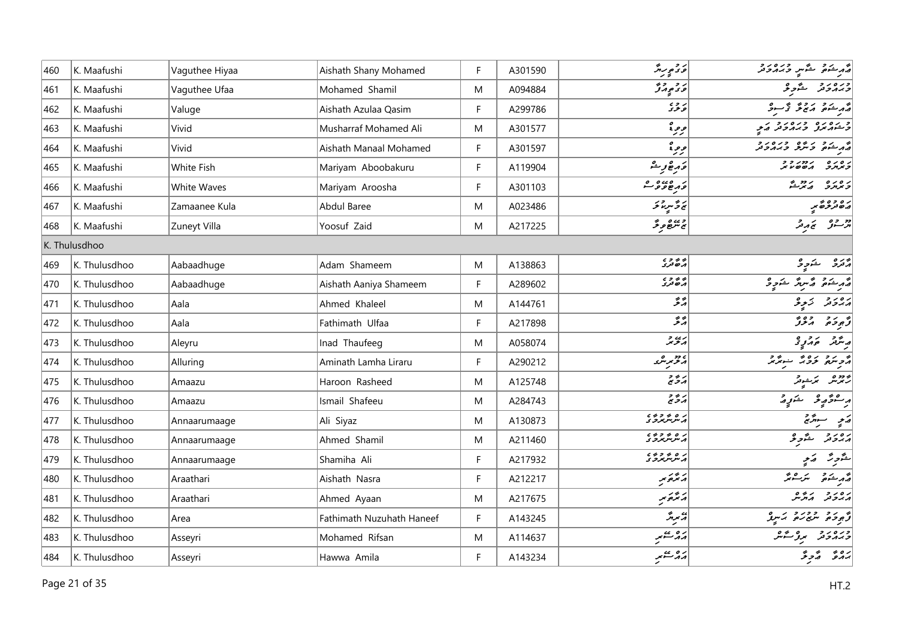| 460 | K. Maafushi   | Vaguthee Hiyaa     | Aishath Shany Mohamed     | F         | A301590 | ر د<br>در د کار مر                            | مەر ئىكى ئىقس كەندە ب                                                                                                                                                                                            |
|-----|---------------|--------------------|---------------------------|-----------|---------|-----------------------------------------------|------------------------------------------------------------------------------------------------------------------------------------------------------------------------------------------------------------------|
| 461 | K. Maafushi   | Vaguthee Ufaa      | Mohamed Shamil            | ${\sf M}$ | A094884 | ئۈچمۇ قرقر                                    | ورەرو ھۇرو                                                                                                                                                                                                       |
| 462 | K. Maafushi   | Valuge             | Aishath Azulaa Qasim      | F         | A299786 | ر و ،<br>و و د                                | $\frac{2}{3}-\frac{2}{3}$                                                                                                                                                                                        |
| 463 | K. Maafushi   | Vivid              | Musharraf Mohamed Ali     | M         | A301577 | ە ھ<br>مركز                                   | و بره بره وبره برو کرد                                                                                                                                                                                           |
| 464 | K. Maafushi   | Vivid              | Aishath Manaal Mohamed    | F         | A301597 | حرحر ہ<br>مرکز                                | ه دشتن و مره و وره د و                                                                                                                                                                                           |
| 465 | K. Maafushi   | White Fish         | Mariyam Aboobakuru        | F         | A119904 | لحديثوث                                       | נסנס נחנדר<br>במתכ גם סיצ                                                                                                                                                                                        |
| 466 | K. Maafushi   | <b>White Waves</b> | Mariyam Aroosha           | F         | A301103 | ر مەم <i>ەي</i><br>ئەر ھ                      | ره ره دود.<br>تربرتر مربوشو                                                                                                                                                                                      |
| 467 | K. Maafushi   | Zamaanee Kula      | <b>Abdul Baree</b>        | M         | A023486 | ئەۋسىدىنى                                     | ره وه و و.<br>د ه ترڅه تر                                                                                                                                                                                        |
| 468 | K. Maafushi   | Zuneyt Villa       | Yoosuf Zaid               | ${\sf M}$ | A217225 | مىترۋە بەقە                                   | دو وه د سر در<br>افرنسونو سم مرفر                                                                                                                                                                                |
|     | K. Thulusdhoo |                    |                           |           |         |                                               |                                                                                                                                                                                                                  |
| 469 | K. Thulusdhoo | Aabaadhuge         | Adam Shameem              | M         | A138863 | ۶ ۶ ۶ و <sup>ج</sup><br>درگاه تر <sub>ک</sub> | أردو خرود                                                                                                                                                                                                        |
| 470 | K. Thulusdhoo | Aabaadhuge         | Aishath Aaniya Shameem    | F         | A289602 | ۶ و ۶<br>د ځ تر د                             |                                                                                                                                                                                                                  |
| 471 | K. Thulusdhoo | Aala               | Ahmed Khaleel             | M         | A144761 | پريتر                                         | رەرو زېږو                                                                                                                                                                                                        |
| 472 | K. Thulusdhoo | Aala               | Fathimath Ulfaa           | F         | A217898 | پڑ                                            | وتجوحه المتور                                                                                                                                                                                                    |
| 473 | K. Thulusdhoo | Aleyru             | Inad Thaufeeg             | M         | A058074 | ر ر د<br>در <del>ت</del> ر بر                 | أوسرتر المروالوقى                                                                                                                                                                                                |
| 474 | K. Thulusdhoo | Alluring           | Aminath Lamha Liraru      | F         | A290212 | ودويرىثر                                      | أوسم ذور جديد                                                                                                                                                                                                    |
| 475 | K. Thulusdhoo | Amaazu             | Haroon Rasheed            | ${\sf M}$ | A125748 | ەردى                                          | ر دوره بر شود.<br>ار برنگر گرشوند                                                                                                                                                                                |
| 476 | K. Thulusdhoo | Amaazu             | Ismail Shafeeu            | M         | A284743 | ەردى                                          | وستوكي في المستور                                                                                                                                                                                                |
| 477 | K. Thulusdhoo | Annaarumaage       | Ali Siyaz                 | M         | A130873 | ر ۵ ۶ ۶ و ۶<br>۸ سرسربرو ی                    | $\begin{matrix} \frac{\partial}{\partial y} & \frac{\partial}{\partial z} & \frac{\partial}{\partial z} \\ \frac{\partial}{\partial z} & \frac{\partial}{\partial z} & \frac{\partial}{\partial z} \end{matrix}$ |
| 478 | K. Thulusdhoo | Annaarumaage       | Ahmed Shamil              | M         | A211460 | ر ه و و و ،<br>د سرس پرو د                    | رەرد شرور                                                                                                                                                                                                        |
| 479 | K. Thulusdhoo | Annaarumaage       | Shamiha Ali               | F         | A217932 | ر ۵ ۶ ۶ ۶ ۶<br>۸ سرسربرو ی                    | لمشرور أركم                                                                                                                                                                                                      |
| 480 | K. Thulusdhoo | Araathari          | Aishath Nasra             | F         | A212217 | لأتخرى                                        | ە ئەرىشى ئىس ئىسىر                                                                                                                                                                                               |
| 481 | K. Thulusdhoo | Araathari          | Ahmed Ayaan               | ${\sf M}$ | A217675 | ارتجر محرسر                                   | ג'סניב ג'בים                                                                                                                                                                                                     |
| 482 | K. Thulusdhoo | Area               | Fathimath Nuzuhath Haneef | F         | A143245 | لأعرقر                                        | توجوخو متبي تو تسري                                                                                                                                                                                              |
| 483 | K. Thulusdhoo | Asseyri            | Mohamed Rifsan            | M         | A114637 | لرەپىر                                        | ورەرو برۇشەر                                                                                                                                                                                                     |
| 484 | K. Thulusdhoo | Asseyri            | Hawwa Amila               | F         | A143234 | لئەرىئىمر                                     | رەء ئەرگ                                                                                                                                                                                                         |
|     |               |                    |                           |           |         |                                               |                                                                                                                                                                                                                  |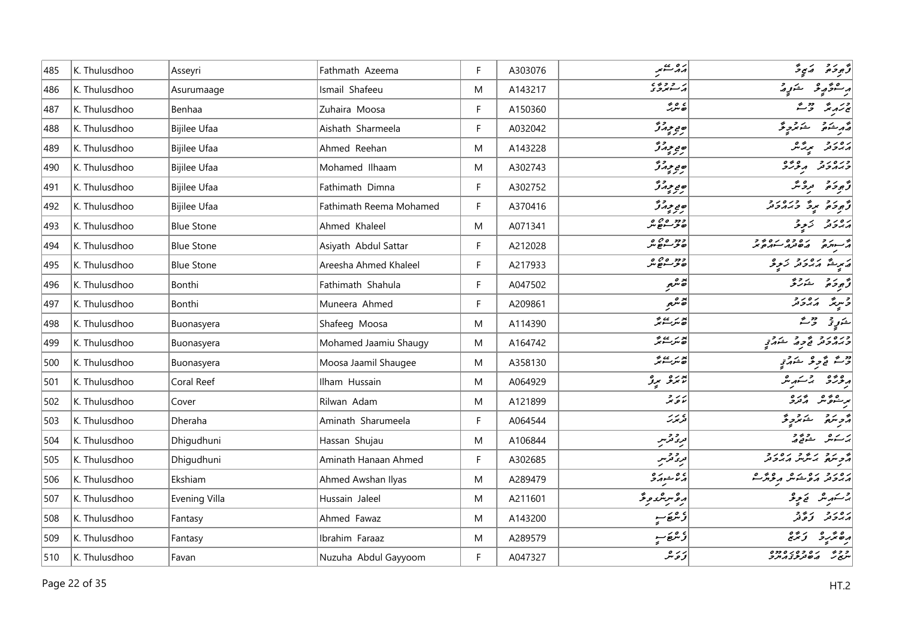| 485 | K. Thulusdhoo | Asseyri             | Fathmath Azeema         | F         | A303076 | لمرهر يئمير                         | توجوحه وكبيء                                                                                                  |
|-----|---------------|---------------------|-------------------------|-----------|---------|-------------------------------------|---------------------------------------------------------------------------------------------------------------|
| 486 | K. Thulusdhoo | Asurumaage          | Ismail Shafeeu          | M         | A143217 | ر و و پر و<br>پرستوبری              | رەقىرو خىرو                                                                                                   |
| 487 | K. Thulusdhoo | Benhaa              | Zuhaira Moosa           | F         | A150360 | ړ ه د پر                            | چ ئەم <b>ە</b> ئىچ<br>دو مشر                                                                                  |
| 488 | K. Thulusdhoo | <b>Bijilee Ufaa</b> | Aishath Sharmeela       | F         | A032042 | ص ح م ح جم<br>  مس ح جر جمو تق      | ۇرىشۇ شكرى                                                                                                    |
| 489 | K. Thulusdhoo | <b>Bijilee Ufaa</b> | Ahmed Reehan            | M         | A143228 | ھ بے مورقح<br>  <u>سرح</u> م        | رەرو برگە                                                                                                     |
| 490 | K. Thulusdhoo | <b>Bijilee Ufaa</b> | Mohamed Ilhaam          | M         | A302743 | ح مح مرد قر<br>  مساحد قرار قر      | כנסנכ הפים<br>כגהכת הבנב                                                                                      |
| 491 | K. Thulusdhoo | <b>Bijilee Ufaa</b> | Fathimath Dimna         | F         | A302752 | ص ح ح ه ق<br>  مساح ه ه قر          | قهوخا مردان                                                                                                   |
| 492 | K. Thulusdhoo | <b>Bijilee Ufaa</b> | Fathimath Reema Mohamed | F         | A370416 | <br>  مع موړو تو                    | توجده برد ورورد                                                                                               |
| 493 | K. Thulusdhoo | <b>Blue Stone</b>   | Ahmed Khaleel           | M         | A071341 | ودو وہ م                            | پروتر - زموتی                                                                                                 |
| 494 | K. Thulusdhoo | <b>Blue Stone</b>   | Asiyath Abdul Sattar    | F         | A212028 | ودو وہ م                            | 22010201222                                                                                                   |
| 495 | K. Thulusdhoo | <b>Blue Stone</b>   | Areesha Ahmed Khaleel   | F         | A217933 | و دو ۵۵ ه<br>حرب ع                  | أرياسي أرور والمحيض                                                                                           |
| 496 | K. Thulusdhoo | Bonthi              | Fathimath Shahula       | F         | A047502 | القسمبر                             | ۇي <sub>م</sub> وڭ ھەرق                                                                                       |
| 497 | K. Thulusdhoo | Bonthi              | Muneera Ahmed           | F         | A209861 | بره<br>صنرمج                        | وسر مددور                                                                                                     |
| 498 | K. Thulusdhoo | Buonasyera          | Shafeeg Moosa           | ${\sf M}$ | A114390 | بىز بەر يەر<br>ھەسرىسىسىر           | ڪري ڏاڻگ                                                                                                      |
| 499 | K. Thulusdhoo | Buonasyera          | Mohamed Jaamiu Shaugy   | M         | A164742 | بىز بەر يەر<br>ھەسرىسىرىپ           | ورەرو ۋرو شەدر                                                                                                |
| 500 | K. Thulusdhoo | Buonasyera          | Moosa Jaamil Shaugee    | ${\sf M}$ | A358130 | بىز بەر يەر<br>ھەسرىسىسىر           | ومشتم في ومحمد المحمدة في المحمدة المحمدة المحمدة المحمدة المحمدة المحمدة المحمدة المحمدة المحمدة المحمدة الم |
| 501 | K. Thulusdhoo | Coral Reef          | Ilham Hussain           | M         | A064929 | #ئرقر ہری                           | رومون برحمد ش                                                                                                 |
| 502 | K. Thulusdhoo | Cover               | Rilwan Adam             | M         | A121899 | ر ر ح<br>ما حد سر                   | ەر ئەھرە<br>موسسىمى ھەمر                                                                                      |
| 503 | K. Thulusdhoo | Dheraha             | Aminath Sharumeela      | F         | A064544 | ى پەر<br>تىرىتر <i>ى</i> ر          | أأروبتهم فيتمرجون                                                                                             |
| 504 | K. Thulusdhoo | Dhigudhuni          | Hassan Shujau           | M         | A106844 | ور <sup>53</sup> مر<br>مر           | يركسكر المشوقير                                                                                               |
| 505 | K. Thulusdhoo | Dhigudhuni          | Aminath Hanaan Ahmed    | F         | A302685 | قریح قرمبر                          | و سرد بر د د د د د د                                                                                          |
| 506 | K. Thulusdhoo | Ekshiam             | Ahmed Awshan Ilyas      | ${\sf M}$ | A289479 | دیم شور د                           | קסק כן קסקים, קפת ה                                                                                           |
| 507 | K. Thulusdhoo | Evening Villa       | Hussain Jaleel          | ${\sf M}$ | A211601 | ەرقەس <i>رىتى</i> <sub>قر</sub> ىخە | يزحكم متحفي                                                                                                   |
| 508 | K. Thulusdhoo | Fantasy             | Ahmed Fawaz             | ${\sf M}$ | A143200 | اقرعوهم                             | رەر دىر<br>مەردىر ق <i>ۇ</i> قر                                                                               |
| 509 | K. Thulusdhoo | Fantasy             | Ibrahim Faraaz          | M         | A289579 | ڈیٹرکھ سیر                          | دە ئۇرو زىرە                                                                                                  |
| 510 | K. Thulusdhoo | Favan               | Nuzuha Abdul Gayyoom    | F         | A047327 | ىر رە<br>توغ <sup>ىن</sup> ر        | ככש גם כם גם כם<br>ייתאי השנת <i>בת</i> ות <i>כ</i>                                                           |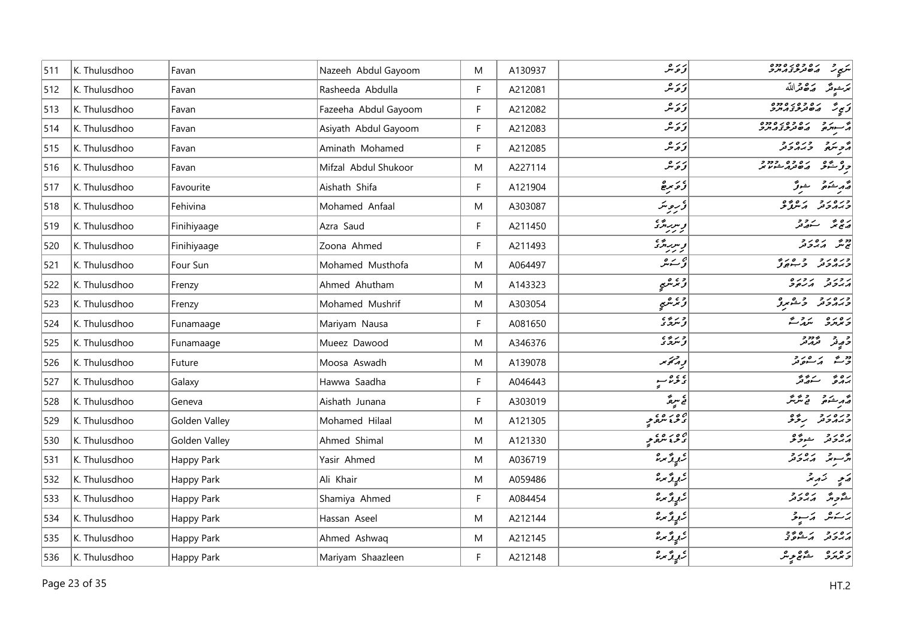| 511 | K. Thulusdhoo | Favan         | Nazeeh Abdul Gayoom  | M         | A130937 | زر ه                                             | سرسچ رحم                                                   |
|-----|---------------|---------------|----------------------|-----------|---------|--------------------------------------------------|------------------------------------------------------------|
| 512 | K. Thulusdhoo | Favan         | Rasheeda Abdulla     | F         | A212081 | ر ر ه<br>د عر                                    | لىمەشىقە<br>مەھىراللە                                      |
| 513 | K. Thulusdhoo | Favan         | Fazeeha Abdul Gayoom | F         | A212082 | ۇ ئەشر                                           | ر ه و ه د ه دده<br>پره ترنژ پر بر تر<br>ترىپەر             |
| 514 | K. Thulusdhoo | Favan         | Asiyath Abdul Gayoom | F         | A212083 | زر ه                                             | ر ه د ه د ه دده<br>پره تر پر بر بر<br>پر<br>در سوهره       |
| 515 | K. Thulusdhoo | Favan         | Aminath Mohamed      | F         | A212085 | ر ر ه<br>اقرانگر                                 | و ره ر و<br>تر پر ژنگر<br>پ <sup>ر</sup> تر سرچ            |
| 516 | K. Thulusdhoo | Favan         | Mifzal Abdul Shukoor | M         | A227114 | ىر رە<br>توغ <sup>ىن</sup> ر                     | ه ده ده ده دود د<br>د تو شود می ه تورم شویر س              |
| 517 | K. Thulusdhoo | Favourite     | Aishath Shifa        | F         | A121904 | ۇءَ برھ                                          | أصمر مشوقر الشوقر                                          |
| 518 | K. Thulusdhoo | Fehivina      | Mohamed Anfaal       | M         | A303087 | ۇروپۇ                                            | ورەرو رەپەە<br><i>جەم</i> ەدىر مەسم <i>ۇ</i> نر            |
| 519 | K. Thulusdhoo | Finihiyaage   | Azra Saud            | F         | A211450 | او سربر پر ج<br>است                              | ر ه بر<br>پرې<br>سەھەتىر                                   |
| 520 | K. Thulusdhoo | Finihiyaage   | Zoona Ahmed          | F         | A211493 | او سربر پر ج<br><u>سب</u>                        | دد مهر در در در در در برای کردند کرد.<br>بخ سر مهر کرد کرد |
| 521 | K. Thulusdhoo | Four Sun      | Mohamed Musthofa     | M         | A064497 | ۇ ئەنگە                                          | د په مړي <del>ږ</del><br>و ر ه ر د<br>تر بر تر تر          |
| 522 | K. Thulusdhoo | Frenzy        | Ahmed Ahutham        | M         | A143323 | د ، ه ه                                          | נגבנה נבנים<br>הגבה הביבה                                  |
| 523 | K. Thulusdhoo | Frenzy        | Mohamed Mushrif      | M         | A303054 | د ، ه ه<br>نر مر شر <sub>س</sub> م               | ورەرو وھرو                                                 |
| 524 | K. Thulusdhoo | Funamaage     | Mariyam Nausa        | F         | A081650 | و ر د د<br>توسرچ د                               | ترەرە شەرقە                                                |
| 525 | K. Thulusdhoo | Funamaage     | Mueez Dawood         | M         | A346376 | و ر د د<br>توسرچ د                               | پر دو و<br>تئرپر تئر<br>  قرم قر<br>                       |
| 526 | K. Thulusdhoo | Future        | Moosa Aswadh         | M         | A139078 | ودحمير                                           | دو می که می در و                                           |
| 527 | K. Thulusdhoo | Galaxy        | Hawwa Saadha         | F         | A046443 | لتوقيع                                           | رە پە<br>پەرى<br>سەھەتىر                                   |
| 528 | K. Thulusdhoo | Geneva        | Aishath Junana       | F         | A303019 | فحاسر پھر                                        | أقهر مشكور والمحاشر                                        |
| 529 | K. Thulusdhoo | Golden Valley | Mohamed Hilaal       | M         | A121305 | 8ء برھ ۽<br> پاڻو ۽ مٿرڪو پر                     | و ر ه ر د<br>  <del>ر</del> بر پر تر<br>رۇۋ                |
| 530 | K. Thulusdhoo | Golden Valley | Ahmed Shimal         | M         | A121330 | <i>ج و</i> ي هو مو                               | دەرە ھەدى                                                  |
| 531 | K. Thulusdhoo | Happy Park    | Yasir Ahmed          | M         | A036719 | <sup>ى</sup> بو بۇ ئىرىئ <sup>ا</sup>            | أثر سوير المركز وتر                                        |
| 532 | K. Thulusdhoo | Happy Park    | Ali Khair            | ${\sf M}$ | A059486 | ا ئەربۇ ئەرىئە<br>سىرىيەتى ئىرىئا                | أوسمج المتجرجر                                             |
| 533 | K. Thulusdhoo | Happy Park    | Shamiya Ahmed        | F         | A084454 | ى ب <sub>و</sub> بۇ بىر بۇ                       | شوره مددر                                                  |
| 534 | K. Thulusdhoo | Happy Park    | Hassan Aseel         | M         | A212144 | <sup>ى</sup> ب <sub>و</sub> بۇ بىرى <sub>م</sub> | ىزىكەش كەسىۋ                                               |
| 535 | K. Thulusdhoo | Happy Park    | Ahmed Ashwaq         | M         | A212145 | ع بو پ <sup>و</sup> مرم <sup>9</sup>             | رەرد كەشۋى                                                 |
| 536 | K. Thulusdhoo | Happy Park    | Mariyam Shaazleen    | F         | A212148 | <sup>ى</sup> ب <sub>و</sub> بۇ بىر بە            | رەرە شەرچىر                                                |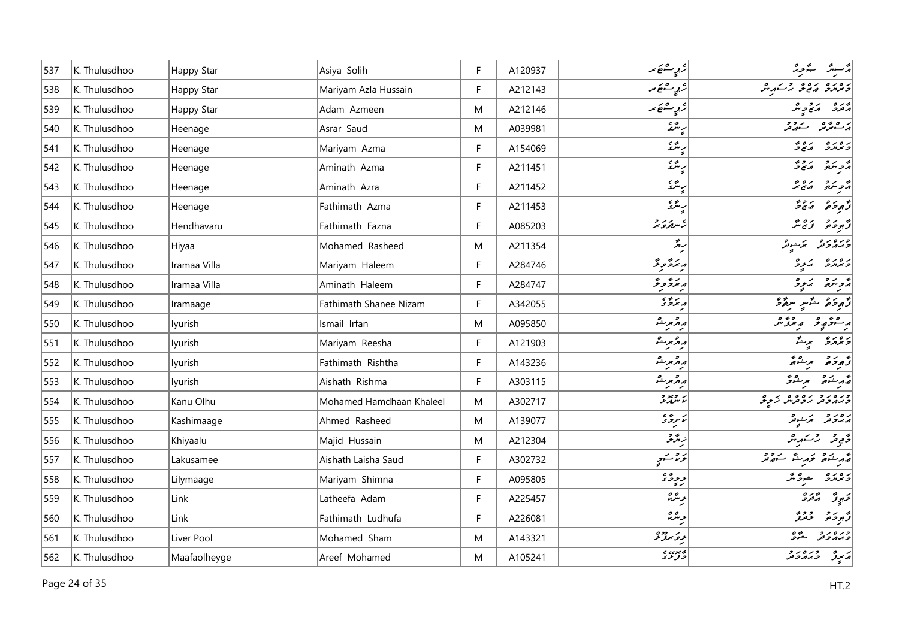| 537 | K. Thulusdhoo | <b>Happy Star</b> | Asiya Solih              | F         | A120937 | رَبِرِ سْمَعَ مَد                | پ <sup>ر</sup> سور شوره<br>مسیح             |
|-----|---------------|-------------------|--------------------------|-----------|---------|----------------------------------|---------------------------------------------|
| 538 | K. Thulusdhoo | <b>Happy Star</b> | Mariyam Azla Hussain     | F         | A212143 | ر <sub>کمو</sub> مشقع سر         |                                             |
| 539 | K. Thulusdhoo | <b>Happy Star</b> | Adam Azmeen              | ${\sf M}$ | A212146 | ر <sub>کمو</sub> یسے تھے تیر     | د ترې د تر چې پر                            |
| 540 | K. Thulusdhoo | Heenage           | Asrar Saud               | M         | A039981 | ریٹرنگ                           | د ه ده د د د د                              |
| 541 | K. Thulusdhoo | Heenage           | Mariyam Azma             | F         | A154069 | ر پڻري<br>په                     | במתכ בשב                                    |
| 542 | K. Thulusdhoo | Heenage           | Aminath Azma             | F         | A211451 | رپٹرند                           | پر ج بحر<br>پر سخ<br>أرمز                   |
| 543 | K. Thulusdhoo | Heenage           | Aminath Azra             | F         | A211452 | ر پٿري<br>په                     | أزويته وره بر                               |
| 544 | K. Thulusdhoo | Heenage           | Fathimath Azma           | F         | A211453 | رپٹرند                           | توجوحه متحر                                 |
| 545 | K. Thulusdhoo | Hendhavaru        | Fathimath Fazna          | F         | A085203 | ي سرتر <i>و چ</i> ر              | وتجوحه وكالمر                               |
| 546 | K. Thulusdhoo | Hiyaa             | Mohamed Rasheed          | M         | A211354 | رېژ                              | وره رو کرشونگر<br>د <i>پرو</i> ونگر کرشونگر |
| 547 | K. Thulusdhoo | Iramaa Villa      | Mariyam Haleem           | F         | A284746 | مرىخە ئوقر                       | دەرە بەدە                                   |
| 548 | K. Thulusdhoo | Iramaa Villa      | Aminath Haleem           | F         | A284747 | مرىئە ئەرقە                      | أأدبتكم أأردد                               |
| 549 | K. Thulusdhoo | Iramaage          | Fathimath Shanee Nizam   | F         | A342055 | ويرًوء                           | و دو ځم سره ده                              |
| 550 | K. Thulusdhoo | lyurish           | Ismail Irfan             | ${\sf M}$ | A095850 | پر پر سر یہ<br>                  | وصفروهم ومعروش                              |
| 551 | K. Thulusdhoo | lyurish           | Mariyam Reesha           | F         | A121903 | ەرەژىموسى<br>س                   | ره ده مرگ                                   |
| 552 | K. Thulusdhoo | lyurish           | Fathimath Rishtha        | F         | A143236 | پر پڑ سریشہ<br>                  | قرم فرقم المراشوقة                          |
| 553 | K. Thulusdhoo | Ivurish           | Aishath Rishma           | F         | A303115 | وهرمرت                           | أقهر شكاة المحر سيرد ومح                    |
| 554 | K. Thulusdhoo | Kanu Olhu         | Mohamed Hamdhaan Khaleel | M         | A302717 | ر ويو و<br>با سمار ک             | ورەرو رەپەە ئېچ                             |
| 555 | K. Thulusdhoo | Kashimaage        | Ahmed Rasheed            | M         | A139077 | لأبرجوء                          | ره رو پر سر مرکز<br>  د بر د د پر شوند      |
| 556 | K. Thulusdhoo | Khiyaalu          | Majid Hussain            | M         | A212304 | زەگرىۋ                           | ۇي <sub>م</sub> ۇ ب <sub>ە</sub> شكىرىش     |
| 557 | K. Thulusdhoo | Lakusamee         | Aishath Laisha Saud      | F         | A302732 | ئەر ئەر                          | وأرشكم كرارشة كتارو                         |
| 558 | K. Thulusdhoo | Lilymaage         | Mariyam Shimna           | F         | A095805 | ووڈ ء<br>ر                       | أوجرمرو المسوونثر                           |
| 559 | K. Thulusdhoo | Link              | Latheefa Adam            | F         | A225457 | ويثربا                           | كحبوق المترد                                |
| 560 | K. Thulusdhoo | Link              | Fathimath Ludhufa        | F         | A226081 | ويثربا                           | و و دور و دور                               |
| 561 | K. Thulusdhoo | Liver Pool        | Mohamed Sham             | M         | A143321 | مور پر دو ه                      | وره رو در ده<br><i>وبر پروتر</i> شور        |
| 562 | K. Thulusdhoo | Maafaolheyge      | Areef Mohamed            | ${\sf M}$ | A105241 | ه بود، ،<br>ترتو لر <sub>ک</sub> | ك ورەرو                                     |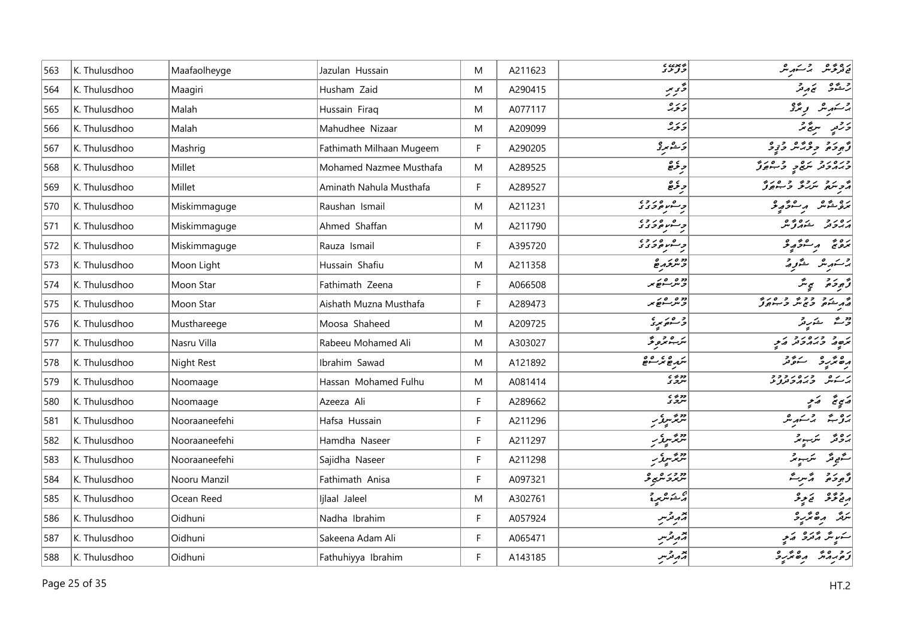| 563 | K. Thulusdhoo | Maafaolheyge  | Jazulan Hussain          | M         | A211623 | ەيدى ،<br>تركرىر                   | رەۋش بۇسەر                          |
|-----|---------------|---------------|--------------------------|-----------|---------|------------------------------------|-------------------------------------|
| 564 | K. Thulusdhoo | Maagiri       | Husham Zaid              | M         | A290415 | اقحمية                             | حريمو برد                           |
| 565 | K. Thulusdhoo | Malah         | Hussain Firaq            | M         | A077117 | ۇيخە                               | برستهر مر و پژو                     |
| 566 | K. Thulusdhoo | Malah         | Mahudhee Nizaar          | M         | A209099 | ۇيخەر                              | كرزمر سرچمه                         |
| 567 | K. Thulusdhoo | Mashrig       | Fathimath Milhaan Mugeem | F         | A290205 | ىر شەير تە                         | رًّمِ رَمَّ وِ وَيُسْ وَيْ وَ       |
| 568 | K. Thulusdhoo | Millet        | Mohamed Nazmee Musthafa  | M         | A289525 | ولحره                              | ورەر دىرە دەرد                      |
| 569 | K. Thulusdhoo | Millet        | Aminath Nahula Musthafa  | F         | A289527 | جرعوه                              | أأدمره الروفي والمادة               |
| 570 | K. Thulusdhoo | Miskimmaguge  | Raushan Ismail           | ${\sf M}$ | A211231 | د مورود و د<br>مرسم د د د د        | برە شەشر بر سىزىر ئو                |
| 571 | K. Thulusdhoo | Miskimmaguge  | Ahmed Shaffan            | ${\sf M}$ | A211790 | د مشروع د د ،<br>بر مشروع د        | رەرد دەپەر<br>مەردىر شەم <i>ۇ</i> ش |
| 572 | K. Thulusdhoo | Miskimmaguge  | Rauza Ismail             | F         | A395720 | د صدره در در در حران<br>مر         | برويج وبالمحور                      |
| 573 | K. Thulusdhoo | Moon Light    | Hussain Shafiu           | M         | A211358 | ومرتزرة                            | ير سەر شەر ئىقرور                   |
| 574 | K. Thulusdhoo | Moon Star     | Fathimath Zeena          | F         | A066508 | دد ه ره د پر                       | تزود تو پژ                          |
| 575 | K. Thulusdhoo | Moon Star     | Aishath Muzna Musthafa   | F         | A289473 | دد ۵ ره ۵ بر                       | و درو ووه وه ده.<br>ورشو وم ش و ب   |
| 576 | K. Thulusdhoo | Musthareege   | Moosa Shaheed            | ${\sf M}$ | A209725 | د ه.<br>د سگهڅونو                  | وحر شمر و در در در است.<br>منابع    |
| 577 | K. Thulusdhoo | Nasru Villa   | Rabeeu Mohamed Ali       | M         | A303027 | ىئر بە ئ <sub>ى</sub> رىمى ئى      | - 2000 2000 E                       |
| 578 | K. Thulusdhoo | Night Rest    | Ibrahim Sawad            | ${\sf M}$ | A121892 | سَمَرِ هِ يَحْرِ سُمْ هِ           | رە ئرىر ئىستوتر                     |
| 579 | K. Thulusdhoo | Noomaage      | Hassan Mohamed Fulhu     | M         | A081414 | وو پر پر<br>سرچ <sub>ک</sub>       | ر رو دره رود و<br>رکستر درگرورو     |
| 580 | K. Thulusdhoo | Noomaage      | Azeeza Ali               | F         | A289662 | وو پر پر<br>سرچ پ                  | ړې په کا                            |
| 581 | K. Thulusdhoo | Nooraaneefehi | Hafsa Hussain            | F         | A211296 | تر پر <sub>سری</sub> <sub>سر</sub> | بروث برسمه                          |
| 582 | K. Thulusdhoo | Nooraaneefehi | Hamdha Naseer            | F         | A211297 | دروسرو<br>مرتز سروبر               | رەپ سەببەر                          |
| 583 | K. Thulusdhoo | Nooraaneefehi | Sajidha Naseer           | F         | A211298 | مىز ئەسىرى<br>سرىئەسىرىس           | ستمومتى الترسومى                    |
| 584 | K. Thulusdhoo | Nooru Manzil  | Fathimath Anisa          | F         | A097321 | يردره و                            | ژوده پښته                           |
| 585 | K. Thulusdhoo | Ocean Reed    | Ijlaal Jaleel            | ${\sf M}$ | A302761 | پر یئے مثر <sub>سم</sub> ع         | دەنجۇ قېچۇ                          |
| 586 | K. Thulusdhoo | Oidhuni       | Nadha Ibrahim            | F         | A057924 | بر<br>مرمر مرسر<br>مر              | سرتر مقتررة                         |
| 587 | K. Thulusdhoo | Oidhuni       | Sakeena Adam Ali         | F         | A065471 | بر<br>مرمر مرسر                    | سكمو مكر الركري الأمر               |
| 588 | K. Thulusdhoo | Oidhuni       | Fathuhiyya Ibrahim       | F         | A143185 | بر<br>مرمر مرسر                    | زوره وه مصررو                       |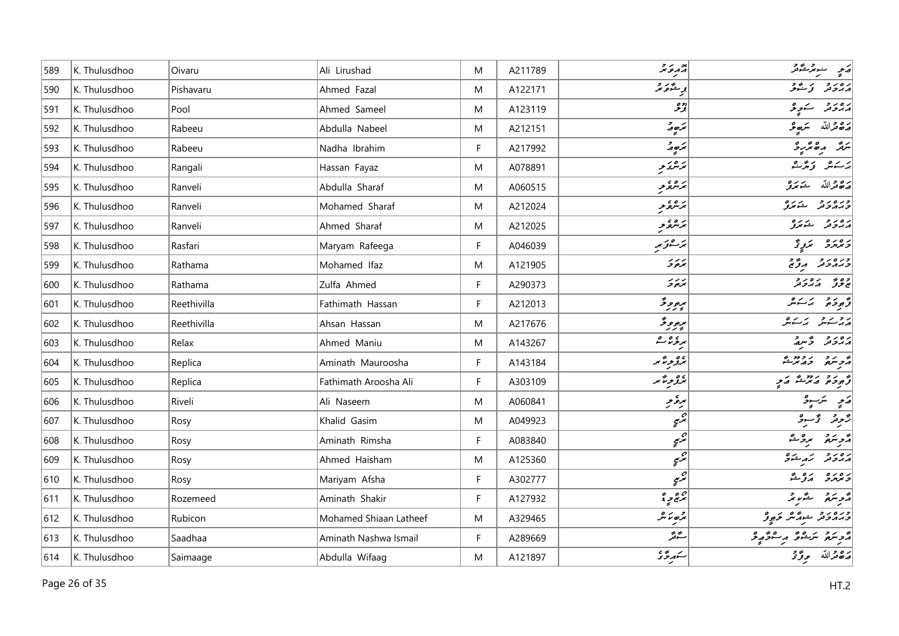| 589 | K. Thulusdhoo | Oivaru      | Ali Lirushad           | M         | A211789 | أمرمرهم                                     | أەسمج سىم ئىسكەنگر                   |
|-----|---------------|-------------|------------------------|-----------|---------|---------------------------------------------|--------------------------------------|
| 590 | K. Thulusdhoo | Pishavaru   | Ahmed Fazal            | M         | A122171 | بوستٌوكر                                    | أرەر بىر ئەسىمى                      |
| 591 | K. Thulusdhoo | Pool        | Ahmed Sameel           | M         | A123119 | بوه<br>بوعر                                 | پرور د سکوپی                         |
| 592 | K. Thulusdhoo | Rabeeu      | Abdulla Nabeel         | M         | A212151 | برەد                                        | 20 مرالله سمع عم                     |
| 593 | K. Thulusdhoo | Rabeeu      | Nadha Ibrahim          | F         | A217992 | پر<br>بره در                                |                                      |
| 594 | K. Thulusdhoo | Rangali     | Hassan Fayaz           | M         | A078891 | برمربر                                      | يز ستاند كى ئەرگەت ب                 |
| 595 | K. Thulusdhoo | Ranveli     | Abdulla Sharaf         | M         | A060515 | برەء                                        | مَەھْرَاللَّهُ شَمَعَرُوْ            |
| 596 | K. Thulusdhoo | Ranveli     | Mohamed Sharaf         | M         | A212024 | برەء                                        | وره رو دره<br><i>وبروونو</i> څونزنې  |
| 597 | K. Thulusdhoo | Ranveli     | Ahmed Sharaf           | ${\sf M}$ | A212025 | ىرىرى<br>ئىرىشرىقرىيە                       | ره رو شدره<br>مدرو شومرو             |
| 598 | K. Thulusdhoo | Rasfari     | Maryam Rafeega         | F         | A046039 | ۔<br>انتر مشوت <del>ہ</del> س <sub>ے</sub>  | رەرە برېۋ                            |
| 599 | K. Thulusdhoo | Rathama     | Mohamed Ifaz           | M         | A121905 | ىر رىر<br>ئىزە <del>ر</del>                 | وره دو وژنج                          |
| 600 | K. Thulusdhoo | Rathama     | Zulfa Ahmed            | F         | A290373 | بررر                                        | وه په سره رو<br>  بح محرقر   مرکز حر |
| 601 | K. Thulusdhoo | Reethivilla | Fathimath Hassan       | F         | A212013 | ابره و مُرَّ<br><u>مح</u> مد                | قەددە ئەسكىر                         |
| 602 | K. Thulusdhoo | Reethivilla | Ahsan Hassan           | M         | A217676 | امرہ ویڈ<br><u>ئیر ر</u>                    | <i>ړی کې د کامل</i>                  |
| 603 | K. Thulusdhoo | Relax       | Ahmed Maniu            | M         | A143267 | برڈرام                                      | أرور وسم                             |
| 604 | K. Thulusdhoo | Replica     | Aminath Mauroosha      | F         | A143184 | بروعرتمه                                    |                                      |
| 605 | K. Thulusdhoo | Replica     | Fathimath Aroosha Ali  | F         | A303109 | بمرزوعهر                                    |                                      |
| 606 | K. Thulusdhoo | Riveli      | Ali Naseem             | M         | A060841 | ىرة و                                       |                                      |
| 607 | K. Thulusdhoo | Rosy        | Khalid Gasim           | M         | A049923 | $\overline{\mathcal{S}^{(2)}_{\mathbf{y}}}$ |                                      |
| 608 | K. Thulusdhoo | Rosy        | Aminath Rimsha         | F         | A083840 | ليمي                                        |                                      |
| 609 | K. Thulusdhoo | Rosy        | Ahmed Haisham          | M         | A125360 | لقمعي                                       | رەرو ئىرىشى                          |
| 610 | K. Thulusdhoo | Rosy        | Mariyam Afsha          | F         | A302777 | اهيمي                                       | رەرە رەش                             |
| 611 | K. Thulusdhoo | Rozemeed    | Aminath Shakir         | F         | A127932 | لتميمون                                     | أأرمر سترابر                         |
| 612 | K. Thulusdhoo | Rubicon     | Mohamed Shiaan Latheef | ${\sf M}$ | A329465 | برە ئەشر                                    | ورورو حرمه وتور                      |
| 613 | K. Thulusdhoo | Saadhaa     | Aminath Nashwa Ismail  | F         | A289669 | سەۋىر                                       | أأراد المستحق والمستحرم              |
| 614 | K. Thulusdhoo | Saimaage    | Abdulla Wifaag         | M         | A121897 | لسكهر ومي                                   | پر ج قرالله موثر تو                  |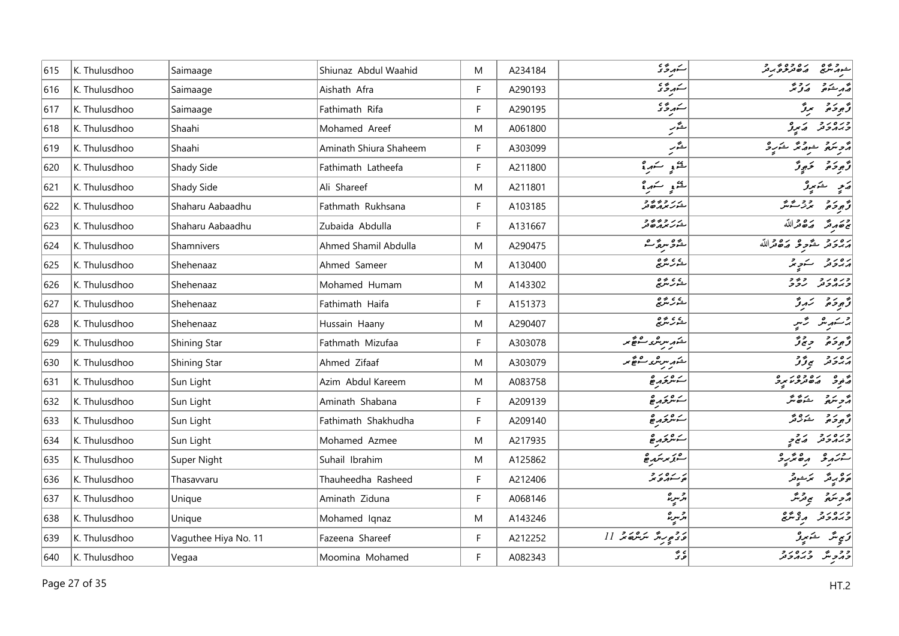| 615 | K. Thulusdhoo | Saimaage             | Shiunaz Abdul Waahid   | M         | A234184 | سەرچ                                           | شود من ده وه و د                      |
|-----|---------------|----------------------|------------------------|-----------|---------|------------------------------------------------|---------------------------------------|
| 616 | K. Thulusdhoo | Saimaage             | Aishath Afra           | F         | A290193 | سەدى                                           | وكركت وروثر                           |
| 617 | K. Thulusdhoo | Saimaage             | Fathimath Rifa         | F         | A290195 | سەرچە                                          | وتموزة                                |
| 618 | K. Thulusdhoo | Shaahi               | Mohamed Areef          | M         | A061800 | ىشەر<br>ر                                      | دره رو مسرو<br>در مدونر مسرو          |
| 619 | K. Thulusdhoo | Shaahi               | Aminath Shiura Shaheem | F         | A303099 | مشتمر                                          |                                       |
| 620 | K. Thulusdhoo | Shady Side           | Fathimath Latheefa     | F         | A211800 | للشفي سنهره                                    |                                       |
| 621 | K. Thulusdhoo | Shady Side           | Ali Shareef            | ${\sf M}$ | A211801 | الشنمو سنهره                                   | أَرْمَحٍ الشَّاسِرِ وَ                |
| 622 | K. Thulusdhoo | Shaharu Aabaadhu     | Fathmath Rukhsana      | F         | A103185 | ر ر د ه ه د د<br>شور بود کامر                  | ۇ بەر ئەر ئەسىر                       |
| 623 | K. Thulusdhoo | Shaharu Aabaadhu     | Zubaida Abdulla        | F         | A131667 | ر ر د د و د<br>شور بود گامر                    | تج صَمِر قَدْ اللهُ اللَّهُ           |
| 624 | K. Thulusdhoo | Shamnivers           | Ahmed Shamil Abdulla   | M         | A290475 | ڪ ئ <sup>و</sup> سرچ ک                         | أيروبر والمقوفة أتهاه وترالله         |
| 625 | K. Thulusdhoo | Shehenaaz            | Ahmed Sameer           | M         | A130400 | ے <sub>ک</sub> ے بھے                           | ده د د سرچ پر                         |
| 626 | K. Thulusdhoo | Shehenaaz            | Mohamed Humam          | ${\sf M}$ | A143302 | ے پر بڑھ<br>مشرکہ مترج                         | כנסני כשי<br><i>כג</i> ובט, נבב       |
| 627 | K. Thulusdhoo | Shehenaaz            | Fathimath Haifa        | F         | A151373 | شەر شرچ                                        | وٌوِدَةٌ رَرِوٌ                       |
| 628 | K. Thulusdhoo | Shehenaaz            | Hussain Haany          | M         | A290407 | شەر شەھ                                        | چرے مریکی انگریبر                     |
| 629 | K. Thulusdhoo | Shining Star         | Fathmath Mizufaa       | F         | A303078 | ىشكەر سرىشرى سىھىچىمە                          | أوجوده وبيو                           |
| 630 | K. Thulusdhoo | Shining Star         | Ahmed Zifaaf           | ${\sf M}$ | A303079 | ىشەر سرى <sup>ش</sup> ى سەھ <mark>قىم</mark> ر | أرود وتمريح                           |
| 631 | K. Thulusdhoo | Sun Light            | Azim Abdul Kareem      | M         | A083758 | ستشرقهم                                        |                                       |
| 632 | K. Thulusdhoo | Sun Light            | Aminath Shabana        | F         | A209139 | سىشرىخەرغ                                      | أزويتهم شكائير                        |
| 633 | K. Thulusdhoo | Sun Light            | Fathimath Shakhudha    | F         | A209140 | سىشرىخەرغ                                      | توجوحتم الشوشر                        |
| 634 | K. Thulusdhoo | Sun Light            | Mohamed Azmee          | M         | A217935 | سەتىرىر ۋ                                      | כנסנכ גב                              |
| 635 | K. Thulusdhoo | Super Night          | Suhail Ibrahim         | M         | A125862 | والمجمة برسكرهج                                |                                       |
| 636 | K. Thulusdhoo | Thasavvaru           | Thauheedha Rasheed     | F         | A212406 | ر ره ر د<br>می سود کار                         | ره پرتگر - ترجيبر<br>حوفياتش - ترجيبر |
| 637 | K. Thulusdhoo | Unique               | Aminath Ziduna         | F         | A068146 | و<br>مرسر پر                                   | أأروبتكم بمعريش                       |
| 638 | K. Thulusdhoo | Unique               | Mohamed Iqnaz          | M         | A143246 | د<br>مرسریہ                                    | ورەرو ھۆش                             |
| 639 | K. Thulusdhoo | Vaguthee Hiya No. 11 | Fazeena Shareef        | F         | A212252 | ودوريم شهود في 11                              | ۇي ئىر شەيرۇ                          |
| 640 | K. Thulusdhoo | Vegaa                | Moomina Mohamed        | F         | A082343 | ړ و.<br>حرک                                    | وويش ورەرو                            |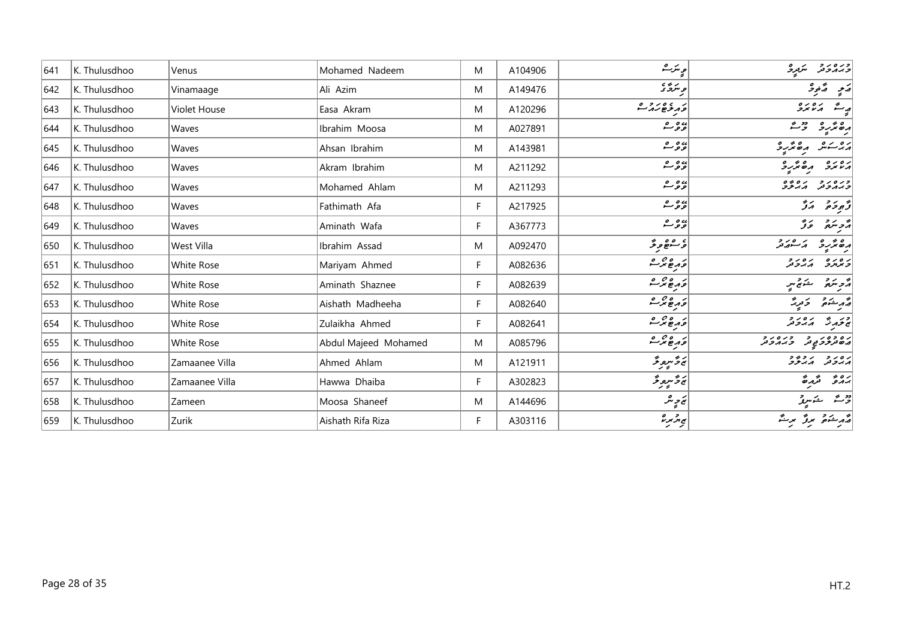| 641 | K. Thulusdhoo | Venus               | Mohamed Nadeem       | M  | A104906 | ء پئر ہے.                    | و پر و پر و<br>د بر بر تر تر<br>سربرو          |
|-----|---------------|---------------------|----------------------|----|---------|------------------------------|------------------------------------------------|
| 642 | K. Thulusdhoo | Vinamaage           | Ali Azim             | M  | A149476 | و پر پ <sup>ر</sup> ی        | أصو صفوفر                                      |
| 643 | K. Thulusdhoo | <b>Violet House</b> | Easa Akram           | M  | A120296 | ئەر ئۇغۇ ئەر ئ               | برە برە<br>په شه                               |
| 644 | K. Thulusdhoo | Waves               | Ibrahim Moosa        | M  | A027891 | ءہ ہ م                       | ەر ھەتمەر 2<br>ر                               |
| 645 | K. Thulusdhoo | Waves               | Ahsan Ibrahim        | M  | A143981 | ئۇرمىسىر                     | رويە<br>$\circ$ $\circ$ $\circ$<br>フンメめハ       |
| 646 | K. Thulusdhoo | Waves               | Akram Ibrahim        | M  | A211292 | ءہ ہ م                       | ەرە برە<br>ەھ ترىر 3                           |
| 647 | K. Thulusdhoo | Waves               | Mohamed Ahlam        | M  | A211293 | ء ہ م م                      | כנסנכ נסשם<br>כ <i>נ</i> וכנ וג <del>ע</del> כ |
| 648 | K. Thulusdhoo | Waves               | Fathimath Afa        | F  | A217925 | ء ہ م م                      | ا توجو پر<br>ىرىچ                              |
| 649 | K. Thulusdhoo | Waves               | Aminath Wafa         | F. | A367773 | ء ہ م م                      | ءً - سرة محمد<br>ىرتى                          |
| 650 | K. Thulusdhoo | West Villa          | Ibrahim Assad        | M  | A092470 | ء مش <sub>ا</sub> ع و مَحْر  | ە ھەترىر <sup>ە</sup><br>پر ھے پر تر           |
| 651 | K. Thulusdhoo | <b>White Rose</b>   | Mariyam Ahmed        | F. | A082636 | ر وه ه مړينه                 | ر ه ر ه<br><del>ر</del> بربرو<br>پرور و        |
| 652 | K. Thulusdhoo | <b>White Rose</b>   | Aminath Shaznee      | F. | A082639 | ئەرەم بۇر                    | اړم سره<br>شەڭچ سېر                            |
| 653 | K. Thulusdhoo | White Rose          | Aishath Madheeha     | F. | A082640 | ئەمرىقىمى <sup>م</sup>       | أشهر شكامح وتربد                               |
| 654 | K. Thulusdhoo | <b>White Rose</b>   | Zulaikha Ahmed       | F. | A082641 | ئەرەم ئە                     | ج تورژ که بره د و                              |
| 655 | K. Thulusdhoo | <b>White Rose</b>   | Abdul Majeed Mohamed | M  | A085796 | ئەرەم ئە                     | ره وه ر و د وره ر و<br>גەنرىۋې تور ب           |
| 656 | K. Thulusdhoo | Zamaanee Villa      | Ahmed Ahlam          | M  | A121911 | ئەۋسپەرتۇ                    | پرور و<br>っ <sub>ク</sub> クノ<br>フランイ            |
| 657 | K. Thulusdhoo | Zamaanee Villa      | Hawwa Dhaiba         | F  | A302823 | ئە ئەسپە ئە                  | تردهٌ<br>برەپچ                                 |
| 658 | K. Thulusdhoo | Zameen              | Moosa Shaneef        | M  | A144696 | ئىچە تىر                     | رژئے خوشری                                     |
| 659 | K. Thulusdhoo | Zurik               | Aishath Rifa Riza    | F  | A303116 | ىي <sub>دى</sub> ر جرىر<br>س | أقهر منكافي المحرمية                           |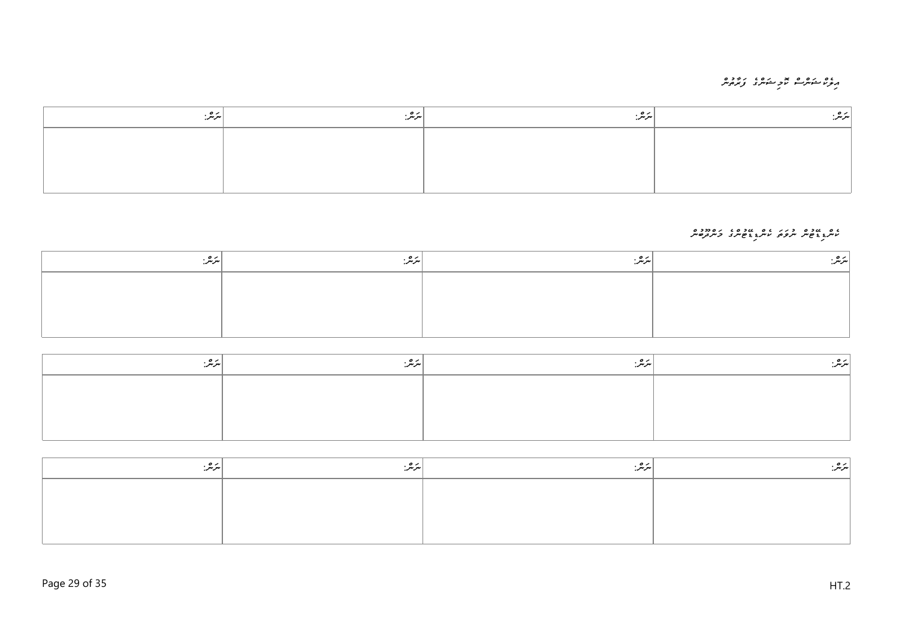## *w7qAn8m? sCw7mRo>u; wEw7mRw;sBo<*

| ' مرمر | 'يئرىثر: |
|--------|----------|
|        |          |
|        |          |
|        |          |

## *w7q9r@w7m> sCw7qHtFoFw7s; mAm=q7 w7qHtFoFw7s;*

| ىر تە | $\mathcal{O} \times$<br>$\sim$ | $\sim$<br>. . | لترنثر |
|-------|--------------------------------|---------------|--------|
|       |                                |               |        |
|       |                                |               |        |
|       |                                |               |        |

| انترنثر: | $^{\circ}$ | يبرهر | $^{\circ}$<br>سرسر |
|----------|------------|-------|--------------------|
|          |            |       |                    |
|          |            |       |                    |
|          |            |       |                    |

| ' ئىرتىر: | سر سر |  |
|-----------|-------|--|
|           |       |  |
|           |       |  |
|           |       |  |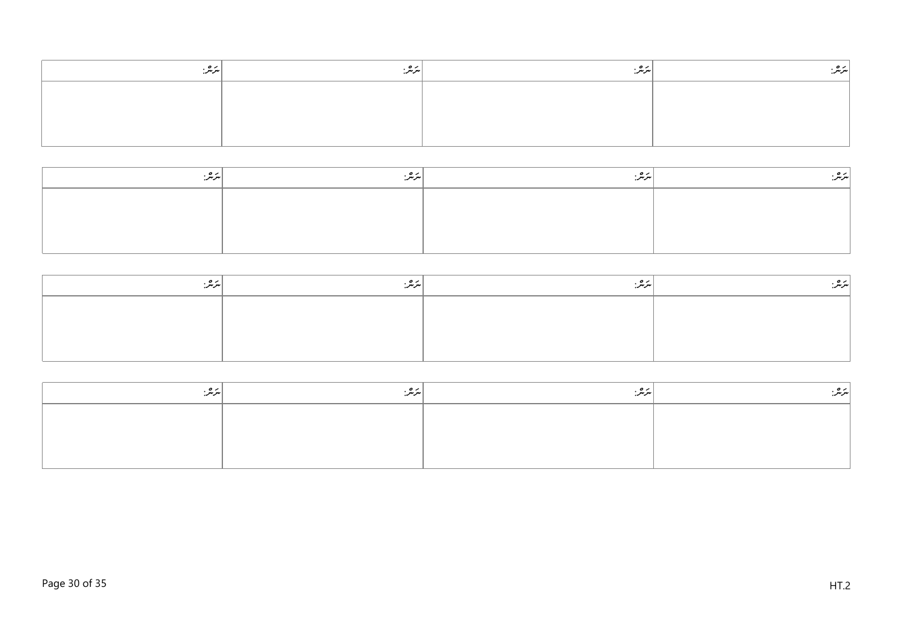| يزهر | $^{\circ}$ | ىئرىتر: |  |
|------|------------|---------|--|
|      |            |         |  |
|      |            |         |  |
|      |            |         |  |

| <sup>.</sup> سرسر. |  |
|--------------------|--|
|                    |  |
|                    |  |
|                    |  |

| ىئرىتر. | $\sim$ | ا بر هه. | ' ئىرتىر |
|---------|--------|----------|----------|
|         |        |          |          |
|         |        |          |          |
|         |        |          |          |

| 。<br>مرس. | $\overline{\phantom{a}}$<br>مر سر | يتريثر |
|-----------|-----------------------------------|--------|
|           |                                   |        |
|           |                                   |        |
|           |                                   |        |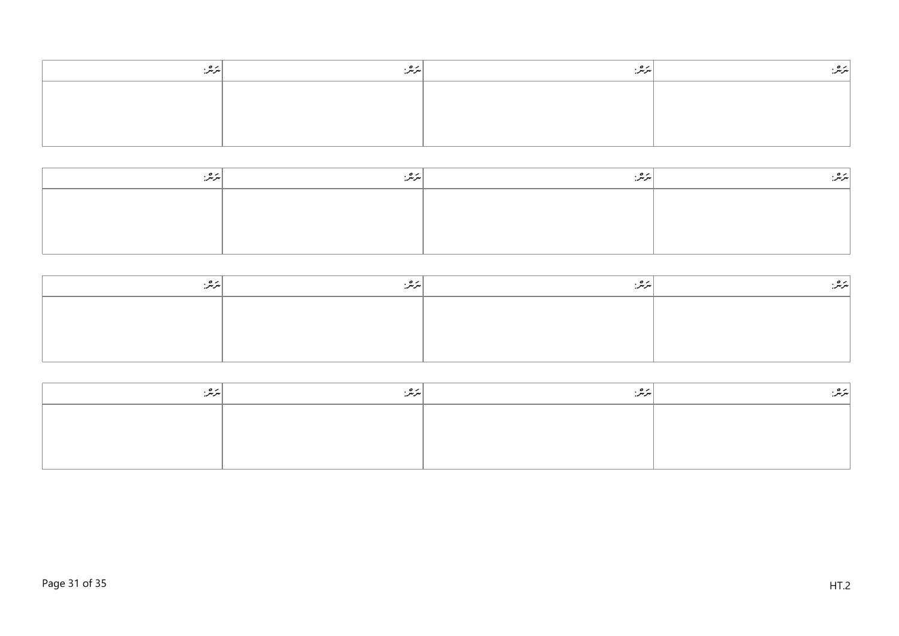| ير هو . | $\overline{\phantom{a}}$ | يرمر | اير هنه. |
|---------|--------------------------|------|----------|
|         |                          |      |          |
|         |                          |      |          |
|         |                          |      |          |

| ئىرتىر: | $\sim$<br>ا سرسر . | يئرمثر | o . |
|---------|--------------------|--------|-----|
|         |                    |        |     |
|         |                    |        |     |
|         |                    |        |     |

| 'تترنثر: | 。<br>,,,, |  |
|----------|-----------|--|
|          |           |  |
|          |           |  |
|          |           |  |

|  | . ه |
|--|-----|
|  |     |
|  |     |
|  |     |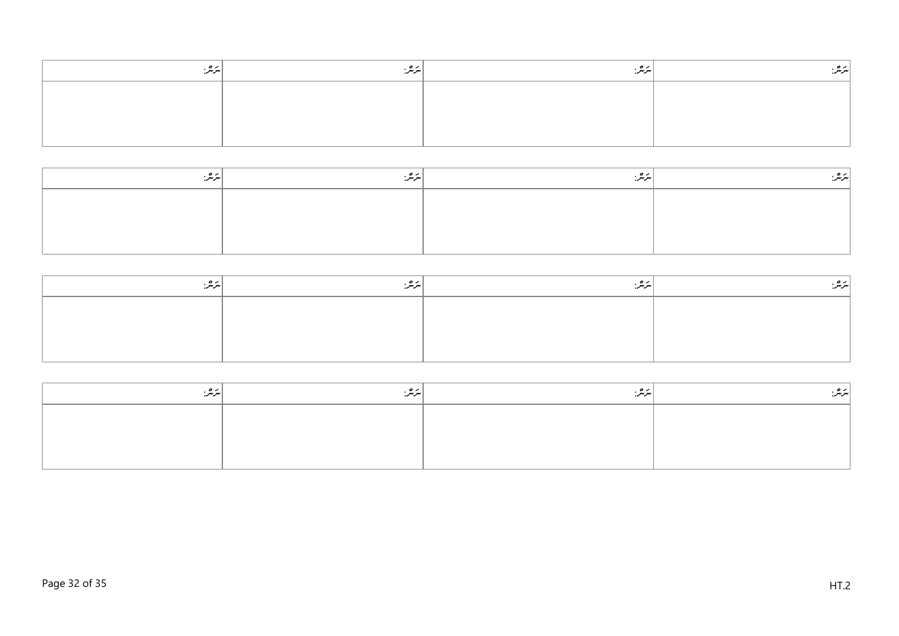| ير هو . | $\overline{\phantom{a}}$ | يرمر | اير هنه. |
|---------|--------------------------|------|----------|
|         |                          |      |          |
|         |                          |      |          |
|         |                          |      |          |

| ىر تىر: | $\circ$ $\sim$<br>" سرسر . | يبرحه | o . |
|---------|----------------------------|-------|-----|
|         |                            |       |     |
|         |                            |       |     |
|         |                            |       |     |

| 'تترنثر: | ر ه |  |
|----------|-----|--|
|          |     |  |
|          |     |  |
|          |     |  |

|  | . ه |
|--|-----|
|  |     |
|  |     |
|  |     |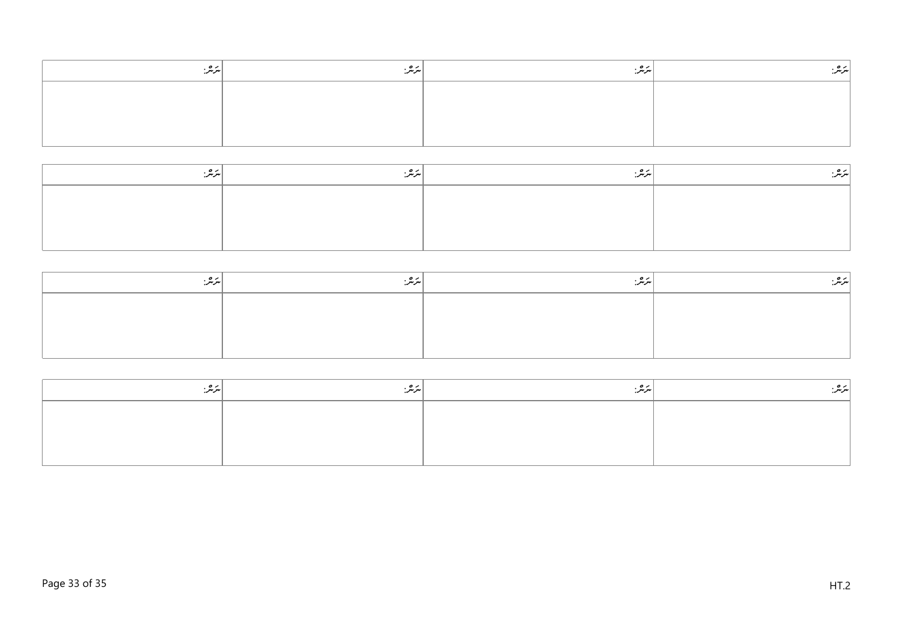| $\frac{\circ}{\cdot}$ | 。 | $\frac{\circ}{\cdot}$ | $\sim$<br>سرسر |
|-----------------------|---|-----------------------|----------------|
|                       |   |                       |                |
|                       |   |                       |                |
|                       |   |                       |                |

| ترتثر: | َ سرسر. |  |
|--------|---------|--|
|        |         |  |
|        |         |  |
|        |         |  |

| بر ه | . ه | $\sim$<br>سرسر |  |
|------|-----|----------------|--|
|      |     |                |  |
|      |     |                |  |
|      |     |                |  |

| 。<br>. س | ىرىىر |  |
|----------|-------|--|
|          |       |  |
|          |       |  |
|          |       |  |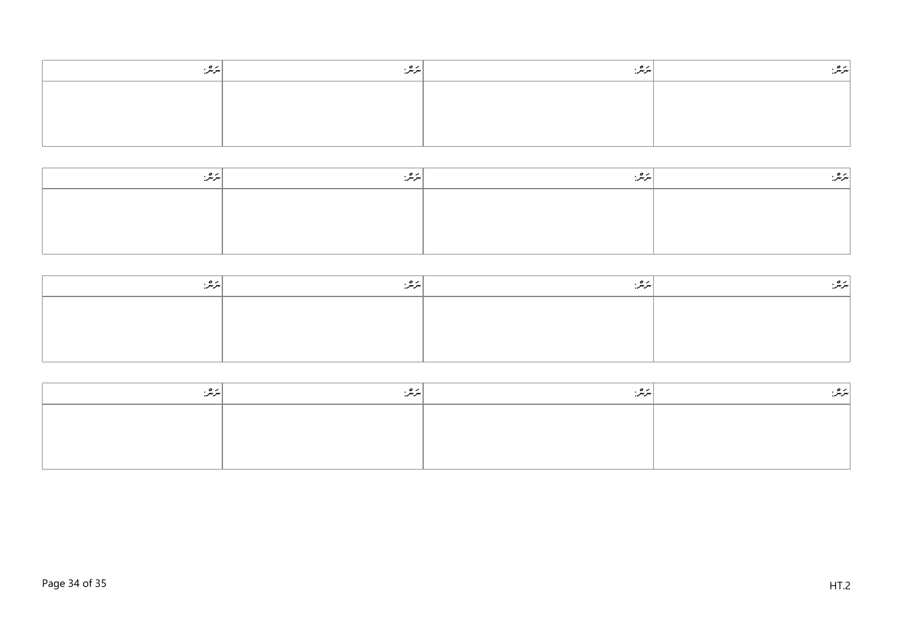| ير هو . | $\overline{\phantom{a}}$ | يرمر | اير هنه. |
|---------|--------------------------|------|----------|
|         |                          |      |          |
|         |                          |      |          |
|         |                          |      |          |

| ئىرتىر: | $\sim$<br>ا سرسر . | يئرمثر | o . |
|---------|--------------------|--------|-----|
|         |                    |        |     |
|         |                    |        |     |
|         |                    |        |     |

| 'تترنثر: | 。<br>,,,, |  |
|----------|-----------|--|
|          |           |  |
|          |           |  |
|          |           |  |

|  | . ه |
|--|-----|
|  |     |
|  |     |
|  |     |